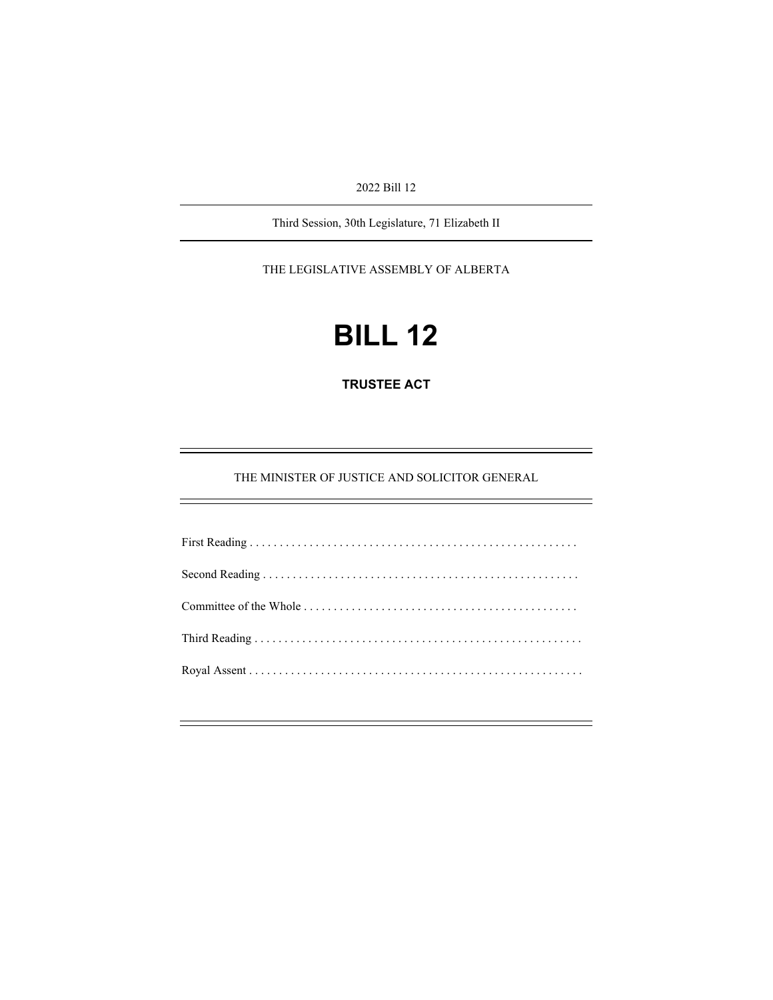2022 Bill 12

Third Session, 30th Legislature, 71 Elizabeth II

THE LEGISLATIVE ASSEMBLY OF ALBERTA

# **BILL 12**

**TRUSTEE ACT** 

THE MINISTER OF JUSTICE AND SOLICITOR GENERAL

÷,

Ĩ.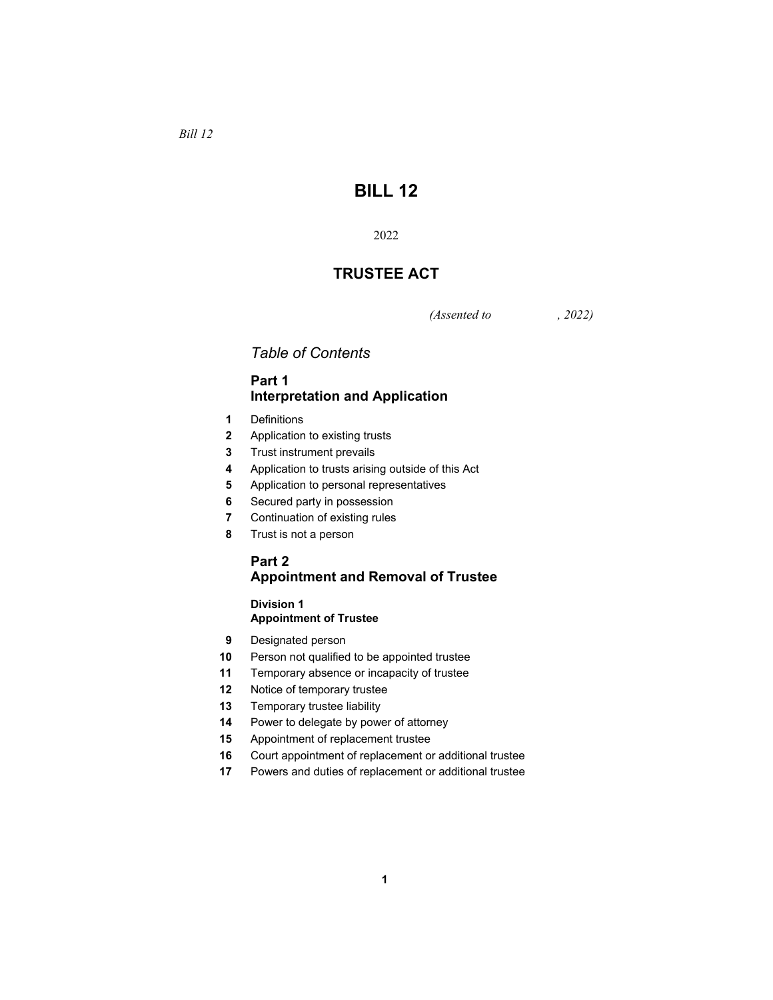*Bill 12* 

# **BILL 12**

# **TRUSTEE ACT**

*(Assented to , 2022)* 

# *Table of Contents*

# **Part 1 Interpretation and Application**

- Definitions
- Application to existing trusts
- Trust instrument prevails
- Application to trusts arising outside of this Act
- Application to personal representatives
- Secured party in possession
- Continuation of existing rules
- Trust is not a person

# **Part 2 Appointment and Removal of Trustee**

## **Division 1 Appointment of Trustee**

- Designated person
- Person not qualified to be appointed trustee
- Temporary absence or incapacity of trustee
- Notice of temporary trustee
- Temporary trustee liability
- Power to delegate by power of attorney
- Appointment of replacement trustee
- Court appointment of replacement or additional trustee
- Powers and duties of replacement or additional trustee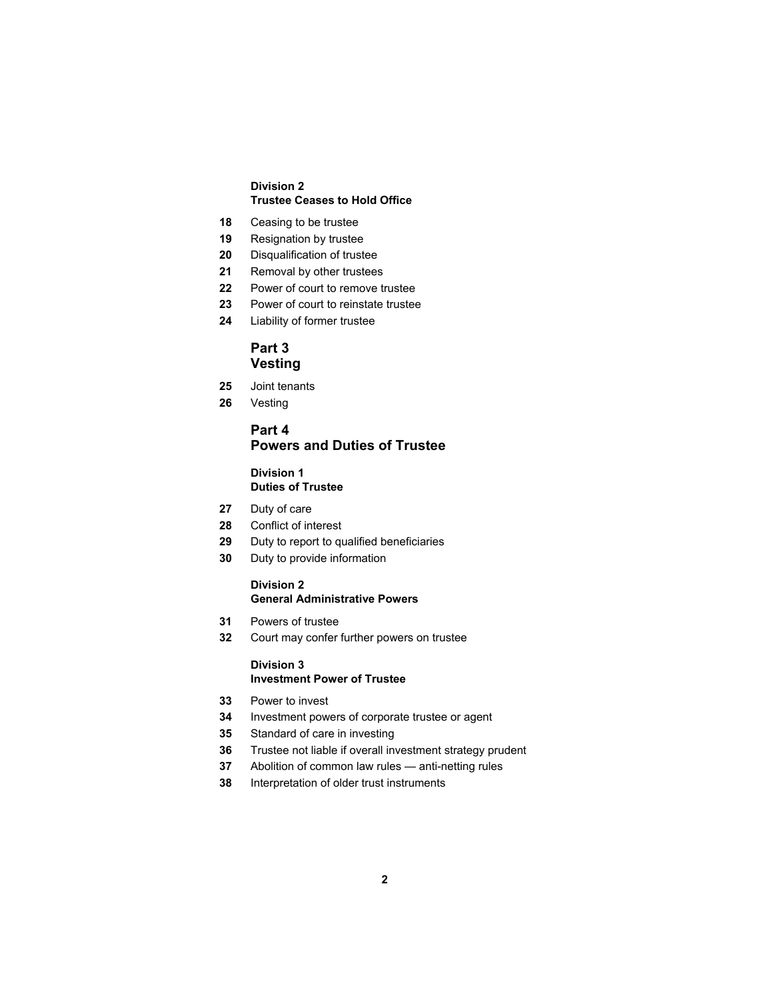#### **Division 2 Trustee Ceases to Hold Office**

- Ceasing to be trustee
- Resignation by trustee
- Disqualification of trustee
- Removal by other trustees
- Power of court to remove trustee
- Power of court to reinstate trustee
- Liability of former trustee

# **Part 3 Vesting**

- Joint tenants
- Vesting

# **Part 4 Powers and Duties of Trustee**

## **Division 1 Duties of Trustee**

- Duty of care
- Conflict of interest
- Duty to report to qualified beneficiaries
- Duty to provide information

# **Division 2**

# **General Administrative Powers**

- Powers of trustee
- Court may confer further powers on trustee

#### **Division 3 Investment Power of Trustee**

- Power to invest
- Investment powers of corporate trustee or agent
- Standard of care in investing
- Trustee not liable if overall investment strategy prudent
- Abolition of common law rules anti-netting rules
- Interpretation of older trust instruments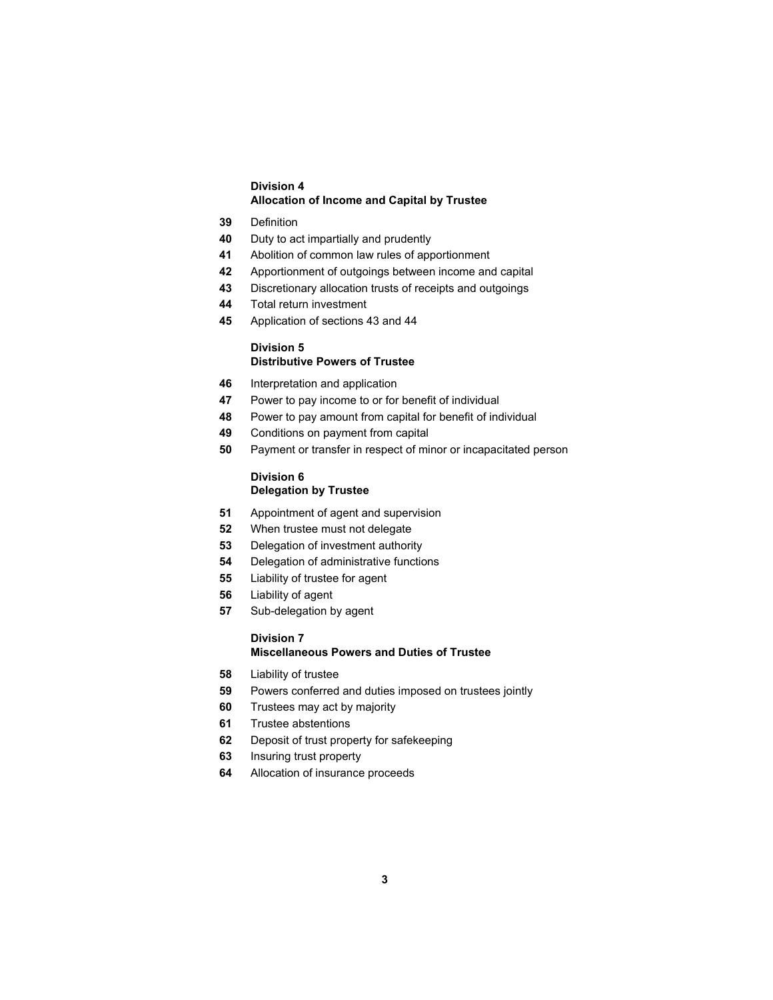#### **Division 4 Allocation of Income and Capital by Trustee**

- Definition
- Duty to act impartially and prudently
- Abolition of common law rules of apportionment
- Apportionment of outgoings between income and capital
- Discretionary allocation trusts of receipts and outgoings
- Total return investment
- Application of sections 43 and 44

## **Division 5 Distributive Powers of Trustee**

- Interpretation and application
- Power to pay income to or for benefit of individual
- Power to pay amount from capital for benefit of individual
- Conditions on payment from capital
- Payment or transfer in respect of minor or incapacitated person

#### **Division 6 Delegation by Trustee**

- Appointment of agent and supervision
- When trustee must not delegate
- Delegation of investment authority
- Delegation of administrative functions
- Liability of trustee for agent
- Liability of agent
- Sub-delegation by agent

## **Division 7 Miscellaneous Powers and Duties of Trustee**

- Liability of trustee
- Powers conferred and duties imposed on trustees jointly
- Trustees may act by majority
- Trustee abstentions
- Deposit of trust property for safekeeping
- Insuring trust property
- Allocation of insurance proceeds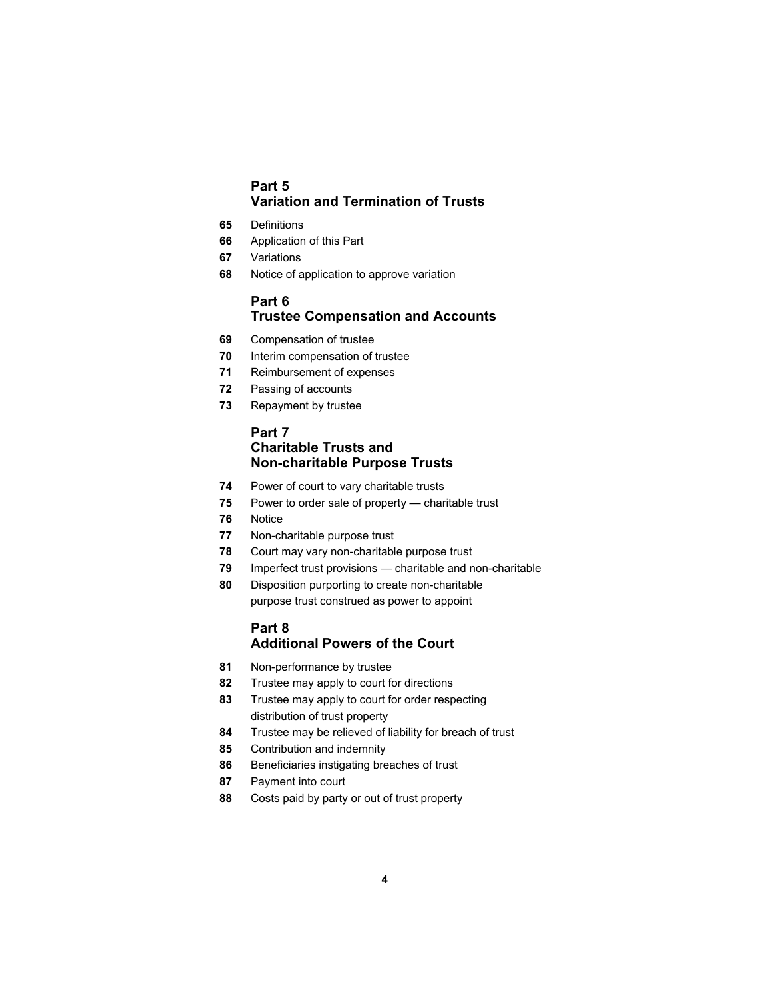# **Part 5 Variation and Termination of Trusts**

- Definitions
- Application of this Part
- Variations
- Notice of application to approve variation

# **Part 6 Trustee Compensation and Accounts**

- Compensation of trustee
- Interim compensation of trustee
- Reimbursement of expenses
- Passing of accounts
- Repayment by trustee

# **Part 7 Charitable Trusts and Non-charitable Purpose Trusts**

- Power of court to vary charitable trusts
- Power to order sale of property charitable trust
- Notice
- Non-charitable purpose trust
- Court may vary non-charitable purpose trust
- Imperfect trust provisions charitable and non-charitable
- Disposition purporting to create non-charitable purpose trust construed as power to appoint

# **Part 8 Additional Powers of the Court**

- Non-performance by trustee
- Trustee may apply to court for directions
- Trustee may apply to court for order respecting distribution of trust property
- Trustee may be relieved of liability for breach of trust
- Contribution and indemnity
- Beneficiaries instigating breaches of trust
- Payment into court
- Costs paid by party or out of trust property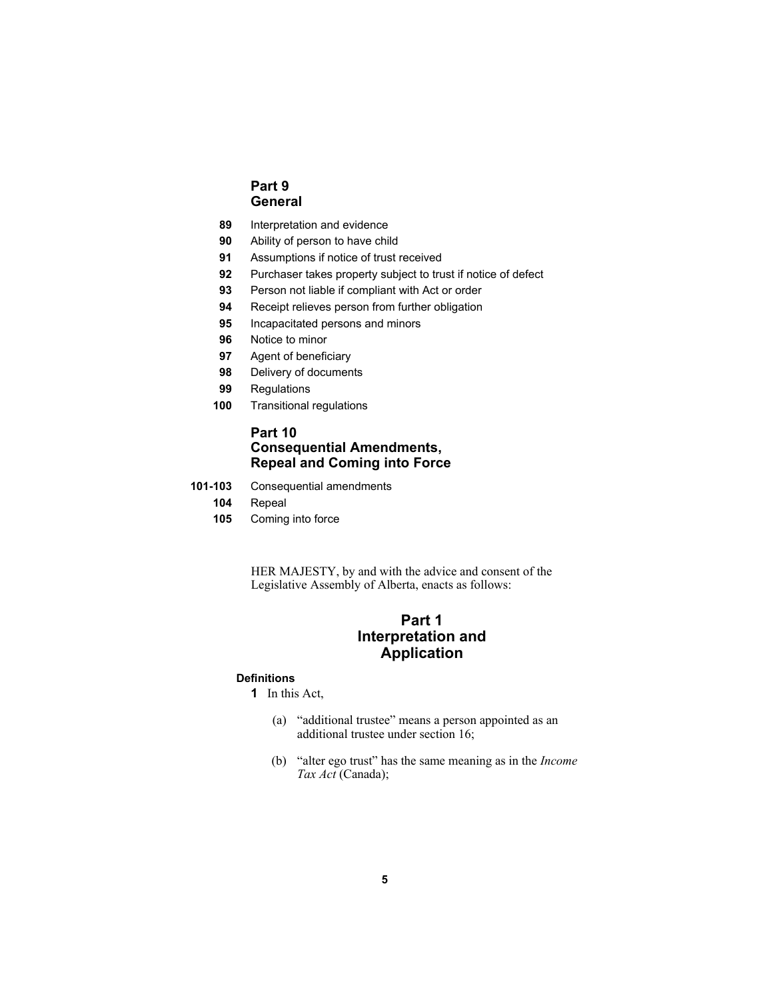# **Part 9 General**

- **89** Interpretation and evidence
- **90** Ability of person to have child
- **91** Assumptions if notice of trust received
- **92** Purchaser takes property subject to trust if notice of defect
- **93** Person not liable if compliant with Act or order
- **94** Receipt relieves person from further obligation
- **95** Incapacitated persons and minors
- **96** Notice to minor
- **97** Agent of beneficiary
- **98** Delivery of documents
- **99** Regulations
- **100** Transitional regulations

# **Part 10 Consequential Amendments, Repeal and Coming into Force**

- **101-103** Consequential amendments
	- **104** Repeal
	- **105** Coming into force

HER MAJESTY, by and with the advice and consent of the Legislative Assembly of Alberta, enacts as follows:

# **Part 1 Interpretation and Application**

## **Definitions**

- **1** In this Act,
	- (a) "additional trustee" means a person appointed as an additional trustee under section 16;
	- (b) "alter ego trust" has the same meaning as in the *Income Tax Act* (Canada);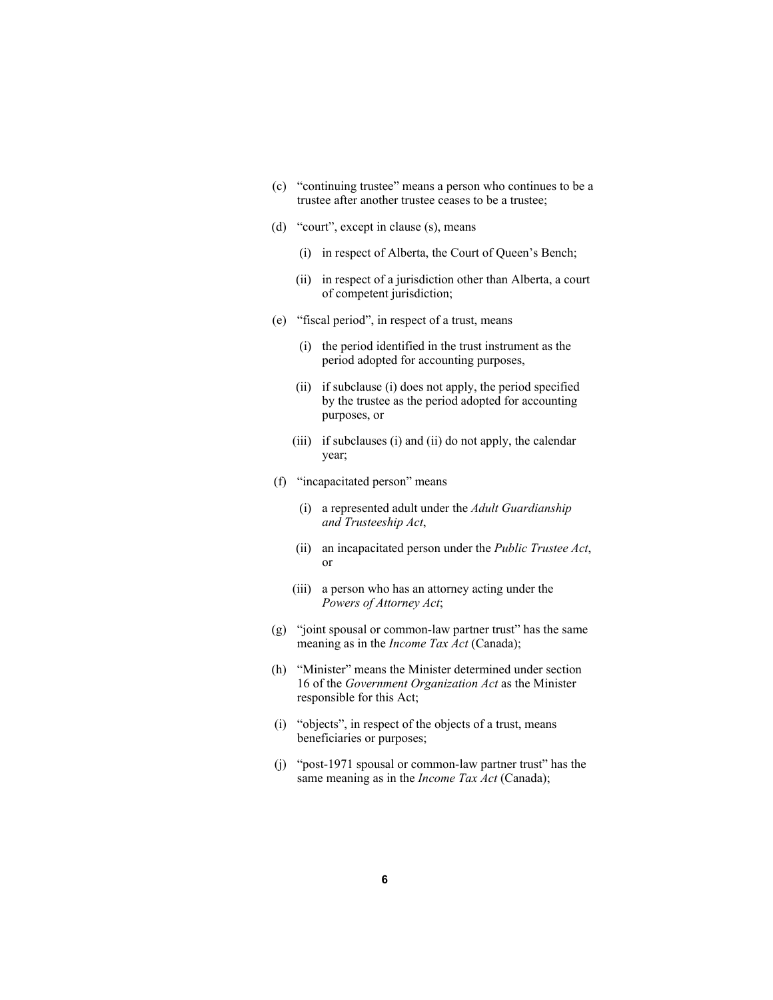- (c) "continuing trustee" means a person who continues to be a trustee after another trustee ceases to be a trustee;
- (d) "court", except in clause (s), means
	- (i) in respect of Alberta, the Court of Queen's Bench;
	- (ii) in respect of a jurisdiction other than Alberta, a court of competent jurisdiction;
- (e) "fiscal period", in respect of a trust, means
	- (i) the period identified in the trust instrument as the period adopted for accounting purposes,
	- (ii) if subclause (i) does not apply, the period specified by the trustee as the period adopted for accounting purposes, or
	- (iii) if subclauses (i) and (ii) do not apply, the calendar year;
- (f) "incapacitated person" means
	- (i) a represented adult under the *Adult Guardianship and Trusteeship Act*,
	- (ii) an incapacitated person under the *Public Trustee Act*, or
	- (iii) a person who has an attorney acting under the *Powers of Attorney Act*;
- (g) "joint spousal or common-law partner trust" has the same meaning as in the *Income Tax Act* (Canada);
- (h) "Minister" means the Minister determined under section 16 of the *Government Organization Act* as the Minister responsible for this Act;
- (i) "objects", in respect of the objects of a trust, means beneficiaries or purposes;
- (j) "post-1971 spousal or common-law partner trust" has the same meaning as in the *Income Tax Act* (Canada);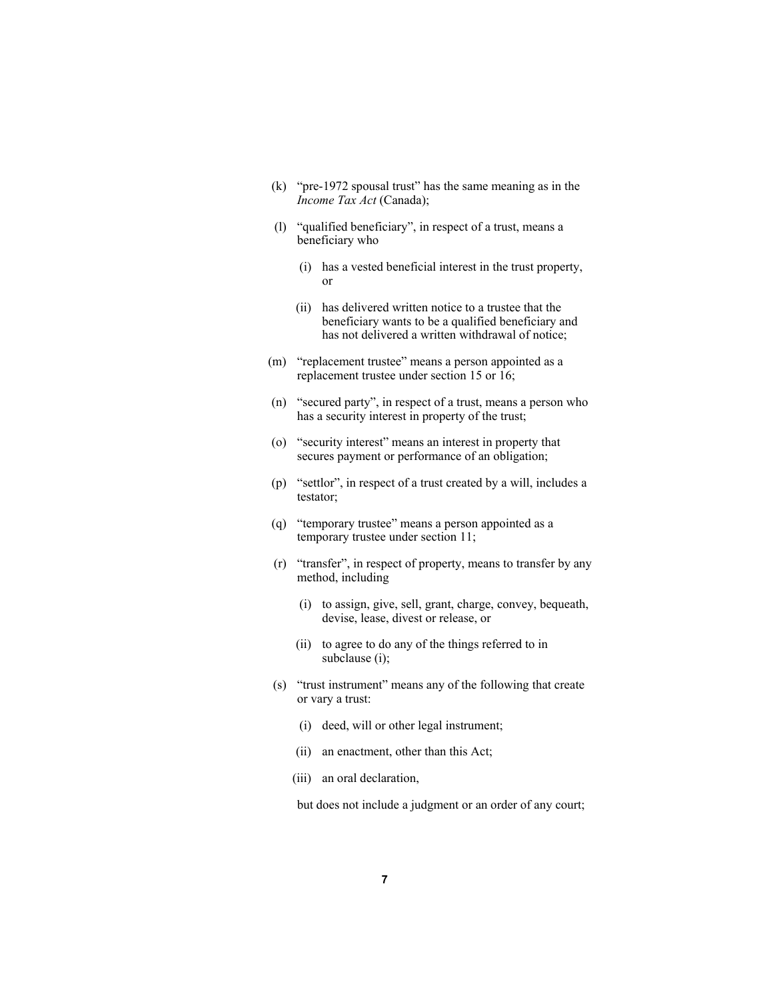- (k) "pre-1972 spousal trust" has the same meaning as in the *Income Tax Act* (Canada);
- (l) "qualified beneficiary", in respect of a trust, means a beneficiary who
	- (i) has a vested beneficial interest in the trust property, or
	- (ii) has delivered written notice to a trustee that the beneficiary wants to be a qualified beneficiary and has not delivered a written withdrawal of notice;
- (m) "replacement trustee" means a person appointed as a replacement trustee under section 15 or 16;
- (n) "secured party", in respect of a trust, means a person who has a security interest in property of the trust;
- (o) "security interest" means an interest in property that secures payment or performance of an obligation;
- (p) "settlor", in respect of a trust created by a will, includes a testator;
- (q) "temporary trustee" means a person appointed as a temporary trustee under section 11;
- (r) "transfer", in respect of property, means to transfer by any method, including
	- (i) to assign, give, sell, grant, charge, convey, bequeath, devise, lease, divest or release, or
	- (ii) to agree to do any of the things referred to in subclause (i);
- (s) "trust instrument" means any of the following that create or vary a trust:
	- (i) deed, will or other legal instrument;
	- (ii) an enactment, other than this Act;
	- (iii) an oral declaration,

but does not include a judgment or an order of any court;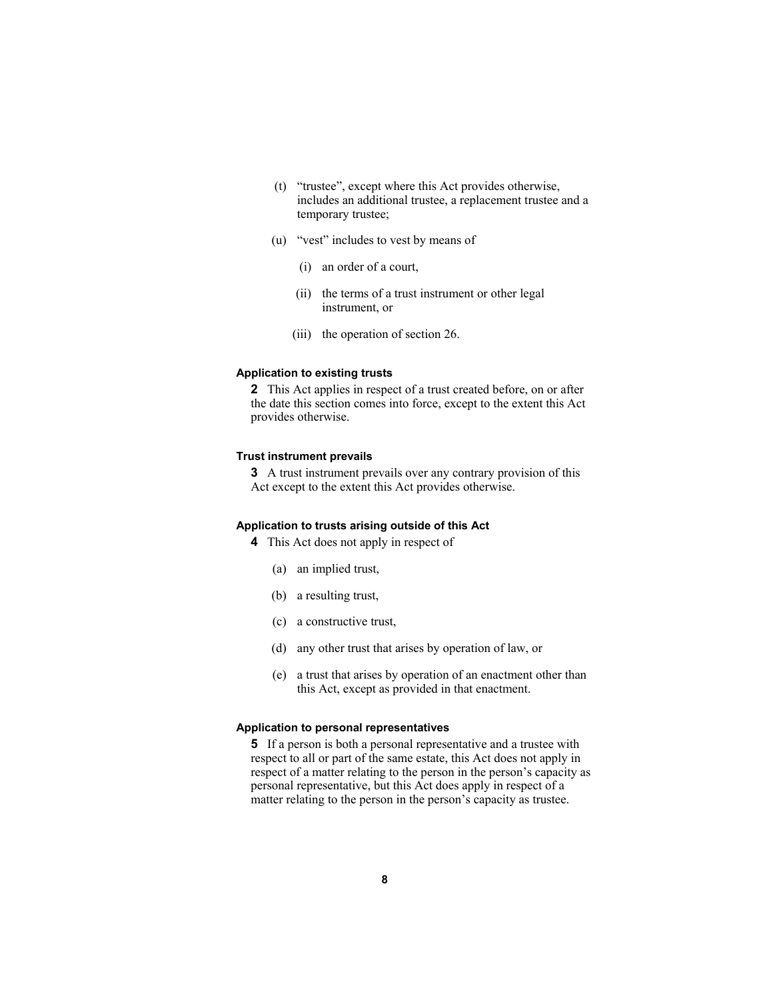- (t) "trustee", except where this Act provides otherwise, includes an additional trustee, a replacement trustee and a temporary trustee;
- (u) "vest" includes to vest by means of
	- (i) an order of a court,
	- (ii) the terms of a trust instrument or other legal instrument, or
	- (iii) the operation of section 26.

#### **Application to existing trusts**

**2** This Act applies in respect of a trust created before, on or after the date this section comes into force, except to the extent this Act provides otherwise.

#### **Trust instrument prevails**

**3** A trust instrument prevails over any contrary provision of this Act except to the extent this Act provides otherwise.

#### **Application to trusts arising outside of this Act**

- **4** This Act does not apply in respect of
	- (a) an implied trust,
	- (b) a resulting trust,
	- (c) a constructive trust,
	- (d) any other trust that arises by operation of law, or
	- (e) a trust that arises by operation of an enactment other than this Act, except as provided in that enactment.

#### **Application to personal representatives**

**5** If a person is both a personal representative and a trustee with respect to all or part of the same estate, this Act does not apply in respect of a matter relating to the person in the person's capacity as personal representative, but this Act does apply in respect of a matter relating to the person in the person's capacity as trustee.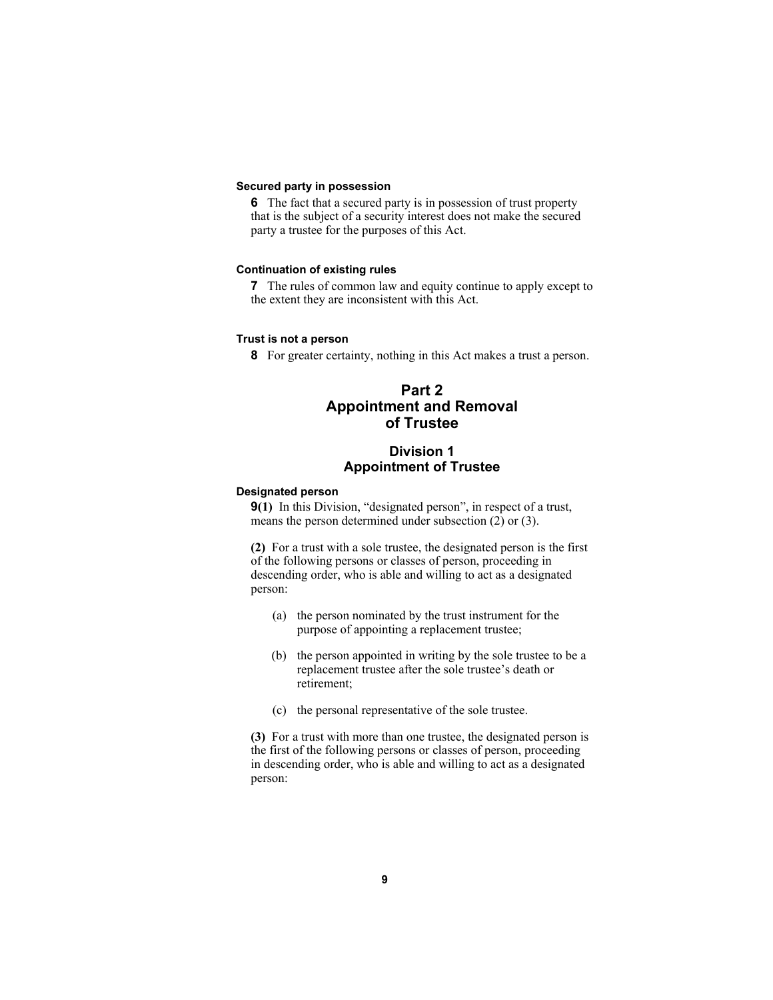#### **Secured party in possession**

**6** The fact that a secured party is in possession of trust property that is the subject of a security interest does not make the secured party a trustee for the purposes of this Act.

#### **Continuation of existing rules**

**7** The rules of common law and equity continue to apply except to the extent they are inconsistent with this Act.

#### **Trust is not a person**

**8** For greater certainty, nothing in this Act makes a trust a person.

# **Part 2 Appointment and Removal of Trustee**

# **Division 1 Appointment of Trustee**

#### **Designated person**

**9(1)** In this Division, "designated person", in respect of a trust, means the person determined under subsection (2) or (3).

**(2)** For a trust with a sole trustee, the designated person is the first of the following persons or classes of person, proceeding in descending order, who is able and willing to act as a designated person:

- (a) the person nominated by the trust instrument for the purpose of appointing a replacement trustee;
- (b) the person appointed in writing by the sole trustee to be a replacement trustee after the sole trustee's death or retirement;
- (c) the personal representative of the sole trustee.

**(3)** For a trust with more than one trustee, the designated person is the first of the following persons or classes of person, proceeding in descending order, who is able and willing to act as a designated person: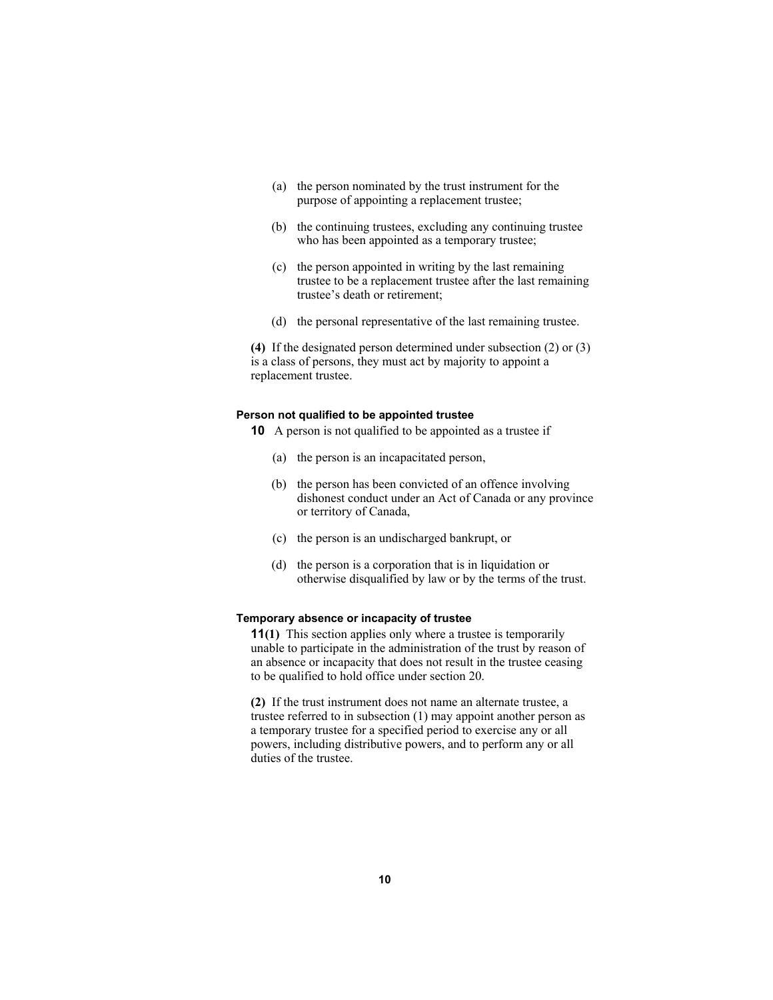- (a) the person nominated by the trust instrument for the purpose of appointing a replacement trustee;
- (b) the continuing trustees, excluding any continuing trustee who has been appointed as a temporary trustee;
- (c) the person appointed in writing by the last remaining trustee to be a replacement trustee after the last remaining trustee's death or retirement;
- (d) the personal representative of the last remaining trustee.

**(4)** If the designated person determined under subsection (2) or (3) is a class of persons, they must act by majority to appoint a replacement trustee.

#### **Person not qualified to be appointed trustee**

**10** A person is not qualified to be appointed as a trustee if

- (a) the person is an incapacitated person,
- (b) the person has been convicted of an offence involving dishonest conduct under an Act of Canada or any province or territory of Canada,
- (c) the person is an undischarged bankrupt, or
- (d) the person is a corporation that is in liquidation or otherwise disqualified by law or by the terms of the trust.

#### **Temporary absence or incapacity of trustee**

**11(1)** This section applies only where a trustee is temporarily unable to participate in the administration of the trust by reason of an absence or incapacity that does not result in the trustee ceasing to be qualified to hold office under section 20.

**(2)** If the trust instrument does not name an alternate trustee, a trustee referred to in subsection (1) may appoint another person as a temporary trustee for a specified period to exercise any or all powers, including distributive powers, and to perform any or all duties of the trustee.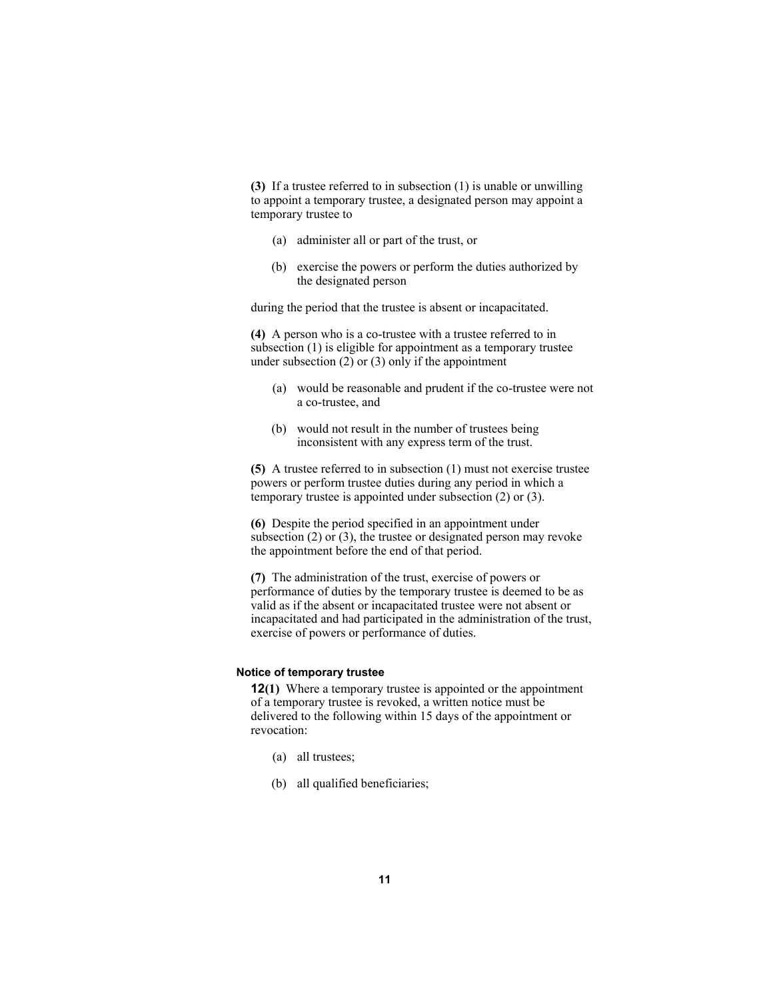**(3)** If a trustee referred to in subsection (1) is unable or unwilling to appoint a temporary trustee, a designated person may appoint a temporary trustee to

- (a) administer all or part of the trust, or
- (b) exercise the powers or perform the duties authorized by the designated person

during the period that the trustee is absent or incapacitated.

**(4)** A person who is a co-trustee with a trustee referred to in subsection (1) is eligible for appointment as a temporary trustee under subsection  $(2)$  or  $(3)$  only if the appointment

- (a) would be reasonable and prudent if the co-trustee were not a co-trustee, and
- (b) would not result in the number of trustees being inconsistent with any express term of the trust.

**(5)** A trustee referred to in subsection (1) must not exercise trustee powers or perform trustee duties during any period in which a temporary trustee is appointed under subsection (2) or (3).

**(6)** Despite the period specified in an appointment under subsection (2) or (3), the trustee or designated person may revoke the appointment before the end of that period.

**(7)** The administration of the trust, exercise of powers or performance of duties by the temporary trustee is deemed to be as valid as if the absent or incapacitated trustee were not absent or incapacitated and had participated in the administration of the trust, exercise of powers or performance of duties.

#### **Notice of temporary trustee**

**12(1)** Where a temporary trustee is appointed or the appointment of a temporary trustee is revoked, a written notice must be delivered to the following within 15 days of the appointment or revocation:

- (a) all trustees;
- (b) all qualified beneficiaries;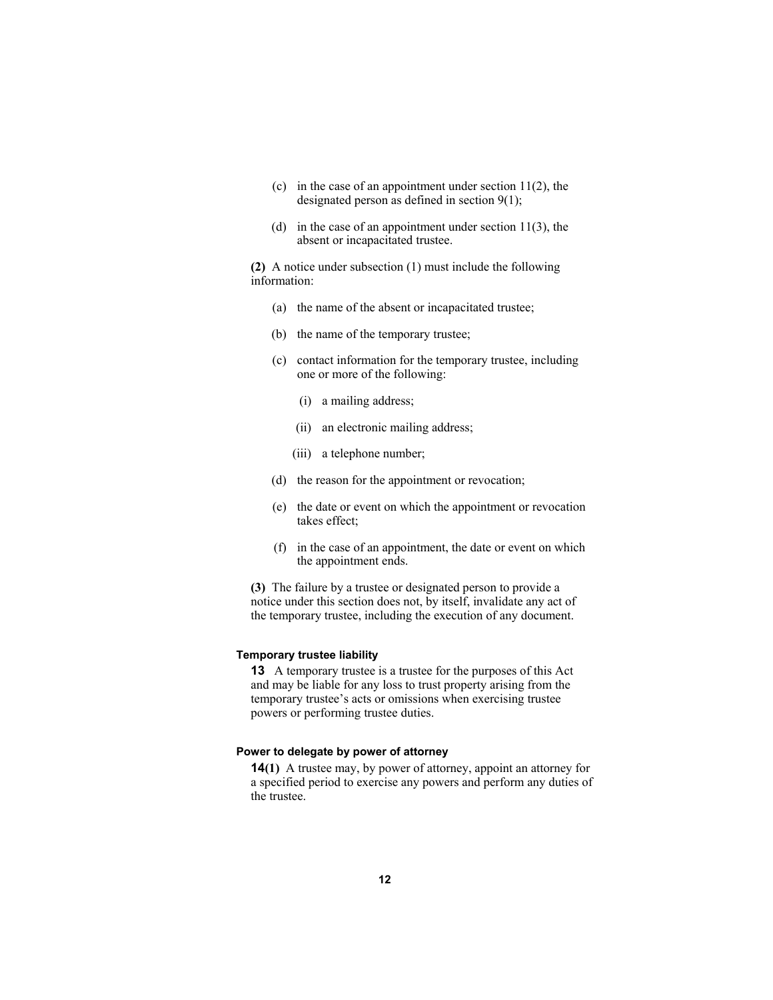- (c) in the case of an appointment under section  $11(2)$ , the designated person as defined in section 9(1);
- (d) in the case of an appointment under section  $11(3)$ , the absent or incapacitated trustee.

**(2)** A notice under subsection (1) must include the following information:

- (a) the name of the absent or incapacitated trustee;
- (b) the name of the temporary trustee;
- (c) contact information for the temporary trustee, including one or more of the following:
	- (i) a mailing address;
	- (ii) an electronic mailing address;
	- (iii) a telephone number;
- (d) the reason for the appointment or revocation;
- (e) the date or event on which the appointment or revocation takes effect;
- (f) in the case of an appointment, the date or event on which the appointment ends.

**(3)** The failure by a trustee or designated person to provide a notice under this section does not, by itself, invalidate any act of the temporary trustee, including the execution of any document.

#### **Temporary trustee liability**

**13** A temporary trustee is a trustee for the purposes of this Act and may be liable for any loss to trust property arising from the temporary trustee's acts or omissions when exercising trustee powers or performing trustee duties.

#### **Power to delegate by power of attorney**

**14(1)** A trustee may, by power of attorney, appoint an attorney for a specified period to exercise any powers and perform any duties of the trustee.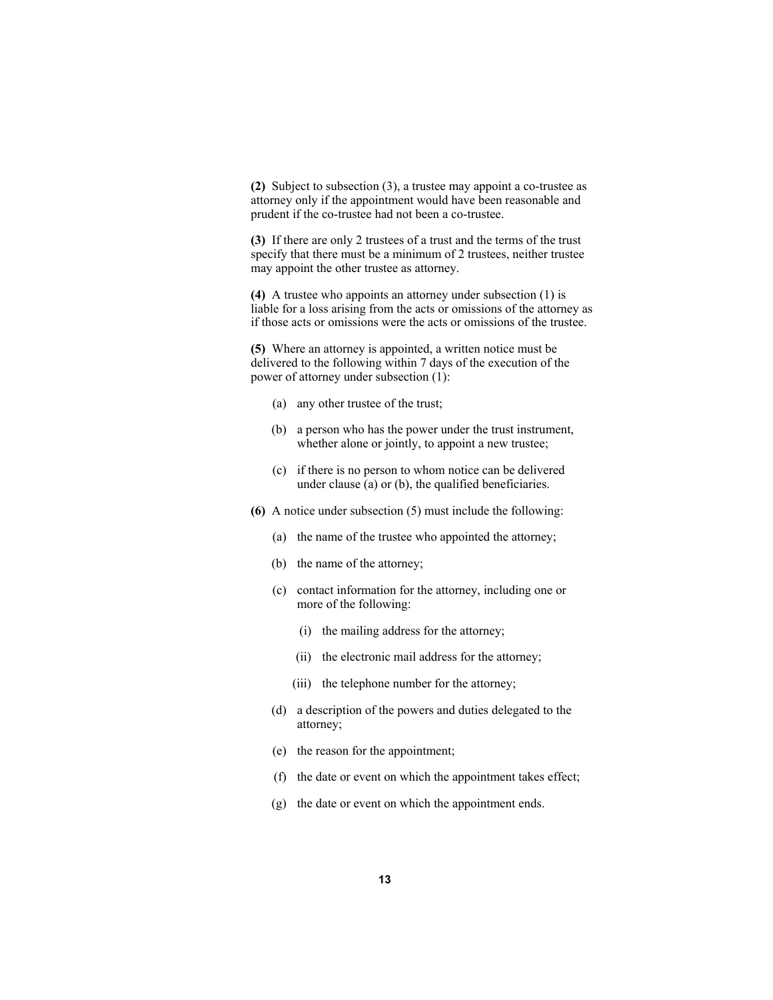**(2)** Subject to subsection (3), a trustee may appoint a co-trustee as attorney only if the appointment would have been reasonable and prudent if the co-trustee had not been a co-trustee.

**(3)** If there are only 2 trustees of a trust and the terms of the trust specify that there must be a minimum of 2 trustees, neither trustee may appoint the other trustee as attorney.

**(4)** A trustee who appoints an attorney under subsection (1) is liable for a loss arising from the acts or omissions of the attorney as if those acts or omissions were the acts or omissions of the trustee.

**(5)** Where an attorney is appointed, a written notice must be delivered to the following within 7 days of the execution of the power of attorney under subsection (1):

- (a) any other trustee of the trust;
- (b) a person who has the power under the trust instrument, whether alone or jointly, to appoint a new trustee;
- (c) if there is no person to whom notice can be delivered under clause (a) or (b), the qualified beneficiaries.
- **(6)** A notice under subsection (5) must include the following:
	- (a) the name of the trustee who appointed the attorney;
	- (b) the name of the attorney;
	- (c) contact information for the attorney, including one or more of the following:
		- (i) the mailing address for the attorney;
		- (ii) the electronic mail address for the attorney;
		- (iii) the telephone number for the attorney;
	- (d) a description of the powers and duties delegated to the attorney;
	- (e) the reason for the appointment;
	- (f) the date or event on which the appointment takes effect;
	- (g) the date or event on which the appointment ends.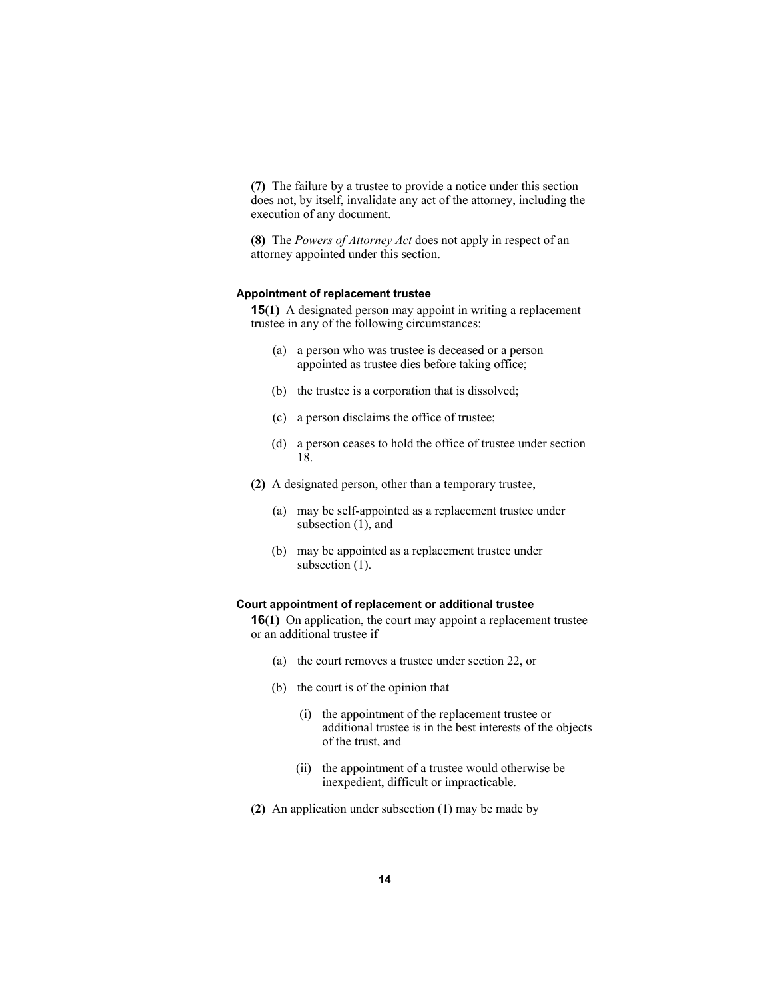**(7)** The failure by a trustee to provide a notice under this section does not, by itself, invalidate any act of the attorney, including the execution of any document.

**(8)** The *Powers of Attorney Act* does not apply in respect of an attorney appointed under this section.

#### **Appointment of replacement trustee**

**15(1)** A designated person may appoint in writing a replacement trustee in any of the following circumstances:

- (a) a person who was trustee is deceased or a person appointed as trustee dies before taking office;
- (b) the trustee is a corporation that is dissolved;
- (c) a person disclaims the office of trustee;
- (d) a person ceases to hold the office of trustee under section 18.
- **(2)** A designated person, other than a temporary trustee,
	- (a) may be self-appointed as a replacement trustee under subsection (1), and
	- (b) may be appointed as a replacement trustee under subsection  $(1)$ .

#### **Court appointment of replacement or additional trustee**

**16(1)** On application, the court may appoint a replacement trustee or an additional trustee if

- (a) the court removes a trustee under section 22, or
- (b) the court is of the opinion that
	- (i) the appointment of the replacement trustee or additional trustee is in the best interests of the objects of the trust, and
	- (ii) the appointment of a trustee would otherwise be inexpedient, difficult or impracticable.
- **(2)** An application under subsection (1) may be made by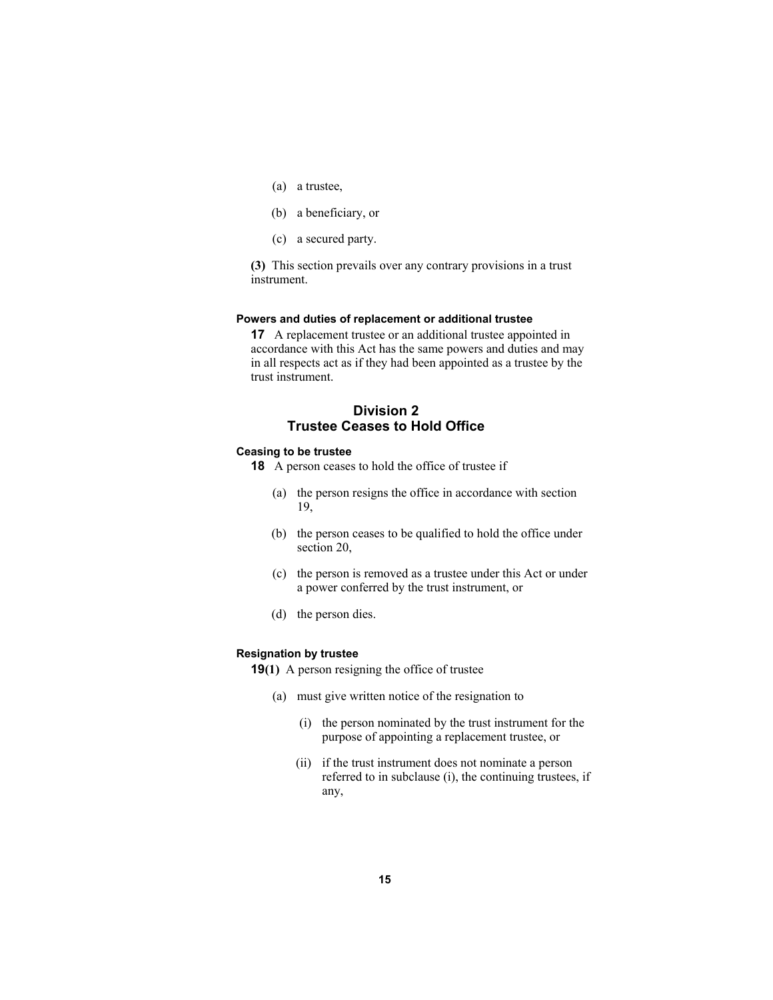- (a) a trustee,
- (b) a beneficiary, or
- (c) a secured party.

**(3)** This section prevails over any contrary provisions in a trust instrument.

#### **Powers and duties of replacement or additional trustee**

**17** A replacement trustee or an additional trustee appointed in accordance with this Act has the same powers and duties and may in all respects act as if they had been appointed as a trustee by the trust instrument.

# **Division 2 Trustee Ceases to Hold Office**

#### **Ceasing to be trustee**

**18** A person ceases to hold the office of trustee if

- (a) the person resigns the office in accordance with section 19,
- (b) the person ceases to be qualified to hold the office under section 20,
- (c) the person is removed as a trustee under this Act or under a power conferred by the trust instrument, or
- (d) the person dies.

#### **Resignation by trustee**

**19(1)** A person resigning the office of trustee

- (a) must give written notice of the resignation to
	- (i) the person nominated by the trust instrument for the purpose of appointing a replacement trustee, or
	- (ii) if the trust instrument does not nominate a person referred to in subclause (i), the continuing trustees, if any,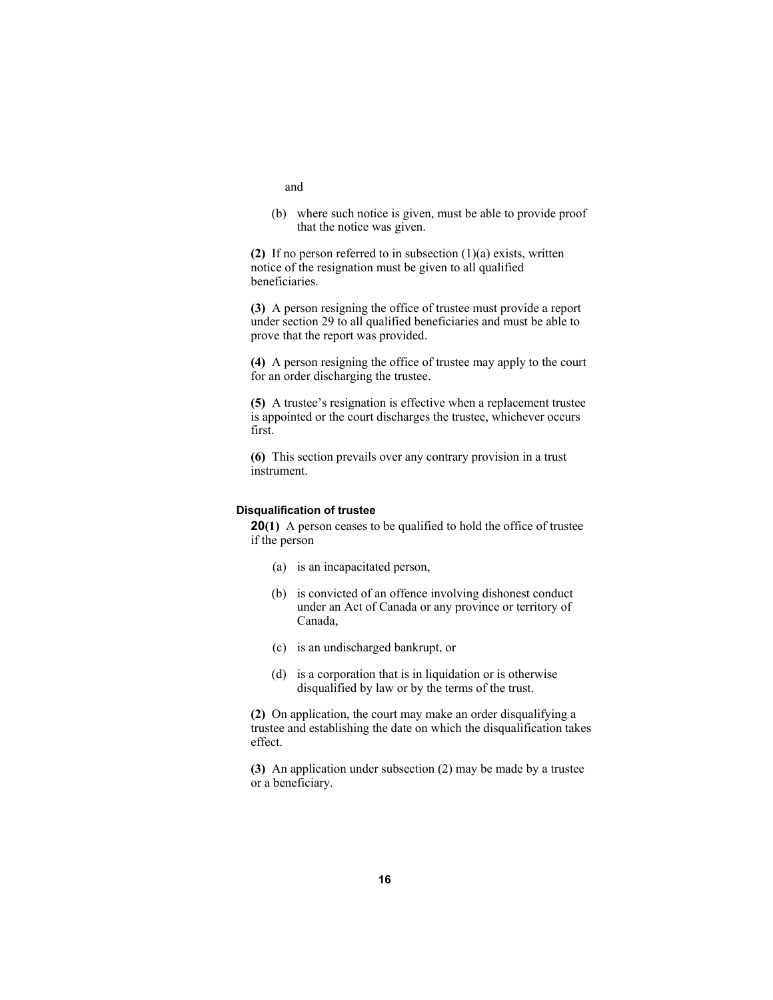- and
- (b) where such notice is given, must be able to provide proof that the notice was given.

**(2)** If no person referred to in subsection (1)(a) exists, written notice of the resignation must be given to all qualified beneficiaries.

**(3)** A person resigning the office of trustee must provide a report under section 29 to all qualified beneficiaries and must be able to prove that the report was provided.

**(4)** A person resigning the office of trustee may apply to the court for an order discharging the trustee.

**(5)** A trustee's resignation is effective when a replacement trustee is appointed or the court discharges the trustee, whichever occurs first.

**(6)** This section prevails over any contrary provision in a trust instrument.

#### **Disqualification of trustee**

**20(1)** A person ceases to be qualified to hold the office of trustee if the person

- (a) is an incapacitated person,
- (b) is convicted of an offence involving dishonest conduct under an Act of Canada or any province or territory of Canada,
- (c) is an undischarged bankrupt, or
- (d) is a corporation that is in liquidation or is otherwise disqualified by law or by the terms of the trust.

**(2)** On application, the court may make an order disqualifying a trustee and establishing the date on which the disqualification takes effect.

**(3)** An application under subsection (2) may be made by a trustee or a beneficiary.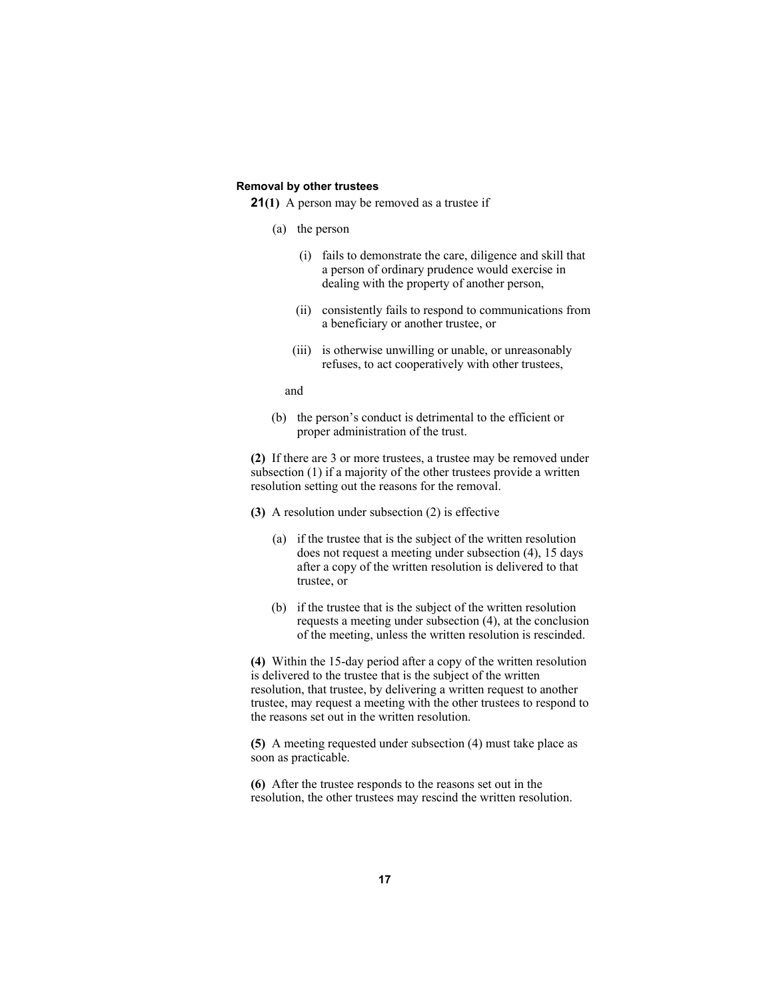#### **Removal by other trustees**

**21(1)** A person may be removed as a trustee if

- (a) the person
	- (i) fails to demonstrate the care, diligence and skill that a person of ordinary prudence would exercise in dealing with the property of another person,
	- (ii) consistently fails to respond to communications from a beneficiary or another trustee, or
	- (iii) is otherwise unwilling or unable, or unreasonably refuses, to act cooperatively with other trustees,

and

 (b) the person's conduct is detrimental to the efficient or proper administration of the trust.

**(2)** If there are 3 or more trustees, a trustee may be removed under subsection (1) if a majority of the other trustees provide a written resolution setting out the reasons for the removal.

- **(3)** A resolution under subsection (2) is effective
	- (a) if the trustee that is the subject of the written resolution does not request a meeting under subsection (4), 15 days after a copy of the written resolution is delivered to that trustee, or
	- (b) if the trustee that is the subject of the written resolution requests a meeting under subsection (4), at the conclusion of the meeting, unless the written resolution is rescinded.

**(4)** Within the 15-day period after a copy of the written resolution is delivered to the trustee that is the subject of the written resolution, that trustee, by delivering a written request to another trustee, may request a meeting with the other trustees to respond to the reasons set out in the written resolution.

**(5)** A meeting requested under subsection (4) must take place as soon as practicable.

**(6)** After the trustee responds to the reasons set out in the resolution, the other trustees may rescind the written resolution.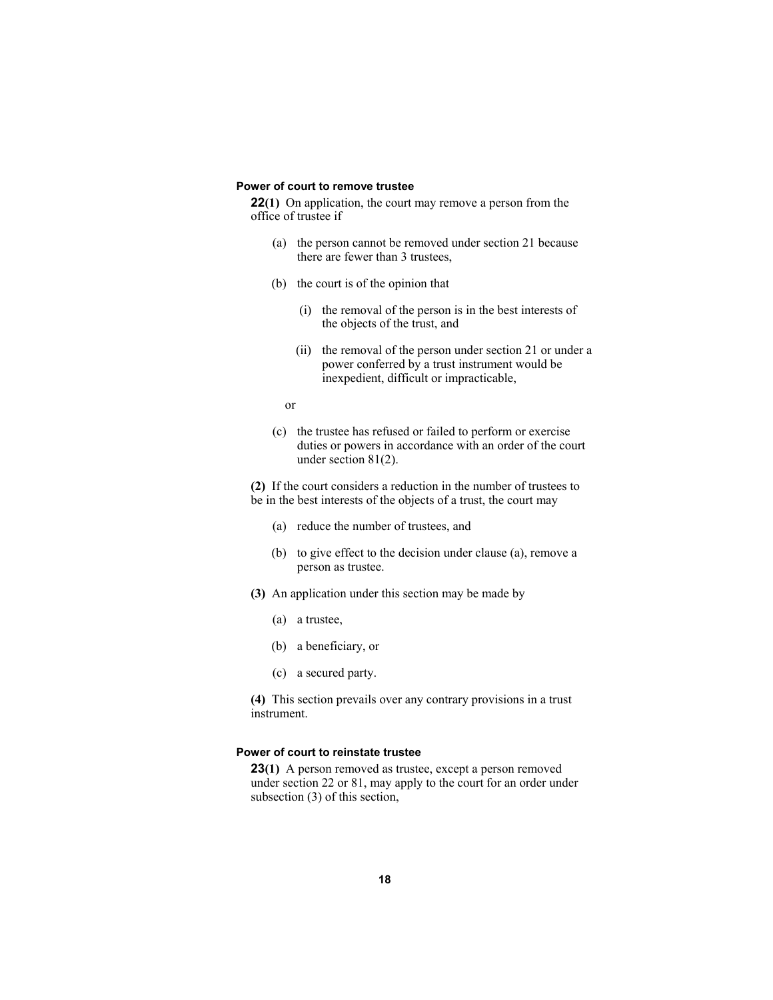#### **Power of court to remove trustee**

**22(1)** On application, the court may remove a person from the office of trustee if

- (a) the person cannot be removed under section 21 because there are fewer than 3 trustees,
- (b) the court is of the opinion that
	- (i) the removal of the person is in the best interests of the objects of the trust, and
	- (ii) the removal of the person under section 21 or under a power conferred by a trust instrument would be inexpedient, difficult or impracticable,
- or
	- (c) the trustee has refused or failed to perform or exercise duties or powers in accordance with an order of the court under section 81(2).

**(2)** If the court considers a reduction in the number of trustees to be in the best interests of the objects of a trust, the court may

- (a) reduce the number of trustees, and
- (b) to give effect to the decision under clause (a), remove a person as trustee.
- **(3)** An application under this section may be made by
	- (a) a trustee,
	- (b) a beneficiary, or
	- (c) a secured party.

**(4)** This section prevails over any contrary provisions in a trust instrument.

#### **Power of court to reinstate trustee**

**23(1)** A person removed as trustee, except a person removed under section 22 or 81, may apply to the court for an order under subsection (3) of this section,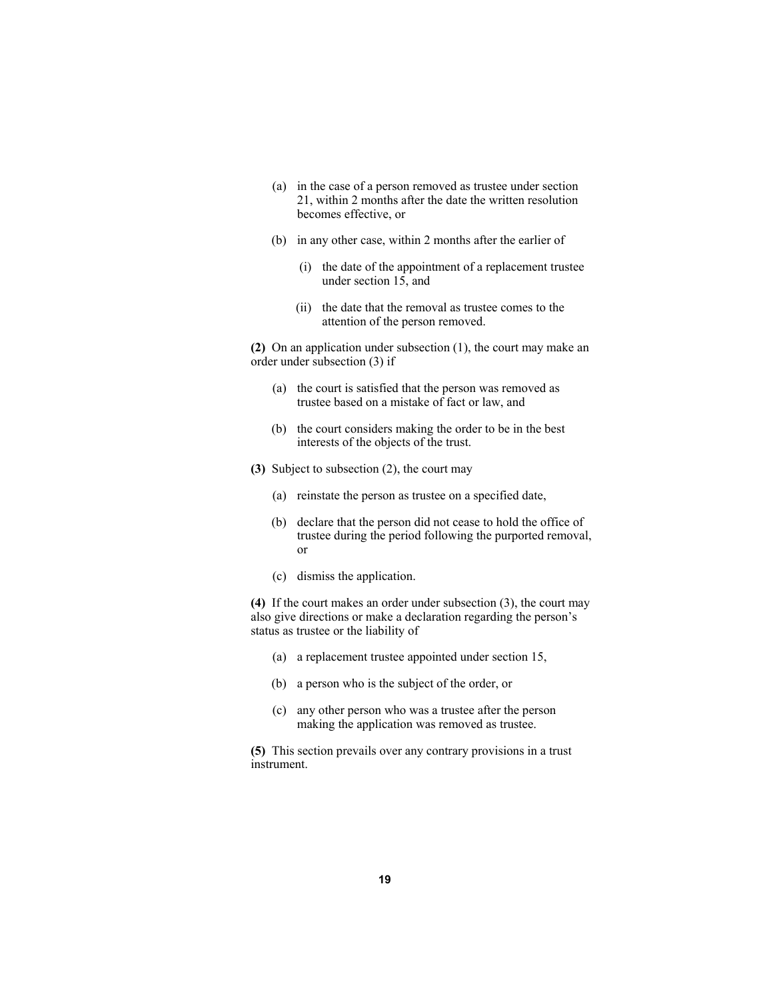- (a) in the case of a person removed as trustee under section 21, within 2 months after the date the written resolution becomes effective, or
- (b) in any other case, within 2 months after the earlier of
	- (i) the date of the appointment of a replacement trustee under section 15, and
	- (ii) the date that the removal as trustee comes to the attention of the person removed.

**(2)** On an application under subsection (1), the court may make an order under subsection (3) if

- (a) the court is satisfied that the person was removed as trustee based on a mistake of fact or law, and
- (b) the court considers making the order to be in the best interests of the objects of the trust.
- **(3)** Subject to subsection (2), the court may
	- (a) reinstate the person as trustee on a specified date,
	- (b) declare that the person did not cease to hold the office of trustee during the period following the purported removal, or
	- (c) dismiss the application.

**(4)** If the court makes an order under subsection (3), the court may also give directions or make a declaration regarding the person's status as trustee or the liability of

- (a) a replacement trustee appointed under section 15,
- (b) a person who is the subject of the order, or
- (c) any other person who was a trustee after the person making the application was removed as trustee.

**(5)** This section prevails over any contrary provisions in a trust instrument.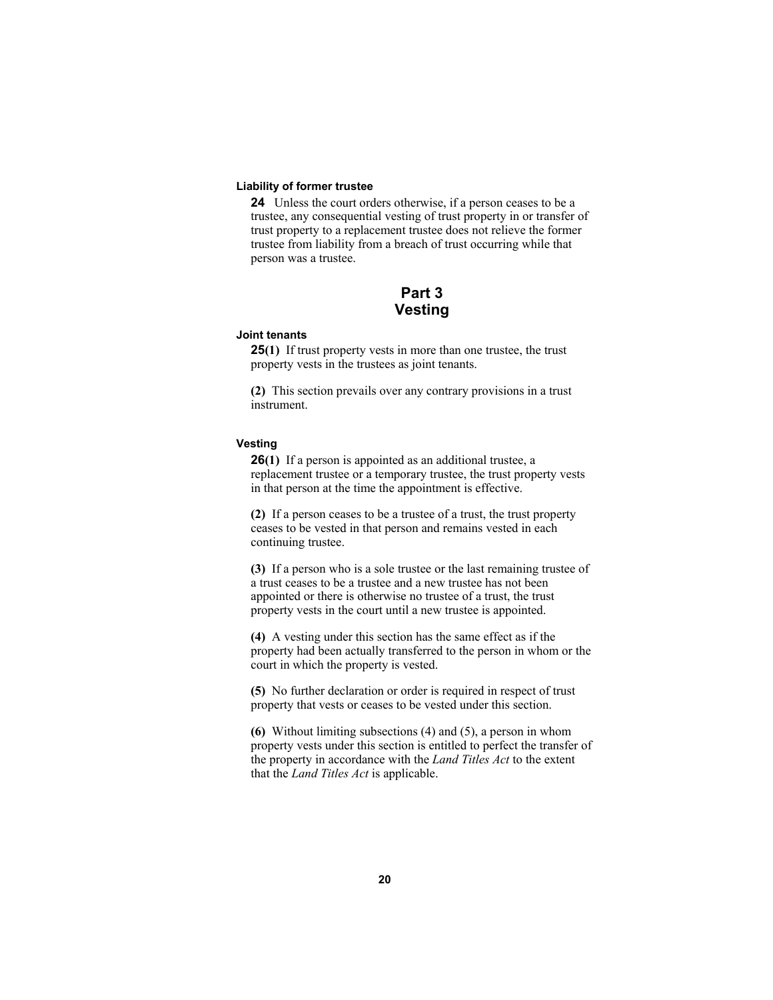#### **Liability of former trustee**

**24** Unless the court orders otherwise, if a person ceases to be a trustee, any consequential vesting of trust property in or transfer of trust property to a replacement trustee does not relieve the former trustee from liability from a breach of trust occurring while that person was a trustee.

# **Part 3 Vesting**

#### **Joint tenants**

**25(1)** If trust property vests in more than one trustee, the trust property vests in the trustees as joint tenants.

**(2)** This section prevails over any contrary provisions in a trust instrument.

#### **Vesting**

**26(1)** If a person is appointed as an additional trustee, a replacement trustee or a temporary trustee, the trust property vests in that person at the time the appointment is effective.

**(2)** If a person ceases to be a trustee of a trust, the trust property ceases to be vested in that person and remains vested in each continuing trustee.

**(3)** If a person who is a sole trustee or the last remaining trustee of a trust ceases to be a trustee and a new trustee has not been appointed or there is otherwise no trustee of a trust, the trust property vests in the court until a new trustee is appointed.

**(4)** A vesting under this section has the same effect as if the property had been actually transferred to the person in whom or the court in which the property is vested.

**(5)** No further declaration or order is required in respect of trust property that vests or ceases to be vested under this section.

**(6)** Without limiting subsections (4) and (5), a person in whom property vests under this section is entitled to perfect the transfer of the property in accordance with the *Land Titles Act* to the extent that the *Land Titles Act* is applicable.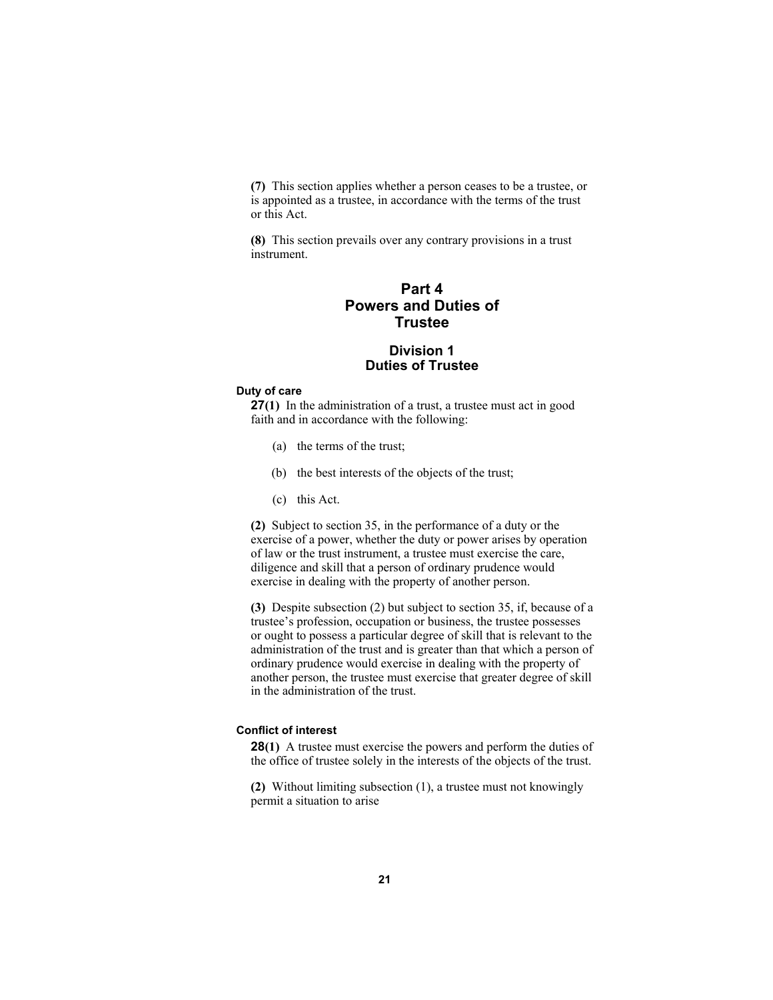**(7)** This section applies whether a person ceases to be a trustee, or is appointed as a trustee, in accordance with the terms of the trust or this Act.

**(8)** This section prevails over any contrary provisions in a trust instrument.

# **Part 4 Powers and Duties of Trustee**

# **Division 1 Duties of Trustee**

#### **Duty of care**

**27(1)** In the administration of a trust, a trustee must act in good faith and in accordance with the following:

- (a) the terms of the trust;
- (b) the best interests of the objects of the trust;
- (c) this Act.

**(2)** Subject to section 35, in the performance of a duty or the exercise of a power, whether the duty or power arises by operation of law or the trust instrument, a trustee must exercise the care, diligence and skill that a person of ordinary prudence would exercise in dealing with the property of another person.

**(3)** Despite subsection (2) but subject to section 35, if, because of a trustee's profession, occupation or business, the trustee possesses or ought to possess a particular degree of skill that is relevant to the administration of the trust and is greater than that which a person of ordinary prudence would exercise in dealing with the property of another person, the trustee must exercise that greater degree of skill in the administration of the trust.

## **Conflict of interest**

**28(1)** A trustee must exercise the powers and perform the duties of the office of trustee solely in the interests of the objects of the trust.

**(2)** Without limiting subsection (1), a trustee must not knowingly permit a situation to arise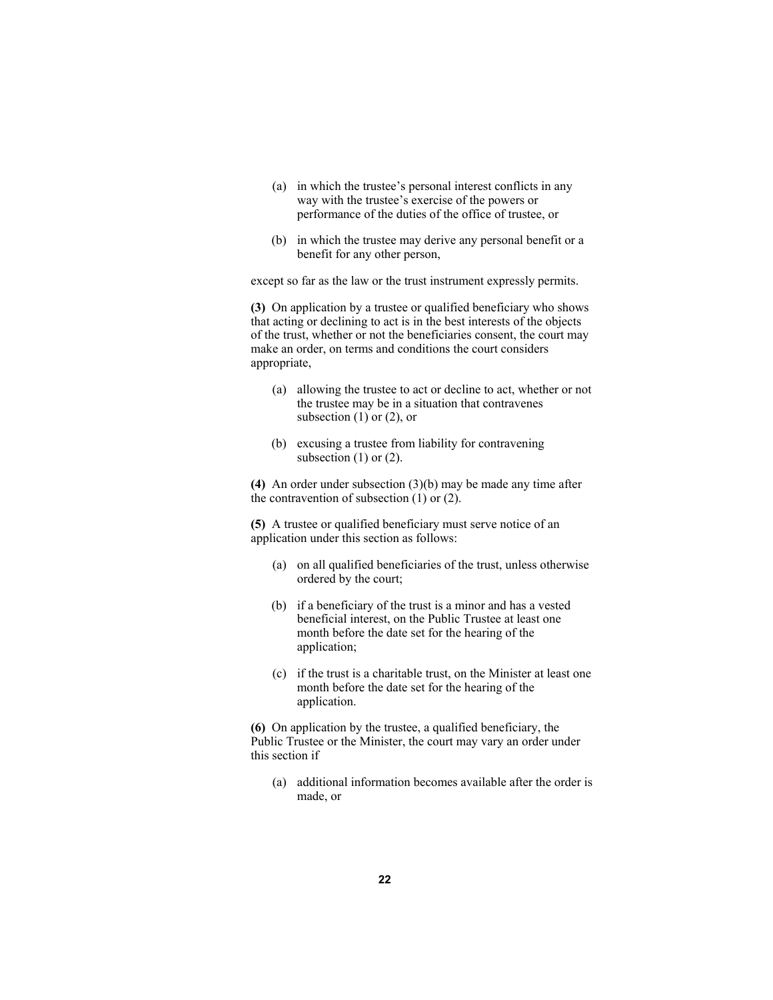- (a) in which the trustee's personal interest conflicts in any way with the trustee's exercise of the powers or performance of the duties of the office of trustee, or
- (b) in which the trustee may derive any personal benefit or a benefit for any other person,

except so far as the law or the trust instrument expressly permits.

**(3)** On application by a trustee or qualified beneficiary who shows that acting or declining to act is in the best interests of the objects of the trust, whether or not the beneficiaries consent, the court may make an order, on terms and conditions the court considers appropriate,

- (a) allowing the trustee to act or decline to act, whether or not the trustee may be in a situation that contravenes subsection  $(1)$  or  $(2)$ , or
- (b) excusing a trustee from liability for contravening subsection  $(1)$  or  $(2)$ .

**(4)** An order under subsection (3)(b) may be made any time after the contravention of subsection  $(1)$  or  $(2)$ .

**(5)** A trustee or qualified beneficiary must serve notice of an application under this section as follows:

- (a) on all qualified beneficiaries of the trust, unless otherwise ordered by the court;
- (b) if a beneficiary of the trust is a minor and has a vested beneficial interest, on the Public Trustee at least one month before the date set for the hearing of the application;
- (c) if the trust is a charitable trust, on the Minister at least one month before the date set for the hearing of the application.

**(6)** On application by the trustee, a qualified beneficiary, the Public Trustee or the Minister, the court may vary an order under this section if

 (a) additional information becomes available after the order is made, or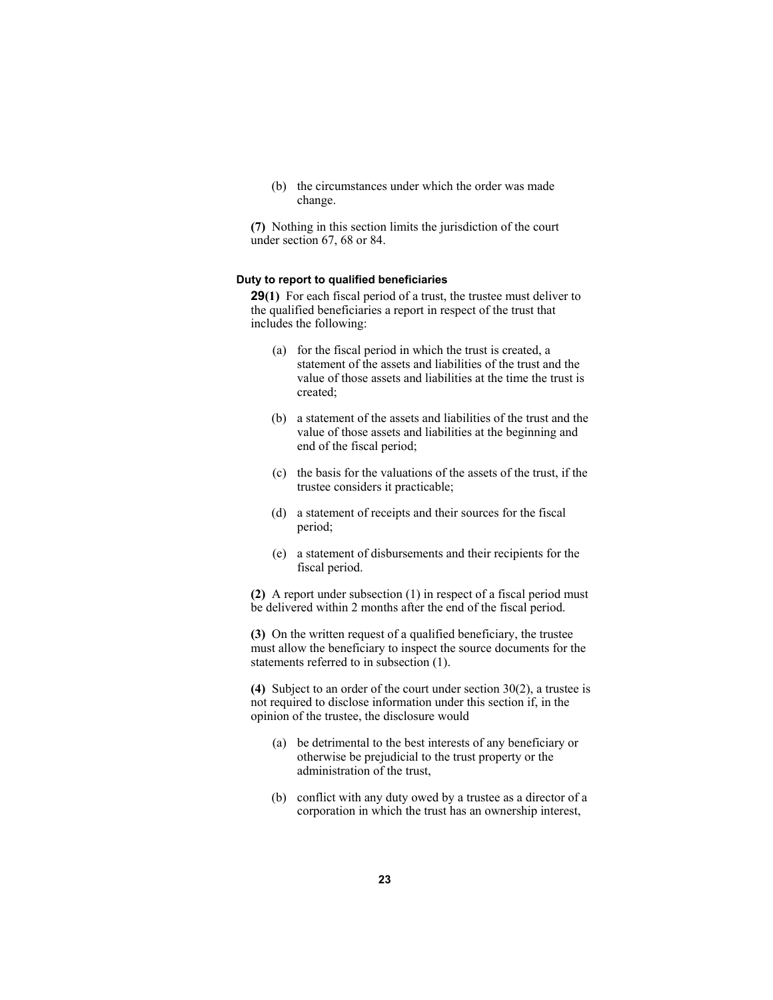(b) the circumstances under which the order was made change.

**(7)** Nothing in this section limits the jurisdiction of the court under section 67, 68 or 84.

#### **Duty to report to qualified beneficiaries**

**29(1)** For each fiscal period of a trust, the trustee must deliver to the qualified beneficiaries a report in respect of the trust that includes the following:

- (a) for the fiscal period in which the trust is created, a statement of the assets and liabilities of the trust and the value of those assets and liabilities at the time the trust is created;
- (b) a statement of the assets and liabilities of the trust and the value of those assets and liabilities at the beginning and end of the fiscal period;
- (c) the basis for the valuations of the assets of the trust, if the trustee considers it practicable;
- (d) a statement of receipts and their sources for the fiscal period;
- (e) a statement of disbursements and their recipients for the fiscal period.

**(2)** A report under subsection (1) in respect of a fiscal period must be delivered within 2 months after the end of the fiscal period.

**(3)** On the written request of a qualified beneficiary, the trustee must allow the beneficiary to inspect the source documents for the statements referred to in subsection (1).

**(4)** Subject to an order of the court under section 30(2), a trustee is not required to disclose information under this section if, in the opinion of the trustee, the disclosure would

- (a) be detrimental to the best interests of any beneficiary or otherwise be prejudicial to the trust property or the administration of the trust,
- (b) conflict with any duty owed by a trustee as a director of a corporation in which the trust has an ownership interest,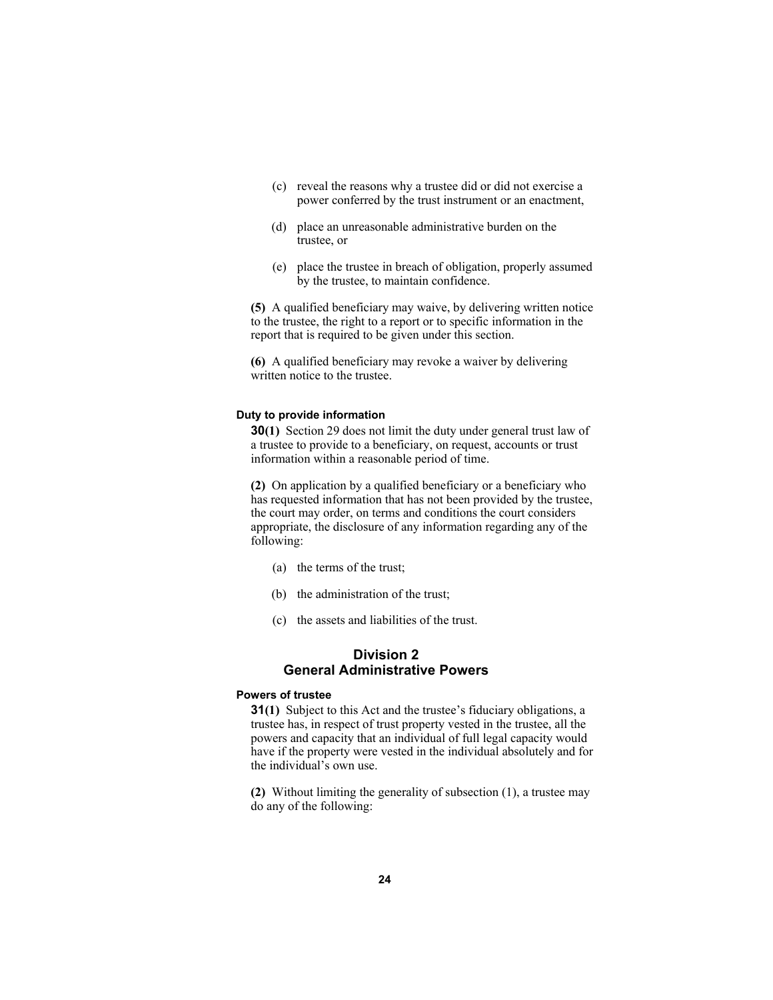- (c) reveal the reasons why a trustee did or did not exercise a power conferred by the trust instrument or an enactment,
- (d) place an unreasonable administrative burden on the trustee, or
- (e) place the trustee in breach of obligation, properly assumed by the trustee, to maintain confidence.

**(5)** A qualified beneficiary may waive, by delivering written notice to the trustee, the right to a report or to specific information in the report that is required to be given under this section.

**(6)** A qualified beneficiary may revoke a waiver by delivering written notice to the trustee.

#### **Duty to provide information**

**30(1)** Section 29 does not limit the duty under general trust law of a trustee to provide to a beneficiary, on request, accounts or trust information within a reasonable period of time.

**(2)** On application by a qualified beneficiary or a beneficiary who has requested information that has not been provided by the trustee, the court may order, on terms and conditions the court considers appropriate, the disclosure of any information regarding any of the following:

- (a) the terms of the trust;
- (b) the administration of the trust;
- (c) the assets and liabilities of the trust.

# **Division 2 General Administrative Powers**

#### **Powers of trustee**

**31(1)** Subject to this Act and the trustee's fiduciary obligations, a trustee has, in respect of trust property vested in the trustee, all the powers and capacity that an individual of full legal capacity would have if the property were vested in the individual absolutely and for the individual's own use.

**(2)** Without limiting the generality of subsection (1), a trustee may do any of the following: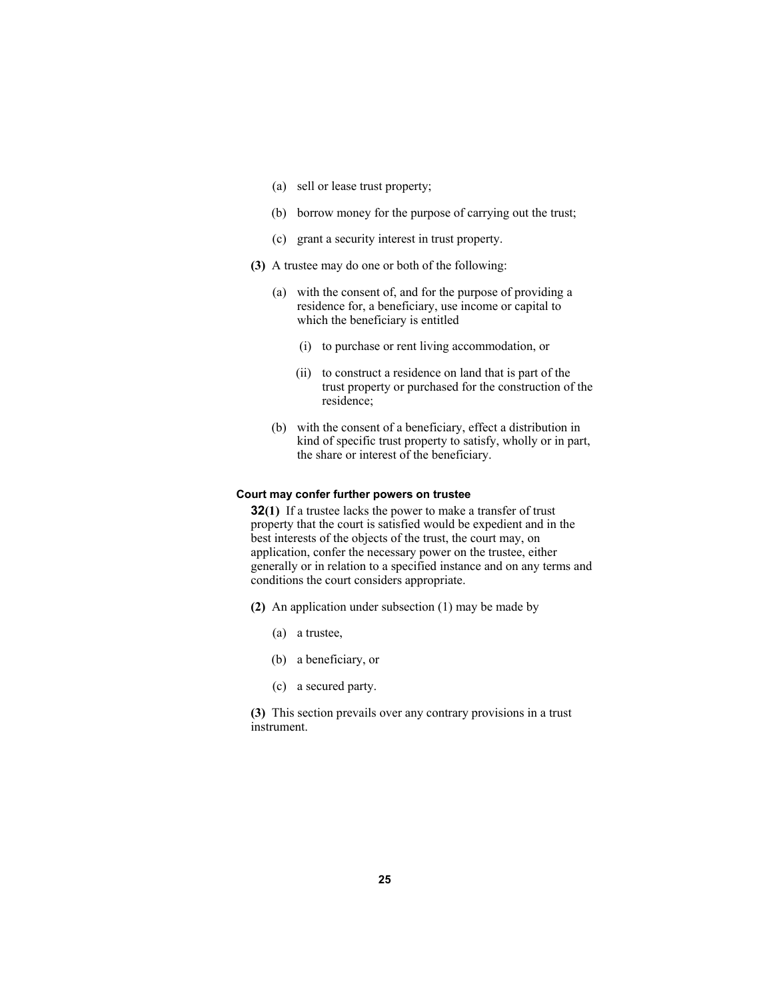- (a) sell or lease trust property;
- (b) borrow money for the purpose of carrying out the trust;
- (c) grant a security interest in trust property.
- **(3)** A trustee may do one or both of the following:
	- (a) with the consent of, and for the purpose of providing a residence for, a beneficiary, use income or capital to which the beneficiary is entitled
		- (i) to purchase or rent living accommodation, or
		- (ii) to construct a residence on land that is part of the trust property or purchased for the construction of the residence;
	- (b) with the consent of a beneficiary, effect a distribution in kind of specific trust property to satisfy, wholly or in part, the share or interest of the beneficiary.

#### **Court may confer further powers on trustee**

**32(1)** If a trustee lacks the power to make a transfer of trust property that the court is satisfied would be expedient and in the best interests of the objects of the trust, the court may, on application, confer the necessary power on the trustee, either generally or in relation to a specified instance and on any terms and conditions the court considers appropriate.

- **(2)** An application under subsection (1) may be made by
	- (a) a trustee,
	- (b) a beneficiary, or
	- (c) a secured party.

**(3)** This section prevails over any contrary provisions in a trust instrument.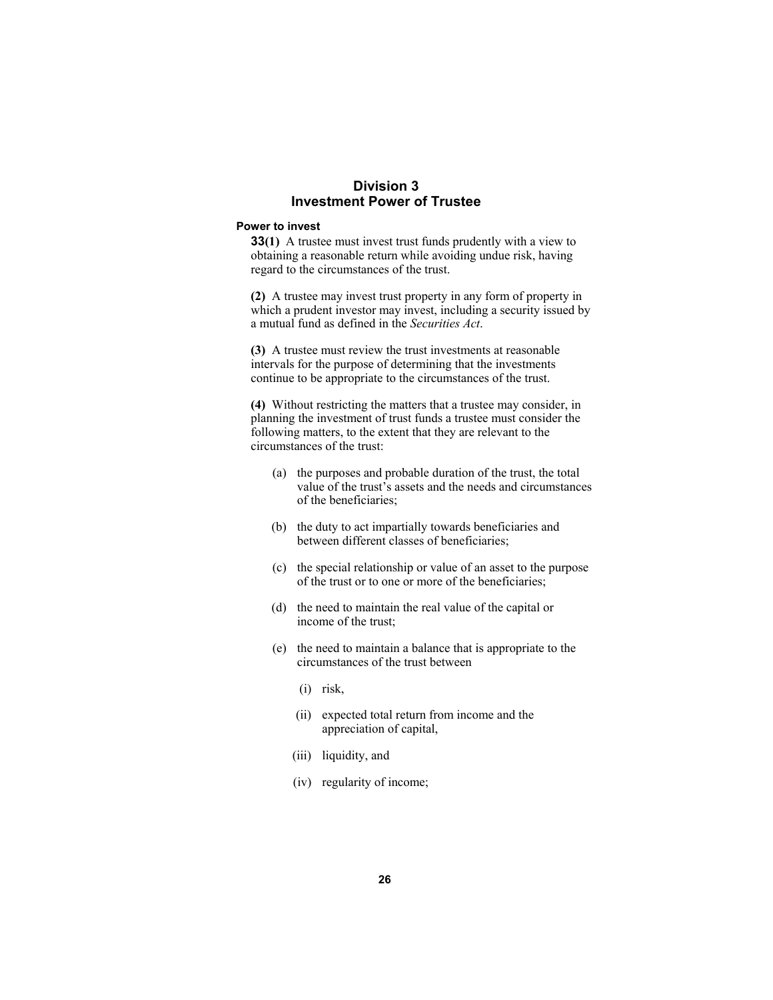# **Division 3 Investment Power of Trustee**

#### **Power to invest**

**33(1)** A trustee must invest trust funds prudently with a view to obtaining a reasonable return while avoiding undue risk, having regard to the circumstances of the trust.

**(2)** A trustee may invest trust property in any form of property in which a prudent investor may invest, including a security issued by a mutual fund as defined in the *Securities Act*.

**(3)** A trustee must review the trust investments at reasonable intervals for the purpose of determining that the investments continue to be appropriate to the circumstances of the trust.

**(4)** Without restricting the matters that a trustee may consider, in planning the investment of trust funds a trustee must consider the following matters, to the extent that they are relevant to the circumstances of the trust:

- (a) the purposes and probable duration of the trust, the total value of the trust's assets and the needs and circumstances of the beneficiaries;
- (b) the duty to act impartially towards beneficiaries and between different classes of beneficiaries;
- (c) the special relationship or value of an asset to the purpose of the trust or to one or more of the beneficiaries;
- (d) the need to maintain the real value of the capital or income of the trust;
- (e) the need to maintain a balance that is appropriate to the circumstances of the trust between
	- (i) risk,
	- (ii) expected total return from income and the appreciation of capital,
	- (iii) liquidity, and
	- (iv) regularity of income;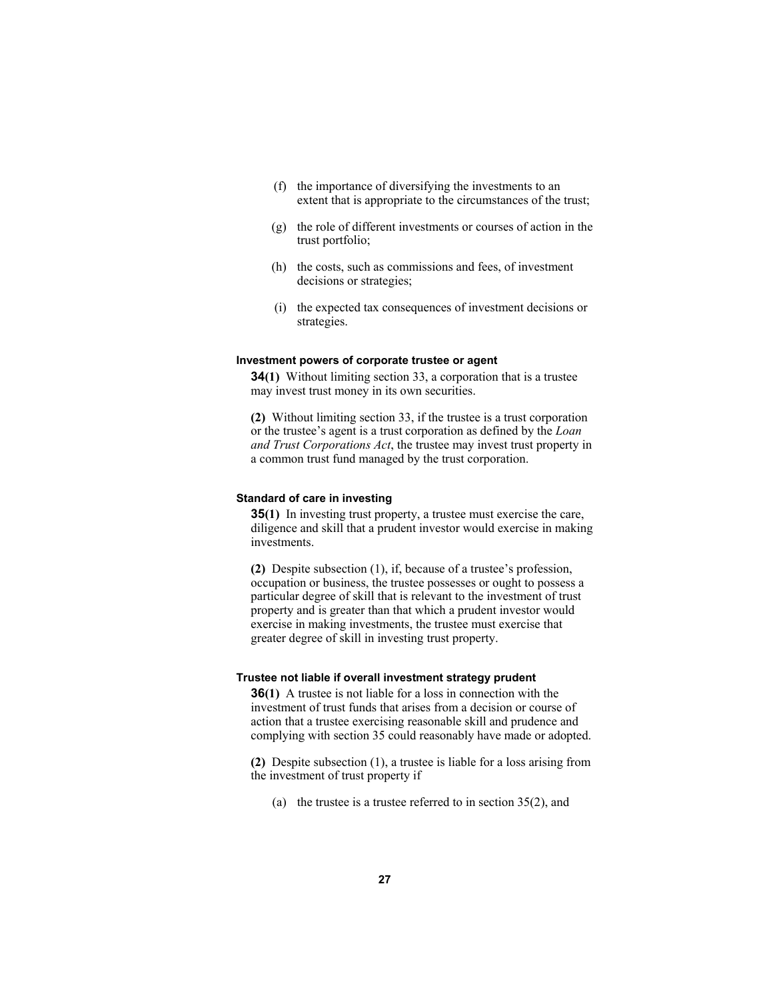- (f) the importance of diversifying the investments to an extent that is appropriate to the circumstances of the trust;
- (g) the role of different investments or courses of action in the trust portfolio;
- (h) the costs, such as commissions and fees, of investment decisions or strategies;
- (i) the expected tax consequences of investment decisions or strategies.

#### **Investment powers of corporate trustee or agent**

**34(1)** Without limiting section 33, a corporation that is a trustee may invest trust money in its own securities.

**(2)** Without limiting section 33, if the trustee is a trust corporation or the trustee's agent is a trust corporation as defined by the *Loan and Trust Corporations Act*, the trustee may invest trust property in a common trust fund managed by the trust corporation.

#### **Standard of care in investing**

**35(1)** In investing trust property, a trustee must exercise the care, diligence and skill that a prudent investor would exercise in making investments.

**(2)** Despite subsection (1), if, because of a trustee's profession, occupation or business, the trustee possesses or ought to possess a particular degree of skill that is relevant to the investment of trust property and is greater than that which a prudent investor would exercise in making investments, the trustee must exercise that greater degree of skill in investing trust property.

## **Trustee not liable if overall investment strategy prudent**

**36(1)** A trustee is not liable for a loss in connection with the investment of trust funds that arises from a decision or course of action that a trustee exercising reasonable skill and prudence and complying with section 35 could reasonably have made or adopted.

**(2)** Despite subsection (1), a trustee is liable for a loss arising from the investment of trust property if

(a) the trustee is a trustee referred to in section  $35(2)$ , and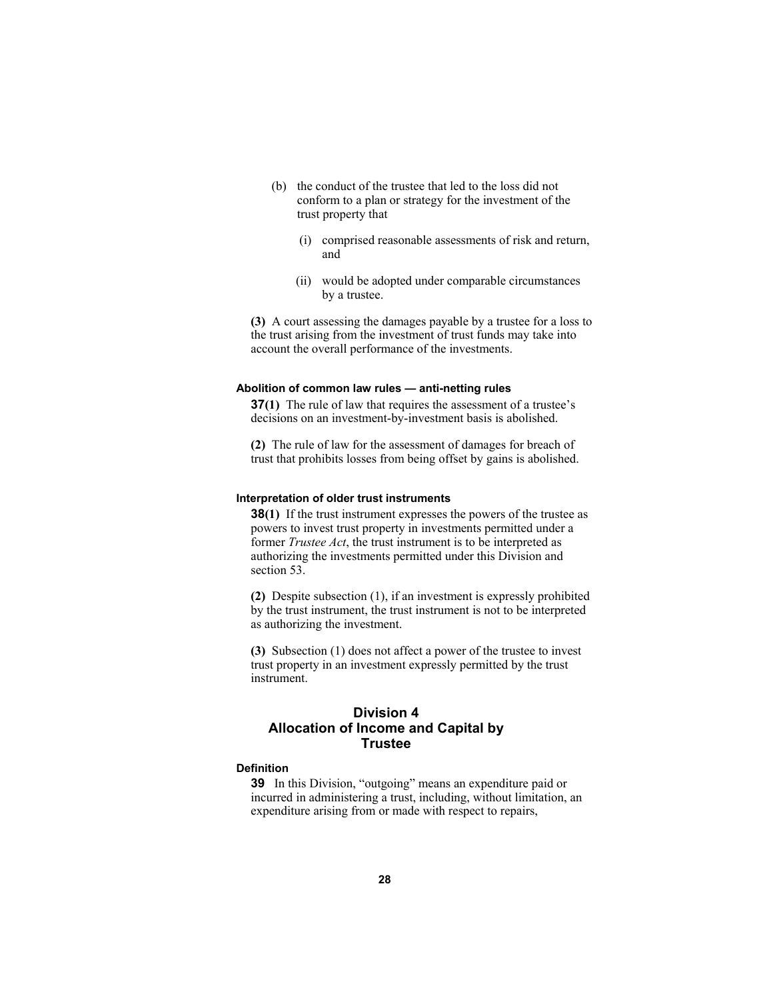- (b) the conduct of the trustee that led to the loss did not conform to a plan or strategy for the investment of the trust property that
	- (i) comprised reasonable assessments of risk and return, and
	- (ii) would be adopted under comparable circumstances by a trustee.

**(3)** A court assessing the damages payable by a trustee for a loss to the trust arising from the investment of trust funds may take into account the overall performance of the investments.

#### **Abolition of common law rules — anti-netting rules**

**37(1)** The rule of law that requires the assessment of a trustee's decisions on an investment-by-investment basis is abolished.

**(2)** The rule of law for the assessment of damages for breach of trust that prohibits losses from being offset by gains is abolished.

#### **Interpretation of older trust instruments**

**38(1)** If the trust instrument expresses the powers of the trustee as powers to invest trust property in investments permitted under a former *Trustee Act*, the trust instrument is to be interpreted as authorizing the investments permitted under this Division and section 53.

**(2)** Despite subsection (1), if an investment is expressly prohibited by the trust instrument, the trust instrument is not to be interpreted as authorizing the investment.

**(3)** Subsection (1) does not affect a power of the trustee to invest trust property in an investment expressly permitted by the trust instrument.

# **Division 4 Allocation of Income and Capital by Trustee**

#### **Definition**

**39** In this Division, "outgoing" means an expenditure paid or incurred in administering a trust, including, without limitation, an expenditure arising from or made with respect to repairs,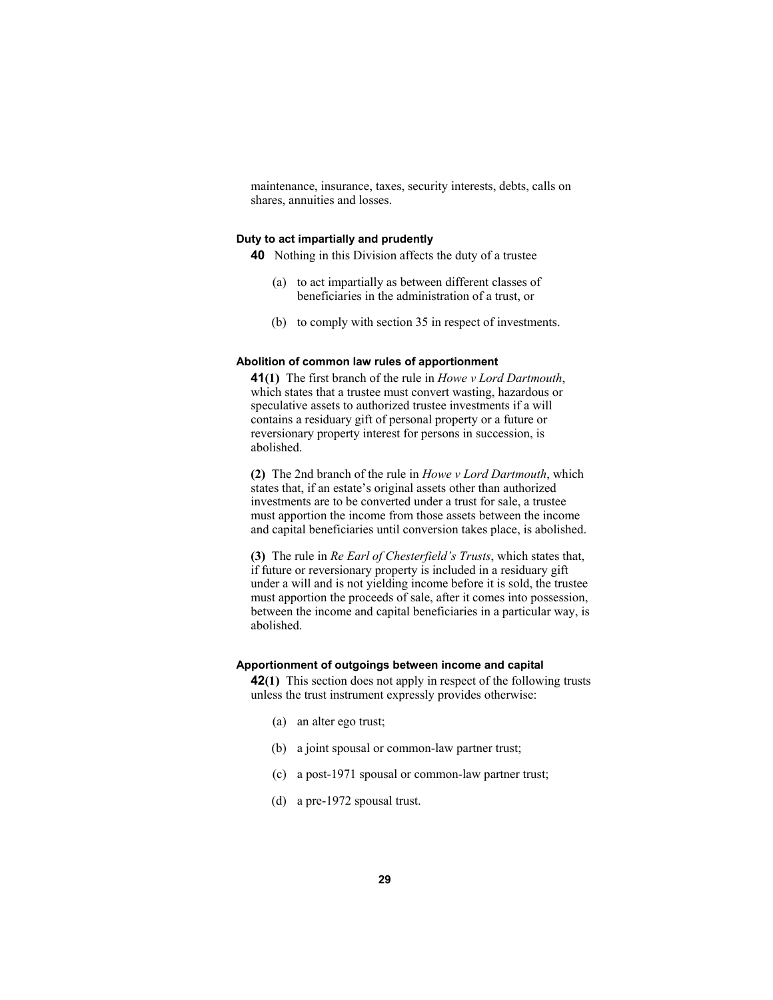maintenance, insurance, taxes, security interests, debts, calls on shares, annuities and losses.

#### **Duty to act impartially and prudently**

**40** Nothing in this Division affects the duty of a trustee

- (a) to act impartially as between different classes of beneficiaries in the administration of a trust, or
- (b) to comply with section 35 in respect of investments.

#### **Abolition of common law rules of apportionment**

**41(1)** The first branch of the rule in *Howe v Lord Dartmouth*, which states that a trustee must convert wasting, hazardous or speculative assets to authorized trustee investments if a will contains a residuary gift of personal property or a future or reversionary property interest for persons in succession, is abolished.

**(2)** The 2nd branch of the rule in *Howe v Lord Dartmouth*, which states that, if an estate's original assets other than authorized investments are to be converted under a trust for sale, a trustee must apportion the income from those assets between the income and capital beneficiaries until conversion takes place, is abolished.

**(3)** The rule in *Re Earl of Chesterfield's Trusts*, which states that, if future or reversionary property is included in a residuary gift under a will and is not yielding income before it is sold, the trustee must apportion the proceeds of sale, after it comes into possession, between the income and capital beneficiaries in a particular way, is abolished.

#### **Apportionment of outgoings between income and capital**

**42(1)** This section does not apply in respect of the following trusts unless the trust instrument expressly provides otherwise:

- (a) an alter ego trust;
- (b) a joint spousal or common-law partner trust;
- (c) a post-1971 spousal or common-law partner trust;
- (d) a pre-1972 spousal trust.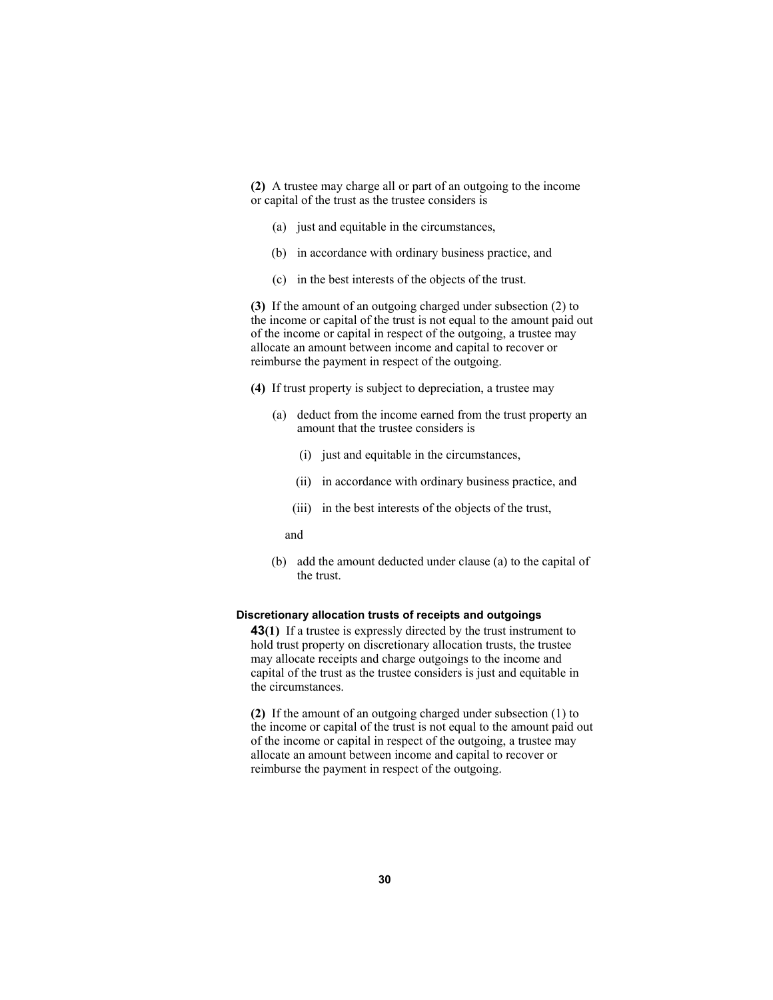**(2)** A trustee may charge all or part of an outgoing to the income or capital of the trust as the trustee considers is

- (a) just and equitable in the circumstances,
- (b) in accordance with ordinary business practice, and
- (c) in the best interests of the objects of the trust.

**(3)** If the amount of an outgoing charged under subsection (2) to the income or capital of the trust is not equal to the amount paid out of the income or capital in respect of the outgoing, a trustee may allocate an amount between income and capital to recover or reimburse the payment in respect of the outgoing.

- **(4)** If trust property is subject to depreciation, a trustee may
	- (a) deduct from the income earned from the trust property an amount that the trustee considers is
		- (i) just and equitable in the circumstances,
		- (ii) in accordance with ordinary business practice, and
		- (iii) in the best interests of the objects of the trust,

and

 (b) add the amount deducted under clause (a) to the capital of the trust.

#### **Discretionary allocation trusts of receipts and outgoings**

**43(1)** If a trustee is expressly directed by the trust instrument to hold trust property on discretionary allocation trusts, the trustee may allocate receipts and charge outgoings to the income and capital of the trust as the trustee considers is just and equitable in the circumstances.

**(2)** If the amount of an outgoing charged under subsection (1) to the income or capital of the trust is not equal to the amount paid out of the income or capital in respect of the outgoing, a trustee may allocate an amount between income and capital to recover or reimburse the payment in respect of the outgoing.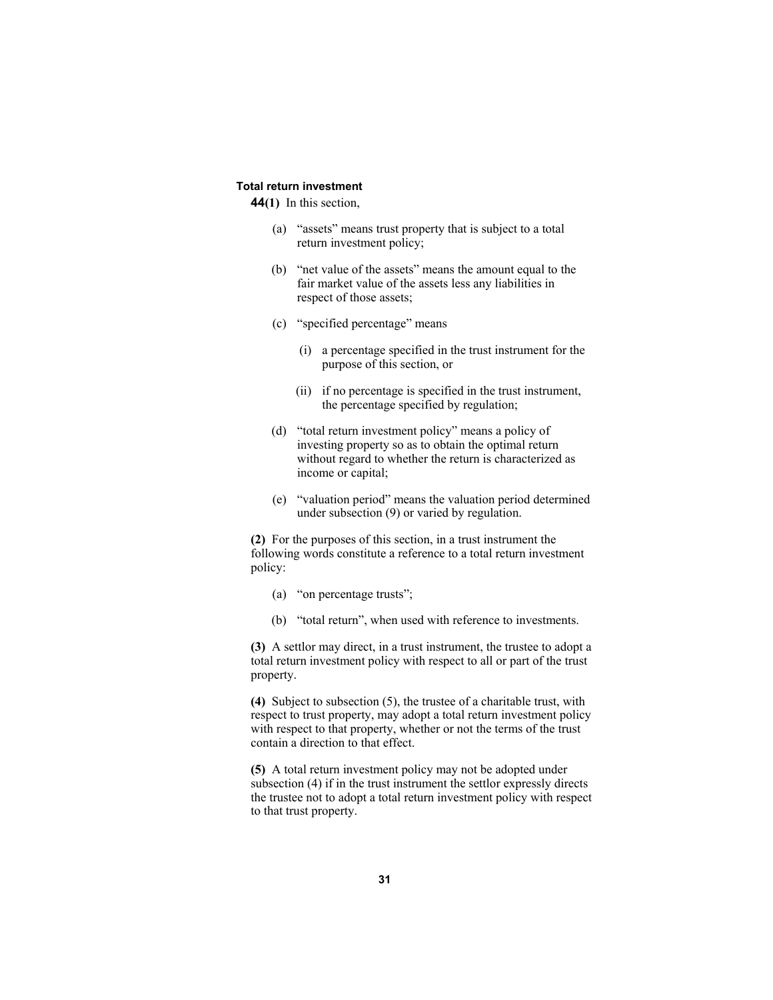#### **Total return investment**

**44(1)** In this section,

- (a) "assets" means trust property that is subject to a total return investment policy;
- (b) "net value of the assets" means the amount equal to the fair market value of the assets less any liabilities in respect of those assets;
- (c) "specified percentage" means
	- (i) a percentage specified in the trust instrument for the purpose of this section, or
	- (ii) if no percentage is specified in the trust instrument, the percentage specified by regulation;
- (d) "total return investment policy" means a policy of investing property so as to obtain the optimal return without regard to whether the return is characterized as income or capital;
- (e) "valuation period" means the valuation period determined under subsection (9) or varied by regulation.

**(2)** For the purposes of this section, in a trust instrument the following words constitute a reference to a total return investment policy:

- (a) "on percentage trusts";
- (b) "total return", when used with reference to investments.

**(3)** A settlor may direct, in a trust instrument, the trustee to adopt a total return investment policy with respect to all or part of the trust property.

**(4)** Subject to subsection (5), the trustee of a charitable trust, with respect to trust property, may adopt a total return investment policy with respect to that property, whether or not the terms of the trust contain a direction to that effect.

**(5)** A total return investment policy may not be adopted under subsection (4) if in the trust instrument the settlor expressly directs the trustee not to adopt a total return investment policy with respect to that trust property.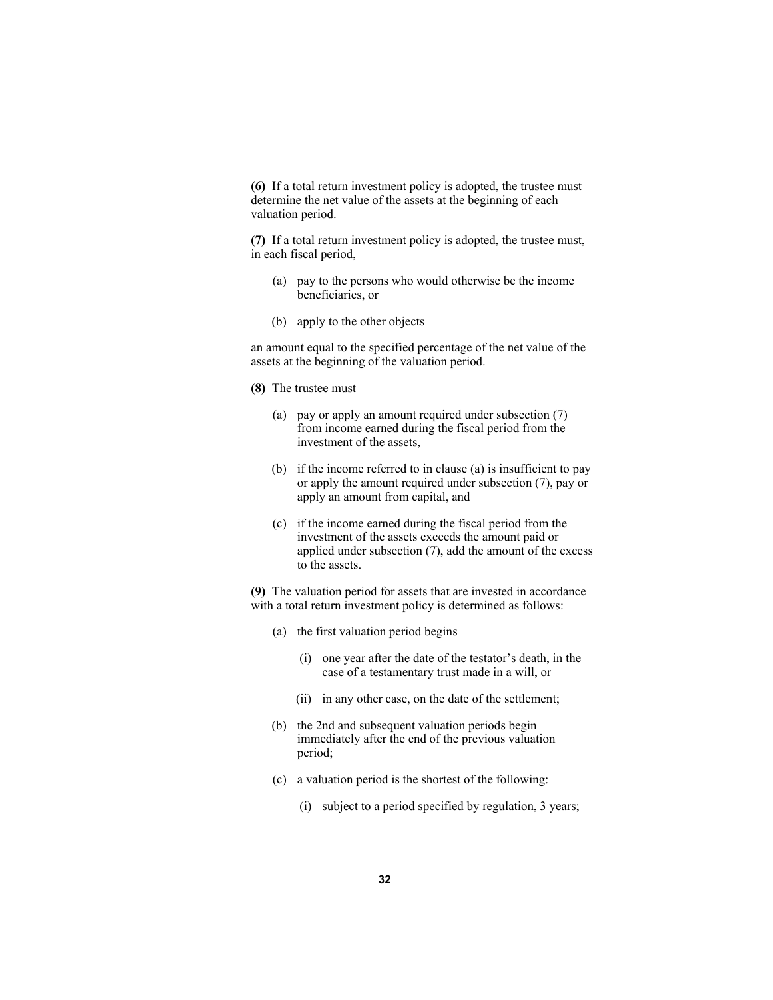**(6)** If a total return investment policy is adopted, the trustee must determine the net value of the assets at the beginning of each valuation period.

**(7)** If a total return investment policy is adopted, the trustee must, in each fiscal period,

- (a) pay to the persons who would otherwise be the income beneficiaries, or
- (b) apply to the other objects

an amount equal to the specified percentage of the net value of the assets at the beginning of the valuation period.

- **(8)** The trustee must
	- (a) pay or apply an amount required under subsection (7) from income earned during the fiscal period from the investment of the assets,
	- (b) if the income referred to in clause (a) is insufficient to pay or apply the amount required under subsection (7), pay or apply an amount from capital, and
	- (c) if the income earned during the fiscal period from the investment of the assets exceeds the amount paid or applied under subsection (7), add the amount of the excess to the assets.

**(9)** The valuation period for assets that are invested in accordance with a total return investment policy is determined as follows:

- (a) the first valuation period begins
	- (i) one year after the date of the testator's death, in the case of a testamentary trust made in a will, or
	- (ii) in any other case, on the date of the settlement;
- (b) the 2nd and subsequent valuation periods begin immediately after the end of the previous valuation period;
- (c) a valuation period is the shortest of the following:
	- (i) subject to a period specified by regulation, 3 years;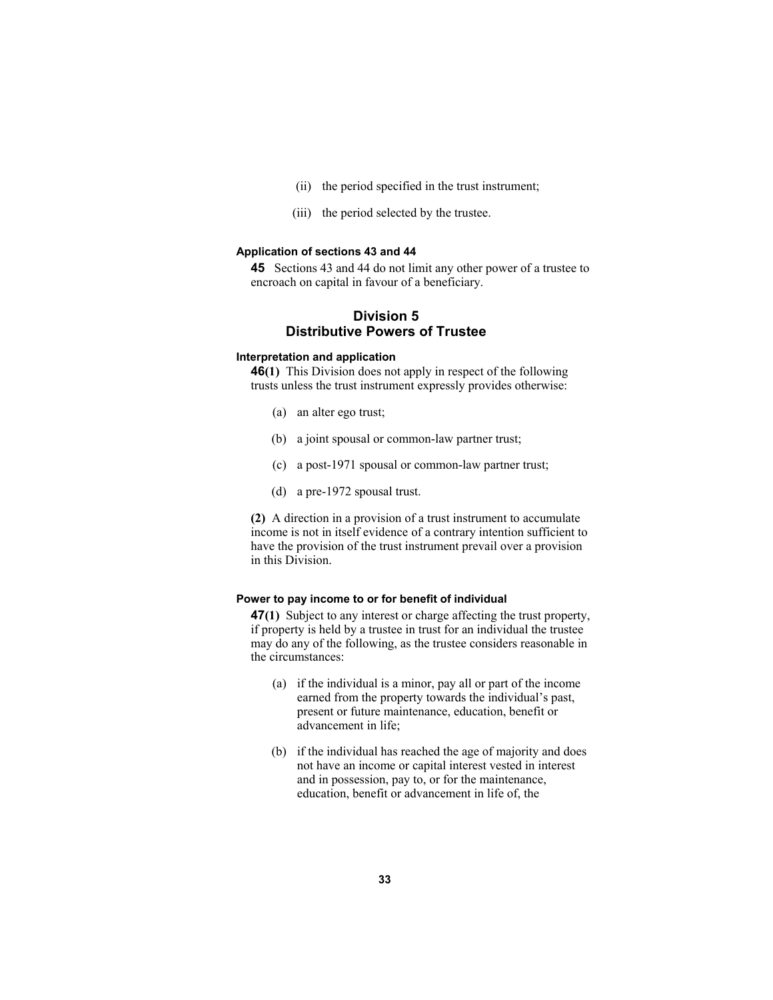- (ii) the period specified in the trust instrument;
- (iii) the period selected by the trustee.

#### **Application of sections 43 and 44**

**45** Sections 43 and 44 do not limit any other power of a trustee to encroach on capital in favour of a beneficiary.

## **Division 5 Distributive Powers of Trustee**

#### **Interpretation and application**

**46(1)** This Division does not apply in respect of the following trusts unless the trust instrument expressly provides otherwise:

- (a) an alter ego trust;
- (b) a joint spousal or common-law partner trust;
- (c) a post-1971 spousal or common-law partner trust;
- (d) a pre-1972 spousal trust.

**(2)** A direction in a provision of a trust instrument to accumulate income is not in itself evidence of a contrary intention sufficient to have the provision of the trust instrument prevail over a provision in this Division.

#### **Power to pay income to or for benefit of individual**

**47(1)** Subject to any interest or charge affecting the trust property, if property is held by a trustee in trust for an individual the trustee may do any of the following, as the trustee considers reasonable in the circumstances:

- (a) if the individual is a minor, pay all or part of the income earned from the property towards the individual's past, present or future maintenance, education, benefit or advancement in life;
- (b) if the individual has reached the age of majority and does not have an income or capital interest vested in interest and in possession, pay to, or for the maintenance, education, benefit or advancement in life of, the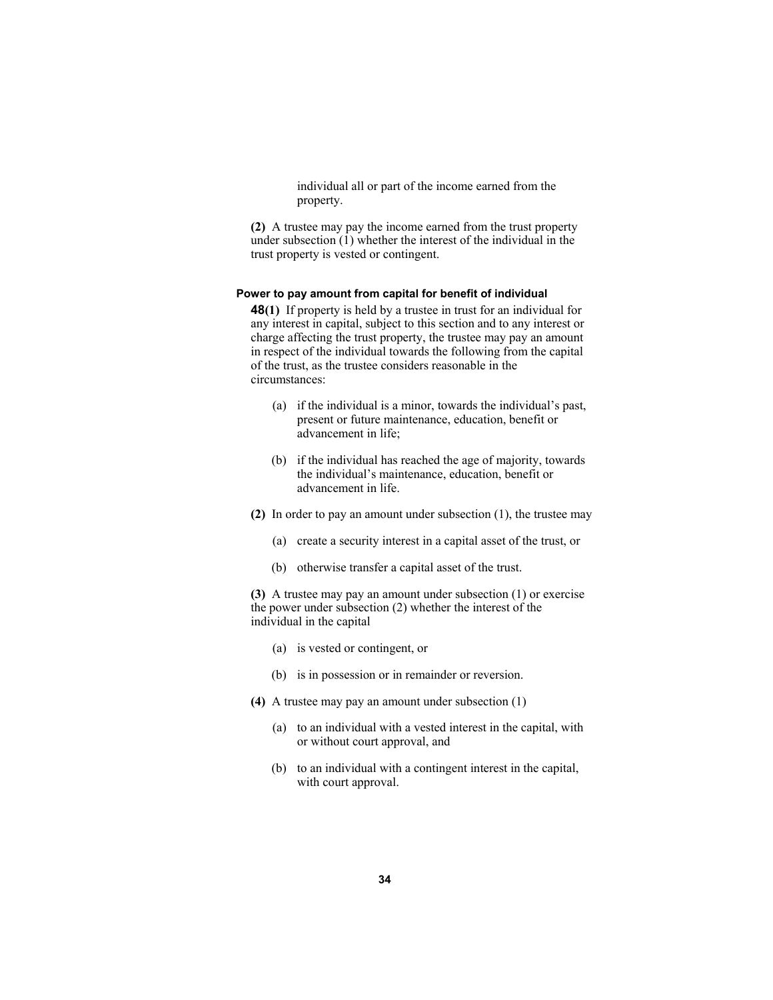individual all or part of the income earned from the property.

**(2)** A trustee may pay the income earned from the trust property under subsection (1) whether the interest of the individual in the trust property is vested or contingent.

#### **Power to pay amount from capital for benefit of individual**

**48(1)** If property is held by a trustee in trust for an individual for any interest in capital, subject to this section and to any interest or charge affecting the trust property, the trustee may pay an amount in respect of the individual towards the following from the capital of the trust, as the trustee considers reasonable in the circumstances:

- (a) if the individual is a minor, towards the individual's past, present or future maintenance, education, benefit or advancement in life;
- (b) if the individual has reached the age of majority, towards the individual's maintenance, education, benefit or advancement in life.
- **(2)** In order to pay an amount under subsection (1), the trustee may
	- (a) create a security interest in a capital asset of the trust, or
	- (b) otherwise transfer a capital asset of the trust.

**(3)** A trustee may pay an amount under subsection (1) or exercise the power under subsection (2) whether the interest of the individual in the capital

- (a) is vested or contingent, or
- (b) is in possession or in remainder or reversion.
- **(4)** A trustee may pay an amount under subsection (1)
	- (a) to an individual with a vested interest in the capital, with or without court approval, and
	- (b) to an individual with a contingent interest in the capital, with court approval.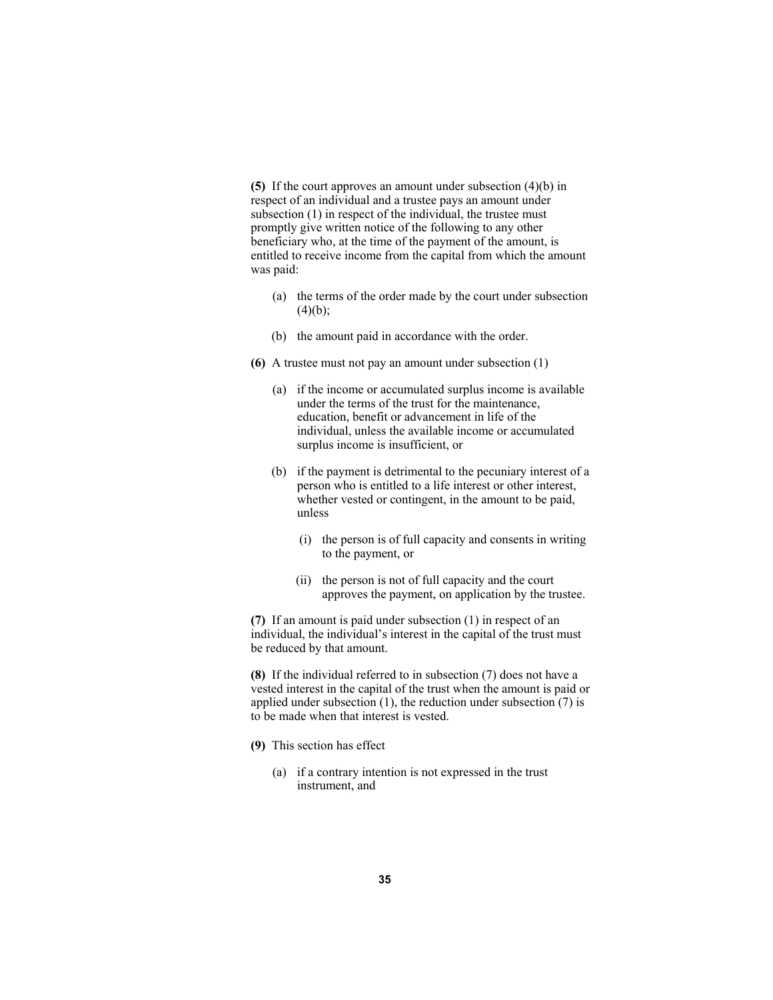**(5)** If the court approves an amount under subsection (4)(b) in respect of an individual and a trustee pays an amount under subsection (1) in respect of the individual, the trustee must promptly give written notice of the following to any other beneficiary who, at the time of the payment of the amount, is entitled to receive income from the capital from which the amount was paid:

- (a) the terms of the order made by the court under subsection  $(4)(b);$
- (b) the amount paid in accordance with the order.
- **(6)** A trustee must not pay an amount under subsection (1)
	- (a) if the income or accumulated surplus income is available under the terms of the trust for the maintenance, education, benefit or advancement in life of the individual, unless the available income or accumulated surplus income is insufficient, or
	- (b) if the payment is detrimental to the pecuniary interest of a person who is entitled to a life interest or other interest, whether vested or contingent, in the amount to be paid, unless
		- (i) the person is of full capacity and consents in writing to the payment, or
		- (ii) the person is not of full capacity and the court approves the payment, on application by the trustee.

**(7)** If an amount is paid under subsection (1) in respect of an individual, the individual's interest in the capital of the trust must be reduced by that amount.

**(8)** If the individual referred to in subsection (7) does not have a vested interest in the capital of the trust when the amount is paid or applied under subsection  $(1)$ , the reduction under subsection  $(7)$  is to be made when that interest is vested.

- **(9)** This section has effect
	- (a) if a contrary intention is not expressed in the trust instrument, and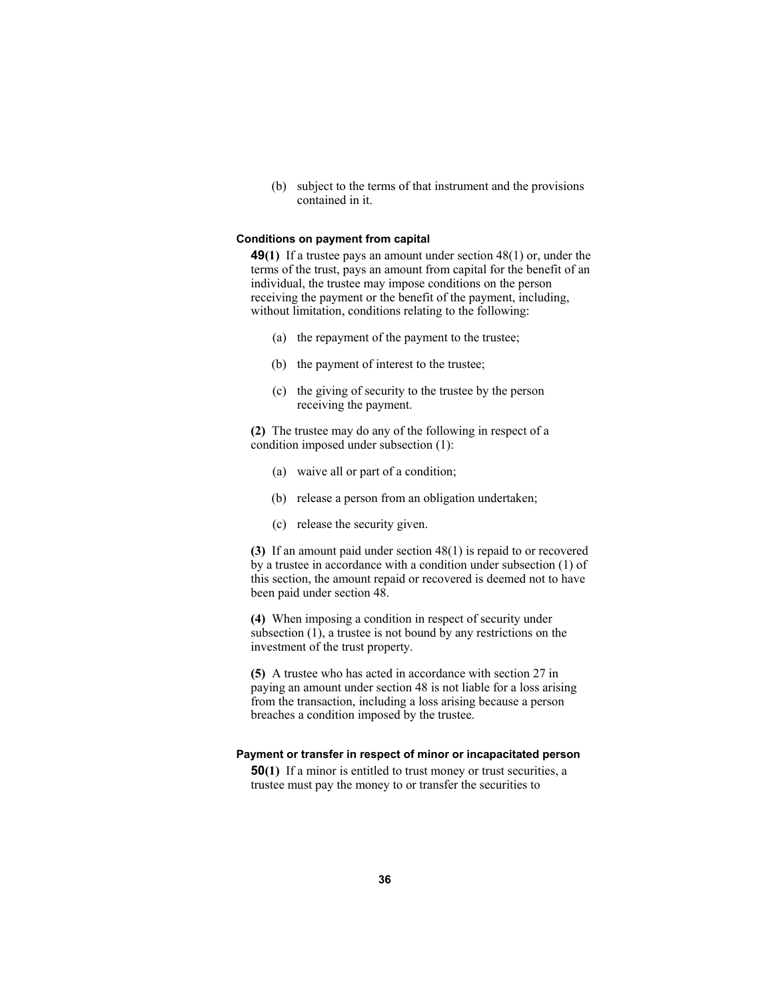(b) subject to the terms of that instrument and the provisions contained in it.

#### **Conditions on payment from capital**

**49(1)** If a trustee pays an amount under section 48(1) or, under the terms of the trust, pays an amount from capital for the benefit of an individual, the trustee may impose conditions on the person receiving the payment or the benefit of the payment, including, without limitation, conditions relating to the following:

- (a) the repayment of the payment to the trustee;
- (b) the payment of interest to the trustee;
- (c) the giving of security to the trustee by the person receiving the payment.

**(2)** The trustee may do any of the following in respect of a condition imposed under subsection (1):

- (a) waive all or part of a condition;
- (b) release a person from an obligation undertaken;
- (c) release the security given.

**(3)** If an amount paid under section 48(1) is repaid to or recovered by a trustee in accordance with a condition under subsection (1) of this section, the amount repaid or recovered is deemed not to have been paid under section 48.

**(4)** When imposing a condition in respect of security under subsection (1), a trustee is not bound by any restrictions on the investment of the trust property.

**(5)** A trustee who has acted in accordance with section 27 in paying an amount under section 48 is not liable for a loss arising from the transaction, including a loss arising because a person breaches a condition imposed by the trustee.

#### **Payment or transfer in respect of minor or incapacitated person**

**50(1)** If a minor is entitled to trust money or trust securities, a trustee must pay the money to or transfer the securities to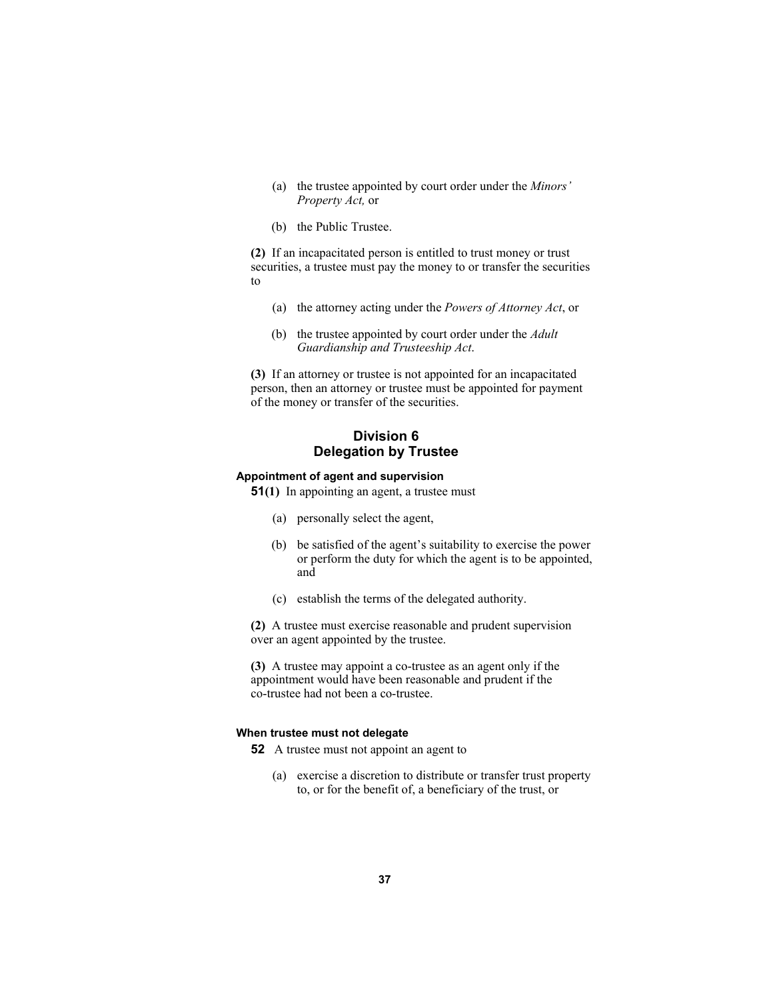- (a) the trustee appointed by court order under the *Minors' Property Act,* or
- (b) the Public Trustee.

**(2)** If an incapacitated person is entitled to trust money or trust securities, a trustee must pay the money to or transfer the securities to

- (a) the attorney acting under the *Powers of Attorney Act*, or
- (b) the trustee appointed by court order under the *Adult Guardianship and Trusteeship Act*.

**(3)** If an attorney or trustee is not appointed for an incapacitated person, then an attorney or trustee must be appointed for payment of the money or transfer of the securities.

# **Division 6 Delegation by Trustee**

#### **Appointment of agent and supervision**

- **51(1)** In appointing an agent, a trustee must
	- (a) personally select the agent,
	- (b) be satisfied of the agent's suitability to exercise the power or perform the duty for which the agent is to be appointed, and
	- (c) establish the terms of the delegated authority.

**(2)** A trustee must exercise reasonable and prudent supervision over an agent appointed by the trustee.

**(3)** A trustee may appoint a co-trustee as an agent only if the appointment would have been reasonable and prudent if the co-trustee had not been a co-trustee.

### **When trustee must not delegate**

**52** A trustee must not appoint an agent to

 (a) exercise a discretion to distribute or transfer trust property to, or for the benefit of, a beneficiary of the trust, or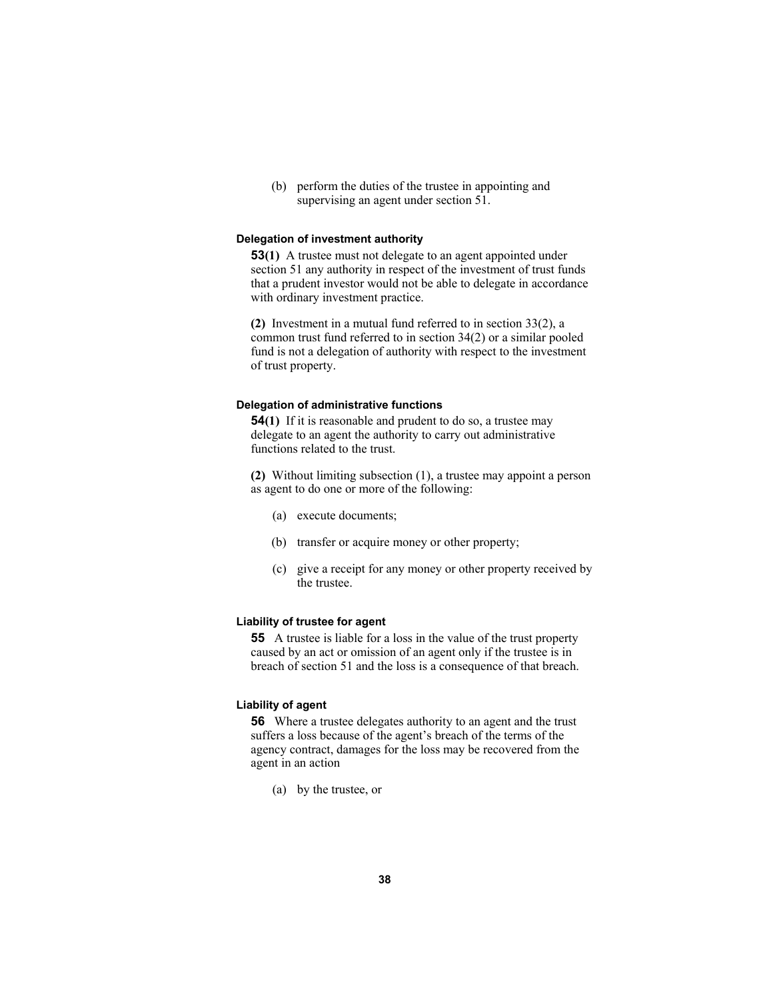(b) perform the duties of the trustee in appointing and supervising an agent under section 51.

### **Delegation of investment authority**

**53(1)** A trustee must not delegate to an agent appointed under section 51 any authority in respect of the investment of trust funds that a prudent investor would not be able to delegate in accordance with ordinary investment practice.

**(2)** Investment in a mutual fund referred to in section 33(2), a common trust fund referred to in section 34(2) or a similar pooled fund is not a delegation of authority with respect to the investment of trust property.

#### **Delegation of administrative functions**

**54(1)** If it is reasonable and prudent to do so, a trustee may delegate to an agent the authority to carry out administrative functions related to the trust.

**(2)** Without limiting subsection (1), a trustee may appoint a person as agent to do one or more of the following:

- (a) execute documents;
- (b) transfer or acquire money or other property;
- (c) give a receipt for any money or other property received by the trustee.

### **Liability of trustee for agent**

**55** A trustee is liable for a loss in the value of the trust property caused by an act or omission of an agent only if the trustee is in breach of section 51 and the loss is a consequence of that breach.

### **Liability of agent**

**56** Where a trustee delegates authority to an agent and the trust suffers a loss because of the agent's breach of the terms of the agency contract, damages for the loss may be recovered from the agent in an action

(a) by the trustee, or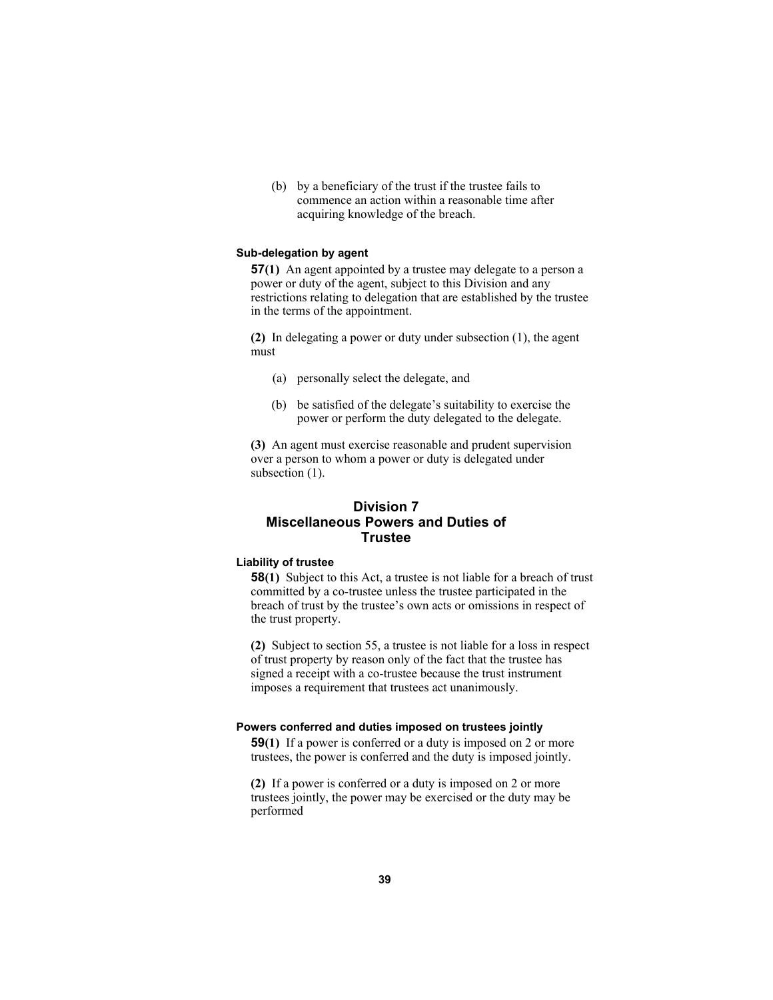(b) by a beneficiary of the trust if the trustee fails to commence an action within a reasonable time after acquiring knowledge of the breach.

### **Sub-delegation by agent**

**57(1)** An agent appointed by a trustee may delegate to a person a power or duty of the agent, subject to this Division and any restrictions relating to delegation that are established by the trustee in the terms of the appointment.

**(2)** In delegating a power or duty under subsection (1), the agent must

- (a) personally select the delegate, and
- (b) be satisfied of the delegate's suitability to exercise the power or perform the duty delegated to the delegate.

**(3)** An agent must exercise reasonable and prudent supervision over a person to whom a power or duty is delegated under subsection  $(1)$ .

# **Division 7 Miscellaneous Powers and Duties of Trustee**

# **Liability of trustee**

**58(1)** Subject to this Act, a trustee is not liable for a breach of trust committed by a co-trustee unless the trustee participated in the breach of trust by the trustee's own acts or omissions in respect of the trust property.

**(2)** Subject to section 55, a trustee is not liable for a loss in respect of trust property by reason only of the fact that the trustee has signed a receipt with a co-trustee because the trust instrument imposes a requirement that trustees act unanimously.

#### **Powers conferred and duties imposed on trustees jointly**

**59(1)** If a power is conferred or a duty is imposed on 2 or more trustees, the power is conferred and the duty is imposed jointly.

**(2)** If a power is conferred or a duty is imposed on 2 or more trustees jointly, the power may be exercised or the duty may be performed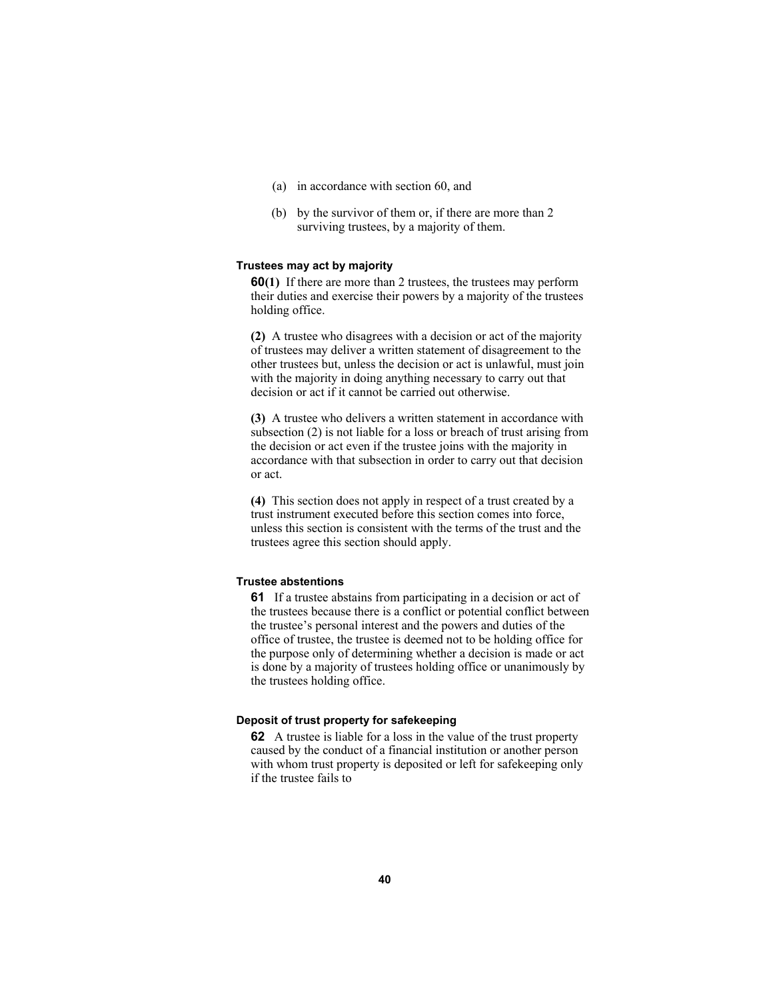- (a) in accordance with section 60, and
- (b) by the survivor of them or, if there are more than 2 surviving trustees, by a majority of them.

#### **Trustees may act by majority**

**60(1)** If there are more than 2 trustees, the trustees may perform their duties and exercise their powers by a majority of the trustees holding office.

**(2)** A trustee who disagrees with a decision or act of the majority of trustees may deliver a written statement of disagreement to the other trustees but, unless the decision or act is unlawful, must join with the majority in doing anything necessary to carry out that decision or act if it cannot be carried out otherwise.

**(3)** A trustee who delivers a written statement in accordance with subsection (2) is not liable for a loss or breach of trust arising from the decision or act even if the trustee joins with the majority in accordance with that subsection in order to carry out that decision or act.

**(4)** This section does not apply in respect of a trust created by a trust instrument executed before this section comes into force, unless this section is consistent with the terms of the trust and the trustees agree this section should apply.

### **Trustee abstentions**

**61** If a trustee abstains from participating in a decision or act of the trustees because there is a conflict or potential conflict between the trustee's personal interest and the powers and duties of the office of trustee, the trustee is deemed not to be holding office for the purpose only of determining whether a decision is made or act is done by a majority of trustees holding office or unanimously by the trustees holding office.

### **Deposit of trust property for safekeeping**

**62** A trustee is liable for a loss in the value of the trust property caused by the conduct of a financial institution or another person with whom trust property is deposited or left for safekeeping only if the trustee fails to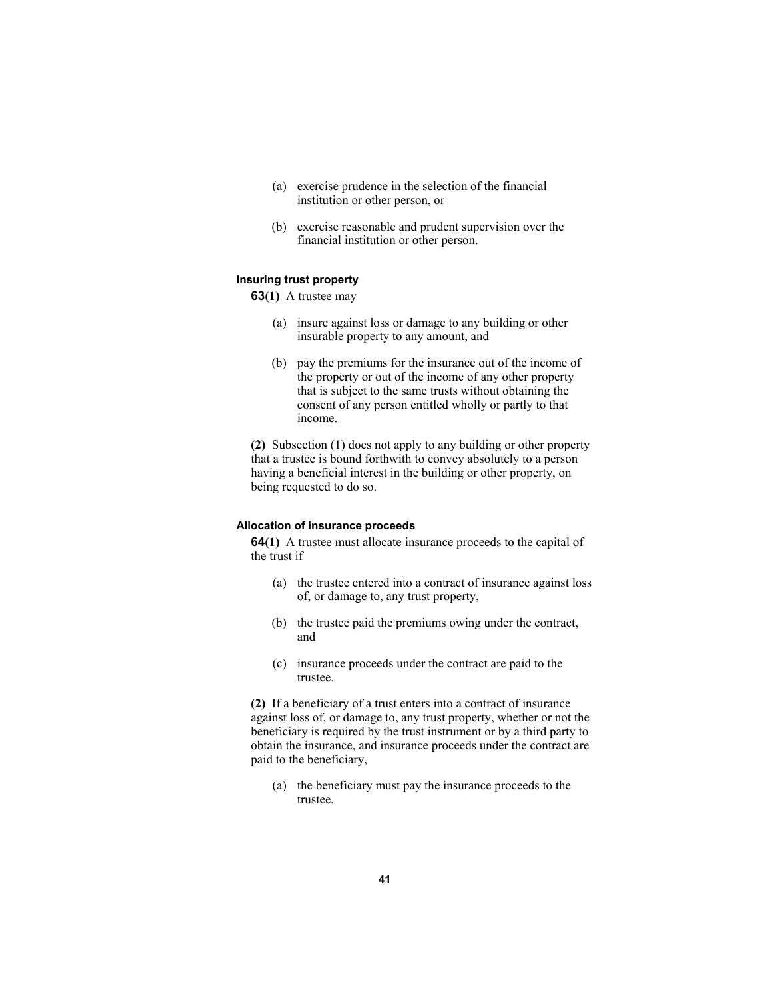- (a) exercise prudence in the selection of the financial institution or other person, or
- (b) exercise reasonable and prudent supervision over the financial institution or other person.

# **Insuring trust property**

**63(1)** A trustee may

- (a) insure against loss or damage to any building or other insurable property to any amount, and
- (b) pay the premiums for the insurance out of the income of the property or out of the income of any other property that is subject to the same trusts without obtaining the consent of any person entitled wholly or partly to that income.

**(2)** Subsection (1) does not apply to any building or other property that a trustee is bound forthwith to convey absolutely to a person having a beneficial interest in the building or other property, on being requested to do so.

### **Allocation of insurance proceeds**

**64(1)** A trustee must allocate insurance proceeds to the capital of the trust if

- (a) the trustee entered into a contract of insurance against loss of, or damage to, any trust property,
- (b) the trustee paid the premiums owing under the contract, and
- (c) insurance proceeds under the contract are paid to the trustee.

**(2)** If a beneficiary of a trust enters into a contract of insurance against loss of, or damage to, any trust property, whether or not the beneficiary is required by the trust instrument or by a third party to obtain the insurance, and insurance proceeds under the contract are paid to the beneficiary,

 (a) the beneficiary must pay the insurance proceeds to the trustee,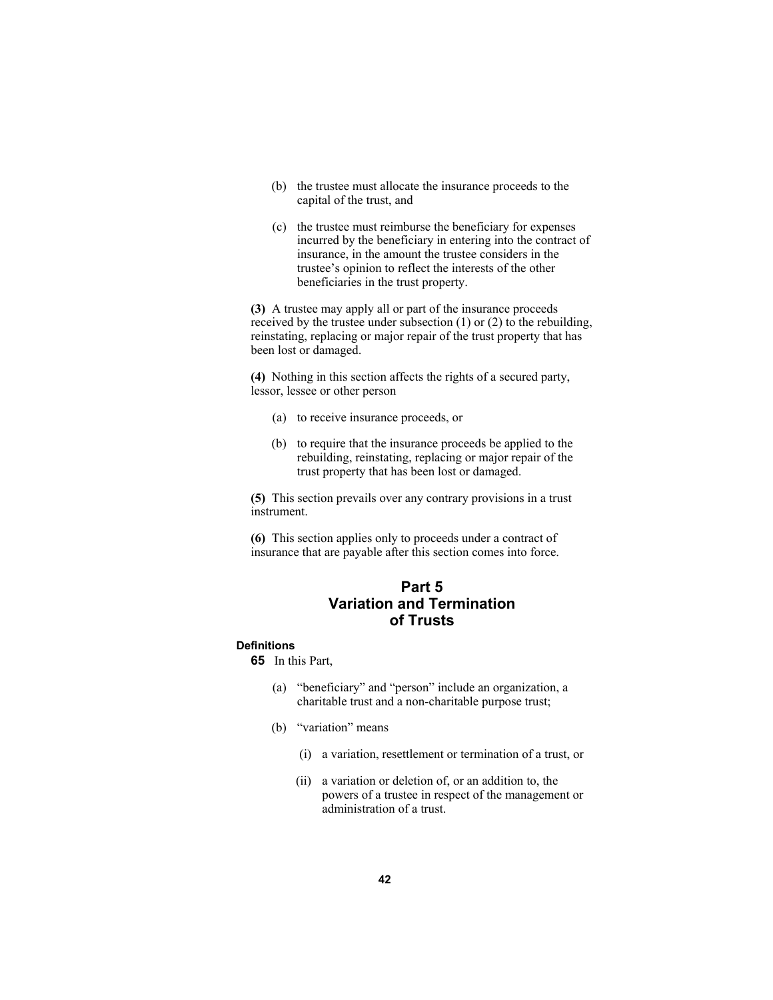- (b) the trustee must allocate the insurance proceeds to the capital of the trust, and
- (c) the trustee must reimburse the beneficiary for expenses incurred by the beneficiary in entering into the contract of insurance, in the amount the trustee considers in the trustee's opinion to reflect the interests of the other beneficiaries in the trust property.

**(3)** A trustee may apply all or part of the insurance proceeds received by the trustee under subsection (1) or (2) to the rebuilding, reinstating, replacing or major repair of the trust property that has been lost or damaged.

**(4)** Nothing in this section affects the rights of a secured party, lessor, lessee or other person

- (a) to receive insurance proceeds, or
- (b) to require that the insurance proceeds be applied to the rebuilding, reinstating, replacing or major repair of the trust property that has been lost or damaged.

**(5)** This section prevails over any contrary provisions in a trust instrument.

**(6)** This section applies only to proceeds under a contract of insurance that are payable after this section comes into force.

# **Part 5 Variation and Termination of Trusts**

# **Definitions**

**65** In this Part,

- (a) "beneficiary" and "person" include an organization, a charitable trust and a non-charitable purpose trust;
- (b) "variation" means
	- (i) a variation, resettlement or termination of a trust, or
	- (ii) a variation or deletion of, or an addition to, the powers of a trustee in respect of the management or administration of a trust.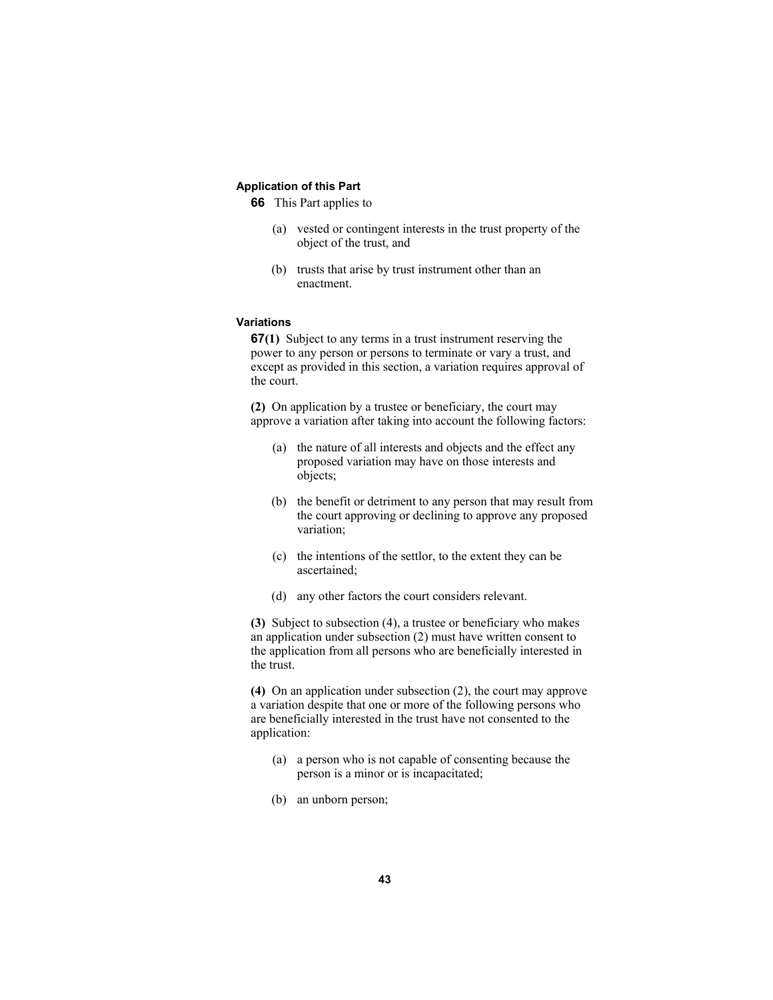# **Application of this Part**

**66** This Part applies to

- (a) vested or contingent interests in the trust property of the object of the trust, and
- (b) trusts that arise by trust instrument other than an enactment.

#### **Variations**

**67(1)** Subject to any terms in a trust instrument reserving the power to any person or persons to terminate or vary a trust, and except as provided in this section, a variation requires approval of the court.

**(2)** On application by a trustee or beneficiary, the court may approve a variation after taking into account the following factors:

- (a) the nature of all interests and objects and the effect any proposed variation may have on those interests and objects;
- (b) the benefit or detriment to any person that may result from the court approving or declining to approve any proposed variation;
- (c) the intentions of the settlor, to the extent they can be ascertained;
- (d) any other factors the court considers relevant.

**(3)** Subject to subsection (4), a trustee or beneficiary who makes an application under subsection (2) must have written consent to the application from all persons who are beneficially interested in the trust.

**(4)** On an application under subsection (2), the court may approve a variation despite that one or more of the following persons who are beneficially interested in the trust have not consented to the application:

- (a) a person who is not capable of consenting because the person is a minor or is incapacitated;
- (b) an unborn person;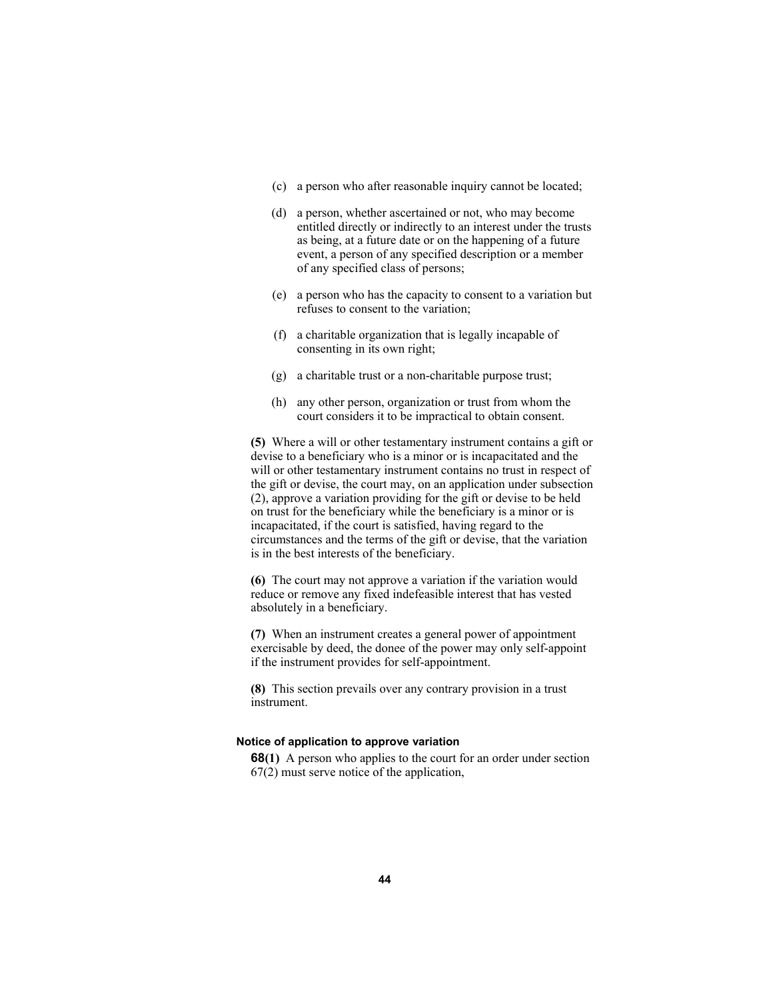- (c) a person who after reasonable inquiry cannot be located;
- (d) a person, whether ascertained or not, who may become entitled directly or indirectly to an interest under the trusts as being, at a future date or on the happening of a future event, a person of any specified description or a member of any specified class of persons;
- (e) a person who has the capacity to consent to a variation but refuses to consent to the variation;
- (f) a charitable organization that is legally incapable of consenting in its own right;
- (g) a charitable trust or a non-charitable purpose trust;
- (h) any other person, organization or trust from whom the court considers it to be impractical to obtain consent.

**(5)** Where a will or other testamentary instrument contains a gift or devise to a beneficiary who is a minor or is incapacitated and the will or other testamentary instrument contains no trust in respect of the gift or devise, the court may, on an application under subsection (2), approve a variation providing for the gift or devise to be held on trust for the beneficiary while the beneficiary is a minor or is incapacitated, if the court is satisfied, having regard to the circumstances and the terms of the gift or devise, that the variation is in the best interests of the beneficiary.

**(6)** The court may not approve a variation if the variation would reduce or remove any fixed indefeasible interest that has vested absolutely in a beneficiary.

**(7)** When an instrument creates a general power of appointment exercisable by deed, the donee of the power may only self-appoint if the instrument provides for self-appointment.

**(8)** This section prevails over any contrary provision in a trust instrument.

## **Notice of application to approve variation**

**68(1)** A person who applies to the court for an order under section 67(2) must serve notice of the application,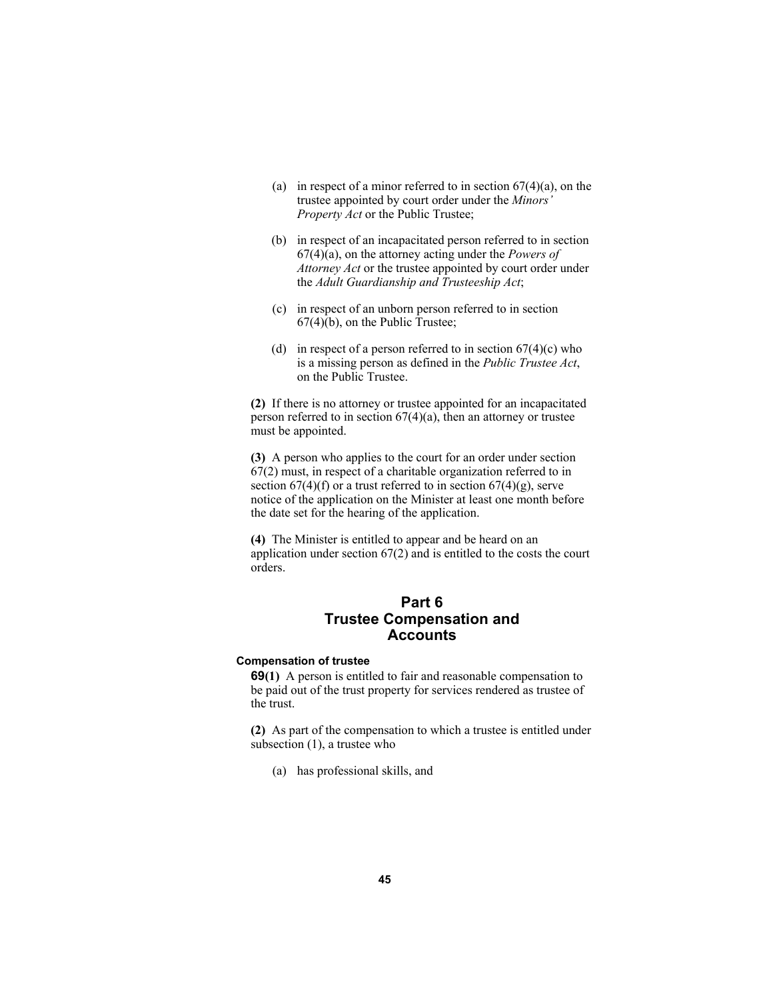- (a) in respect of a minor referred to in section  $67(4)(a)$ , on the trustee appointed by court order under the *Minors' Property Act* or the Public Trustee;
- (b) in respect of an incapacitated person referred to in section 67(4)(a), on the attorney acting under the *Powers of Attorney Act* or the trustee appointed by court order under the *Adult Guardianship and Trusteeship Act*;
- (c) in respect of an unborn person referred to in section 67(4)(b), on the Public Trustee;
- (d) in respect of a person referred to in section  $67(4)(c)$  who is a missing person as defined in the *Public Trustee Act*, on the Public Trustee.

**(2)** If there is no attorney or trustee appointed for an incapacitated person referred to in section  $67(4)(a)$ , then an attorney or trustee must be appointed.

**(3)** A person who applies to the court for an order under section 67(2) must, in respect of a charitable organization referred to in section  $67(4)(f)$  or a trust referred to in section  $67(4)(g)$ , serve notice of the application on the Minister at least one month before the date set for the hearing of the application.

**(4)** The Minister is entitled to appear and be heard on an application under section 67(2) and is entitled to the costs the court orders.

# **Part 6 Trustee Compensation and Accounts**

# **Compensation of trustee**

**69(1)** A person is entitled to fair and reasonable compensation to be paid out of the trust property for services rendered as trustee of the trust.

**(2)** As part of the compensation to which a trustee is entitled under subsection (1), a trustee who

(a) has professional skills, and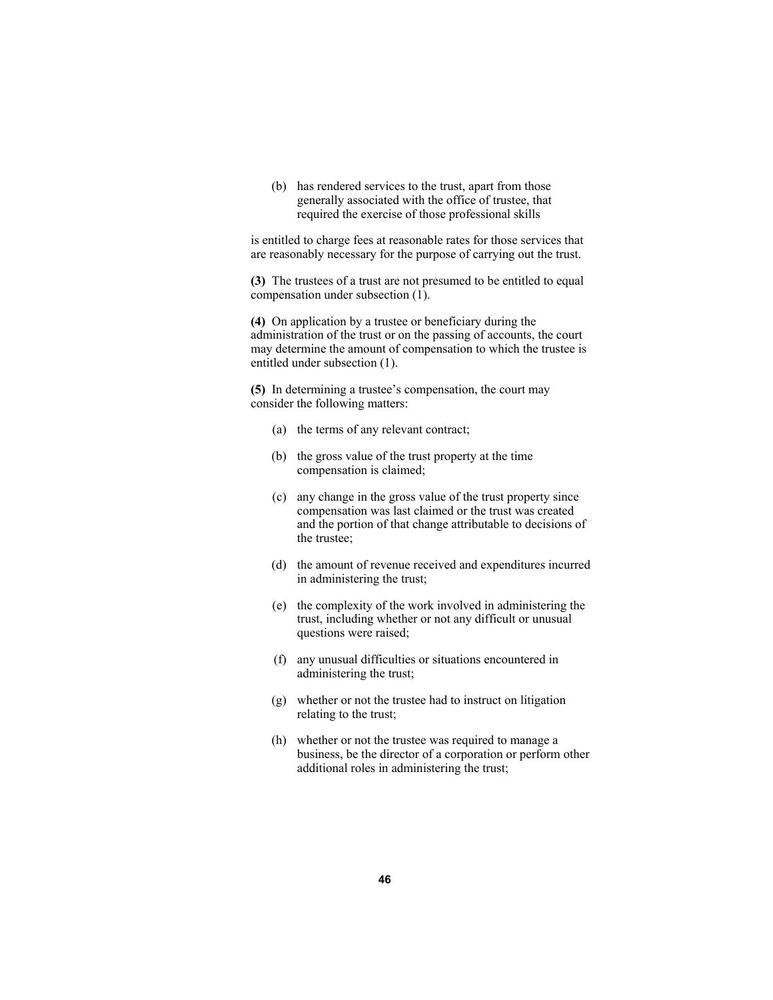(b) has rendered services to the trust, apart from those generally associated with the office of trustee, that required the exercise of those professional skills

is entitled to charge fees at reasonable rates for those services that are reasonably necessary for the purpose of carrying out the trust.

**(3)** The trustees of a trust are not presumed to be entitled to equal compensation under subsection (1).

**(4)** On application by a trustee or beneficiary during the administration of the trust or on the passing of accounts, the court may determine the amount of compensation to which the trustee is entitled under subsection (1).

**(5)** In determining a trustee's compensation, the court may consider the following matters:

- (a) the terms of any relevant contract;
- (b) the gross value of the trust property at the time compensation is claimed;
- (c) any change in the gross value of the trust property since compensation was last claimed or the trust was created and the portion of that change attributable to decisions of the trustee;
- (d) the amount of revenue received and expenditures incurred in administering the trust;
- (e) the complexity of the work involved in administering the trust, including whether or not any difficult or unusual questions were raised;
- (f) any unusual difficulties or situations encountered in administering the trust;
- (g) whether or not the trustee had to instruct on litigation relating to the trust;
- (h) whether or not the trustee was required to manage a business, be the director of a corporation or perform other additional roles in administering the trust;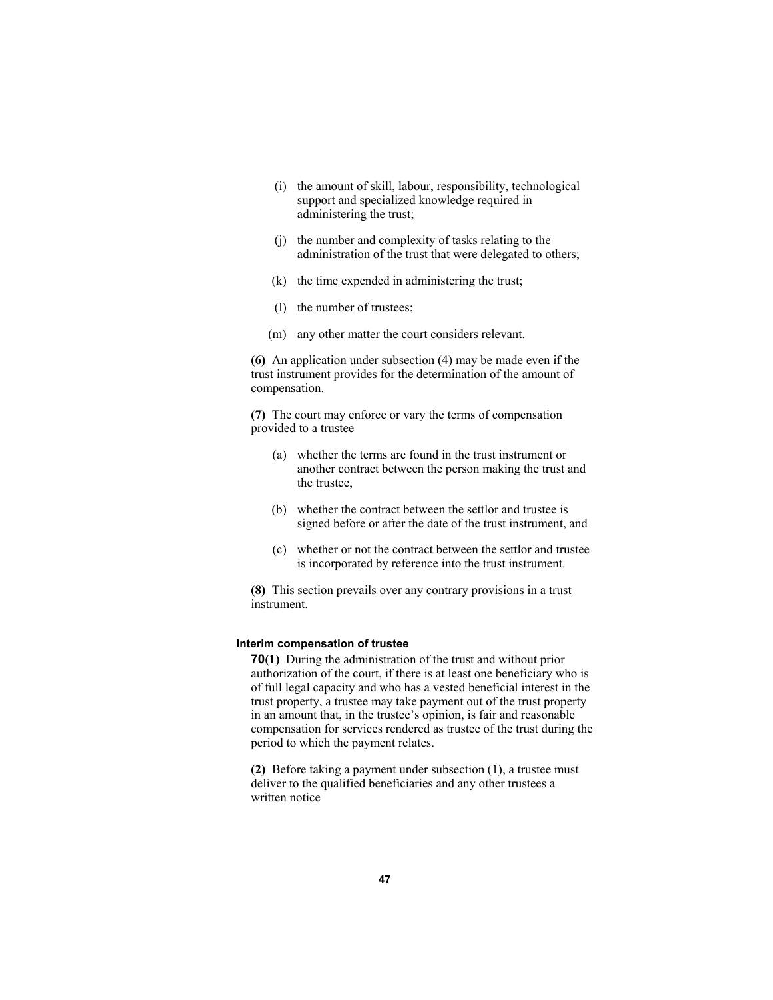- (i) the amount of skill, labour, responsibility, technological support and specialized knowledge required in administering the trust;
- (j) the number and complexity of tasks relating to the administration of the trust that were delegated to others;
- (k) the time expended in administering the trust;
- (l) the number of trustees;
- (m) any other matter the court considers relevant.

**(6)** An application under subsection (4) may be made even if the trust instrument provides for the determination of the amount of compensation.

**(7)** The court may enforce or vary the terms of compensation provided to a trustee

- (a) whether the terms are found in the trust instrument or another contract between the person making the trust and the trustee,
- (b) whether the contract between the settlor and trustee is signed before or after the date of the trust instrument, and
- (c) whether or not the contract between the settlor and trustee is incorporated by reference into the trust instrument.

**(8)** This section prevails over any contrary provisions in a trust instrument.

### **Interim compensation of trustee**

**70(1)** During the administration of the trust and without prior authorization of the court, if there is at least one beneficiary who is of full legal capacity and who has a vested beneficial interest in the trust property, a trustee may take payment out of the trust property in an amount that, in the trustee's opinion, is fair and reasonable compensation for services rendered as trustee of the trust during the period to which the payment relates.

**(2)** Before taking a payment under subsection (1), a trustee must deliver to the qualified beneficiaries and any other trustees a written notice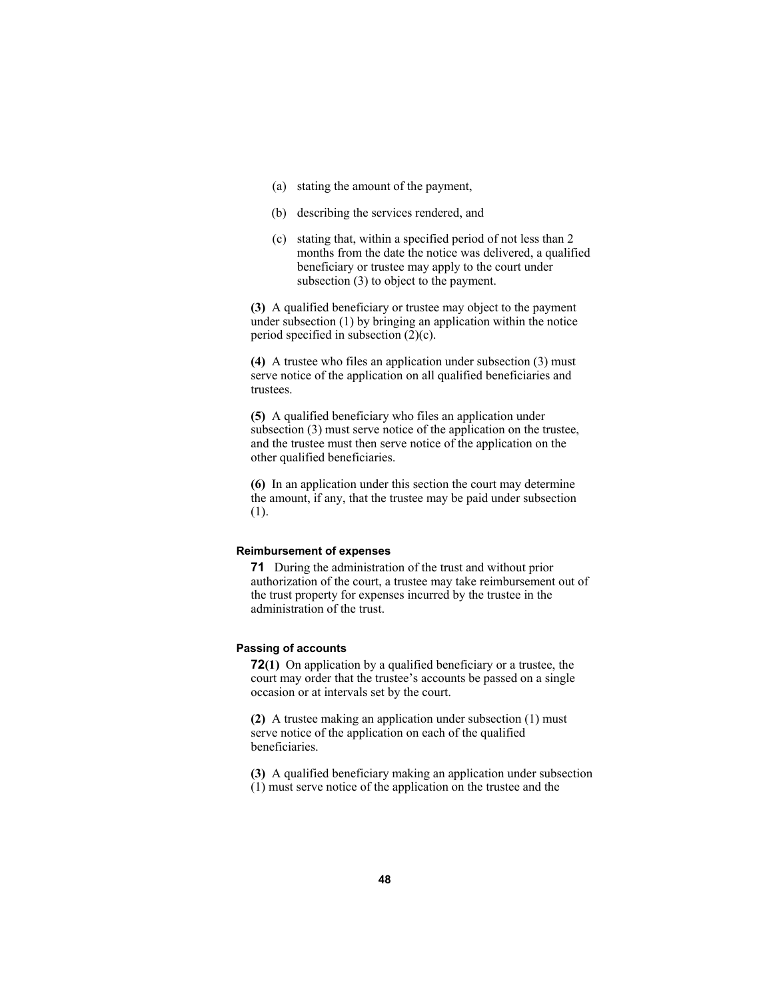- (a) stating the amount of the payment,
- (b) describing the services rendered, and
- (c) stating that, within a specified period of not less than 2 months from the date the notice was delivered, a qualified beneficiary or trustee may apply to the court under subsection (3) to object to the payment.

**(3)** A qualified beneficiary or trustee may object to the payment under subsection (1) by bringing an application within the notice period specified in subsection  $(2)(c)$ .

**(4)** A trustee who files an application under subsection (3) must serve notice of the application on all qualified beneficiaries and trustees.

**(5)** A qualified beneficiary who files an application under subsection (3) must serve notice of the application on the trustee, and the trustee must then serve notice of the application on the other qualified beneficiaries.

**(6)** In an application under this section the court may determine the amount, if any, that the trustee may be paid under subsection (1).

#### **Reimbursement of expenses**

**71** During the administration of the trust and without prior authorization of the court, a trustee may take reimbursement out of the trust property for expenses incurred by the trustee in the administration of the trust.

## **Passing of accounts**

**72(1)** On application by a qualified beneficiary or a trustee, the court may order that the trustee's accounts be passed on a single occasion or at intervals set by the court.

**(2)** A trustee making an application under subsection (1) must serve notice of the application on each of the qualified beneficiaries.

**(3)** A qualified beneficiary making an application under subsection

(1) must serve notice of the application on the trustee and the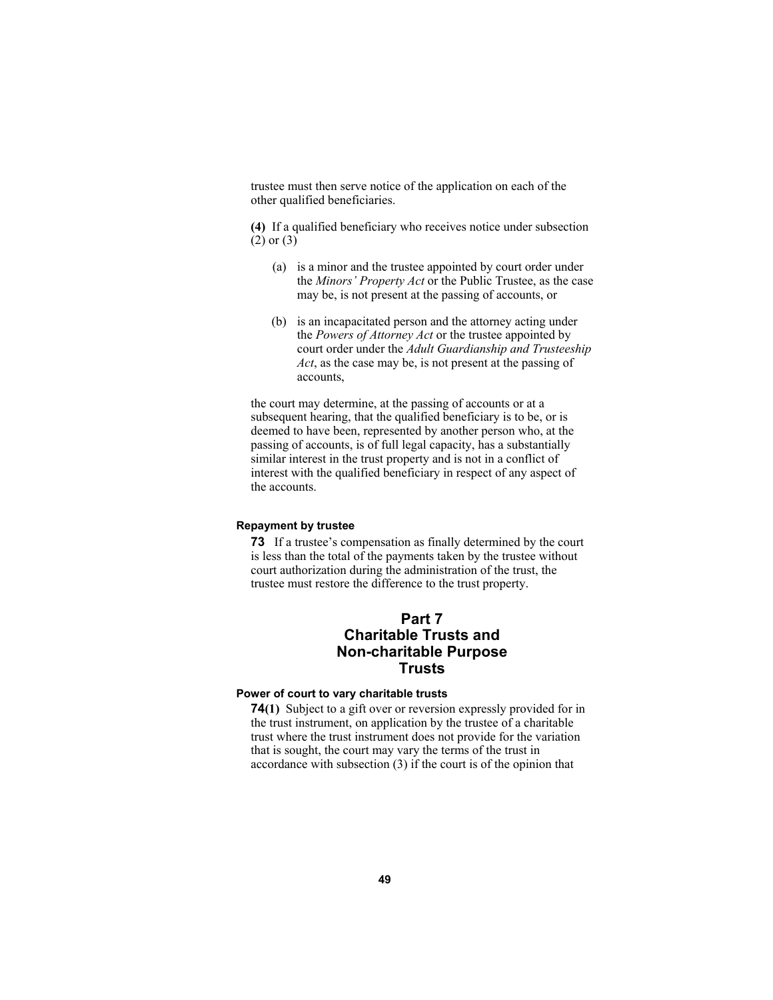trustee must then serve notice of the application on each of the other qualified beneficiaries.

**(4)** If a qualified beneficiary who receives notice under subsection (2) or (3)

- (a) is a minor and the trustee appointed by court order under the *Minors' Property Act* or the Public Trustee, as the case may be, is not present at the passing of accounts, or
- (b) is an incapacitated person and the attorney acting under the *Powers of Attorney Act* or the trustee appointed by court order under the *Adult Guardianship and Trusteeship Act*, as the case may be, is not present at the passing of accounts,

the court may determine, at the passing of accounts or at a subsequent hearing, that the qualified beneficiary is to be, or is deemed to have been, represented by another person who, at the passing of accounts, is of full legal capacity, has a substantially similar interest in the trust property and is not in a conflict of interest with the qualified beneficiary in respect of any aspect of the accounts.

## **Repayment by trustee**

**73** If a trustee's compensation as finally determined by the court is less than the total of the payments taken by the trustee without court authorization during the administration of the trust, the trustee must restore the difference to the trust property.

# **Part 7 Charitable Trusts and Non-charitable Purpose Trusts**

# **Power of court to vary charitable trusts**

**74(1)** Subject to a gift over or reversion expressly provided for in the trust instrument, on application by the trustee of a charitable trust where the trust instrument does not provide for the variation that is sought, the court may vary the terms of the trust in accordance with subsection (3) if the court is of the opinion that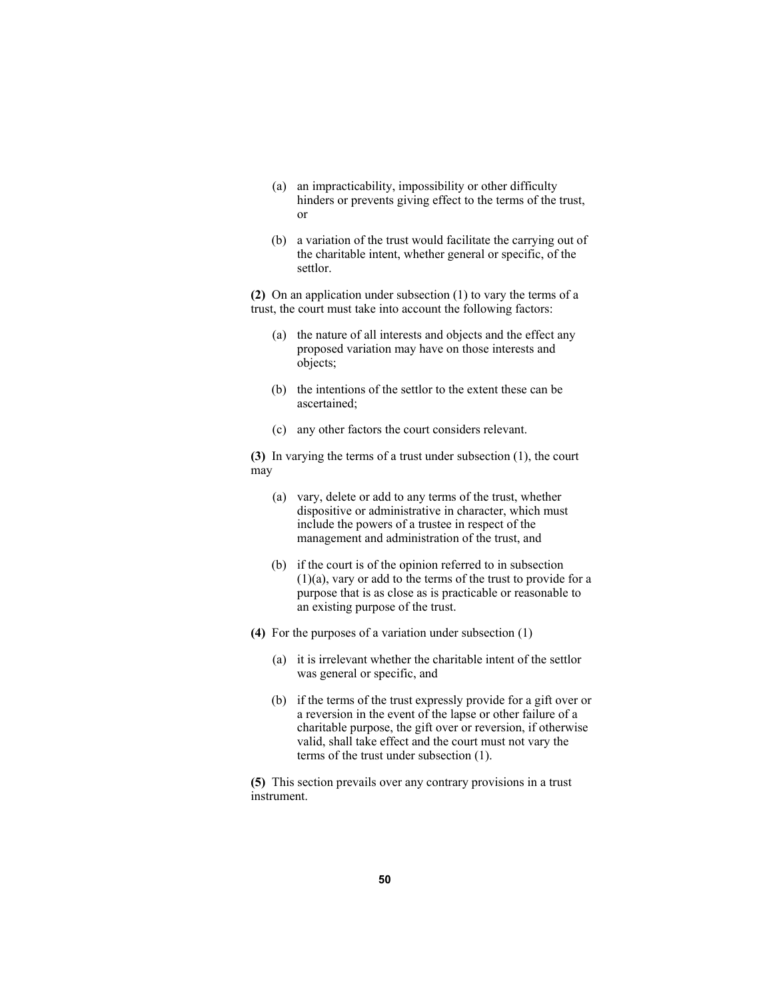- (a) an impracticability, impossibility or other difficulty hinders or prevents giving effect to the terms of the trust, or
- (b) a variation of the trust would facilitate the carrying out of the charitable intent, whether general or specific, of the settlor.

**(2)** On an application under subsection (1) to vary the terms of a trust, the court must take into account the following factors:

- (a) the nature of all interests and objects and the effect any proposed variation may have on those interests and objects;
- (b) the intentions of the settlor to the extent these can be ascertained;
- (c) any other factors the court considers relevant.

**(3)** In varying the terms of a trust under subsection (1), the court may

- (a) vary, delete or add to any terms of the trust, whether dispositive or administrative in character, which must include the powers of a trustee in respect of the management and administration of the trust, and
- (b) if the court is of the opinion referred to in subsection (1)(a), vary or add to the terms of the trust to provide for a purpose that is as close as is practicable or reasonable to an existing purpose of the trust.
- **(4)** For the purposes of a variation under subsection (1)
	- (a) it is irrelevant whether the charitable intent of the settlor was general or specific, and
	- (b) if the terms of the trust expressly provide for a gift over or a reversion in the event of the lapse or other failure of a charitable purpose, the gift over or reversion, if otherwise valid, shall take effect and the court must not vary the terms of the trust under subsection (1).

**(5)** This section prevails over any contrary provisions in a trust instrument.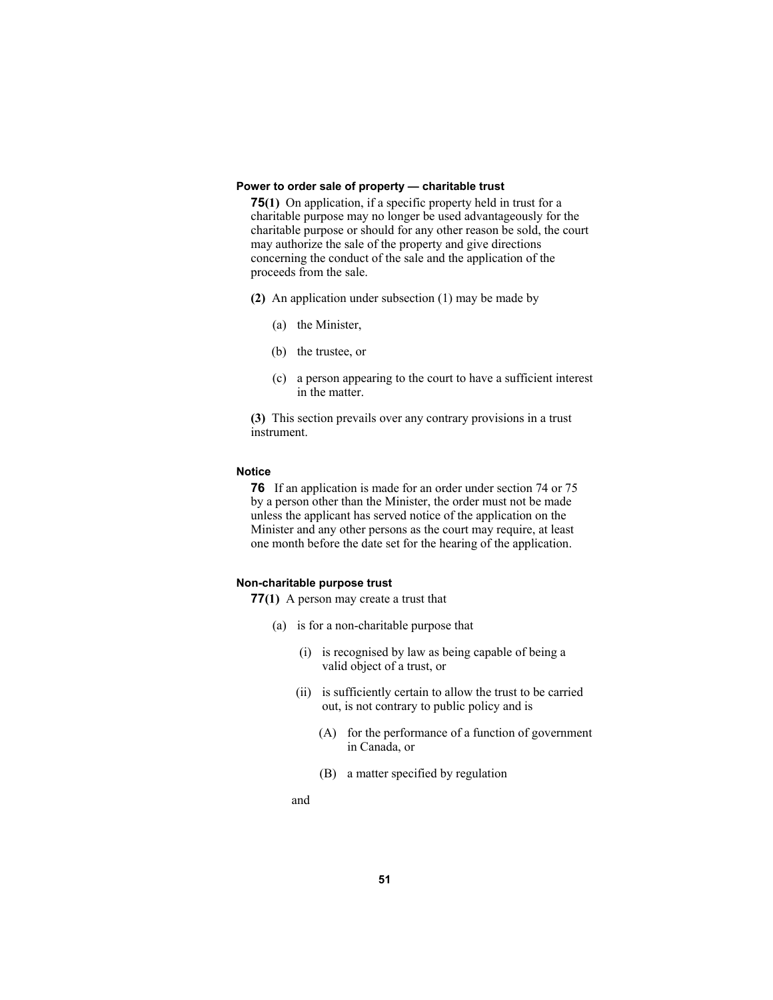### **Power to order sale of property — charitable trust**

**75(1)** On application, if a specific property held in trust for a charitable purpose may no longer be used advantageously for the charitable purpose or should for any other reason be sold, the court may authorize the sale of the property and give directions concerning the conduct of the sale and the application of the proceeds from the sale.

- **(2)** An application under subsection (1) may be made by
	- (a) the Minister,
	- (b) the trustee, or
	- (c) a person appearing to the court to have a sufficient interest in the matter.

**(3)** This section prevails over any contrary provisions in a trust instrument.

## **Notice**

**76** If an application is made for an order under section 74 or 75 by a person other than the Minister, the order must not be made unless the applicant has served notice of the application on the Minister and any other persons as the court may require, at least one month before the date set for the hearing of the application.

## **Non-charitable purpose trust**

**77(1)** A person may create a trust that

- (a) is for a non-charitable purpose that
	- (i) is recognised by law as being capable of being a valid object of a trust, or
	- (ii) is sufficiently certain to allow the trust to be carried out, is not contrary to public policy and is
		- (A) for the performance of a function of government in Canada, or
		- (B) a matter specified by regulation
	- and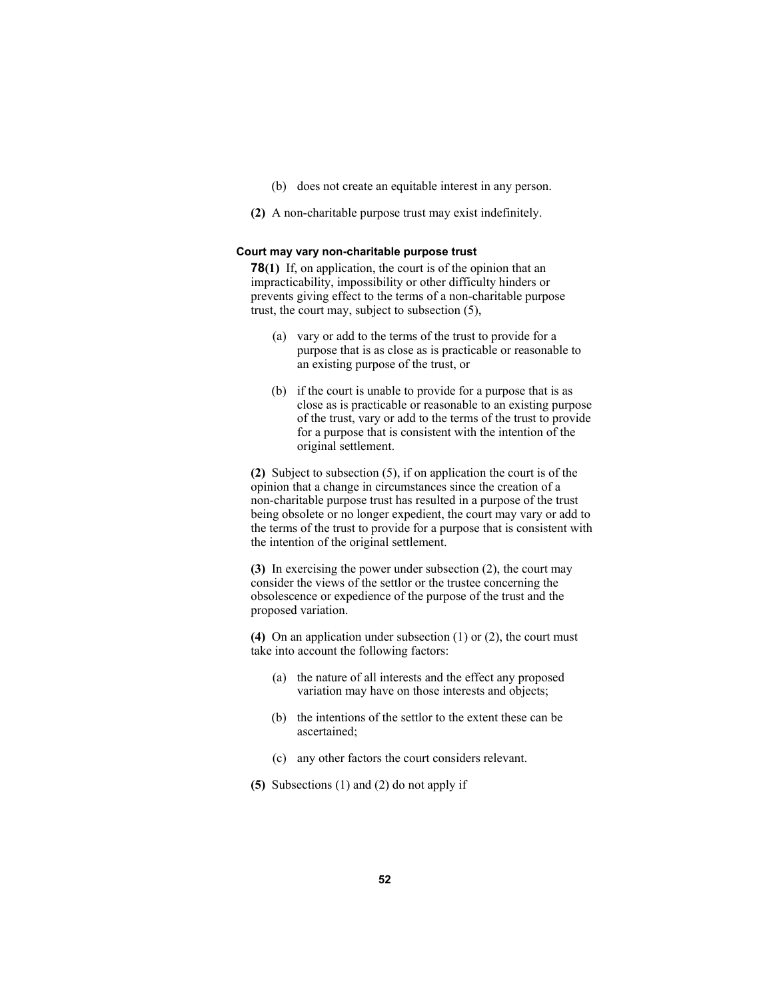- (b) does not create an equitable interest in any person.
- **(2)** A non-charitable purpose trust may exist indefinitely.

# **Court may vary non-charitable purpose trust**

**78(1)** If, on application, the court is of the opinion that an impracticability, impossibility or other difficulty hinders or prevents giving effect to the terms of a non-charitable purpose trust, the court may, subject to subsection (5),

- (a) vary or add to the terms of the trust to provide for a purpose that is as close as is practicable or reasonable to an existing purpose of the trust, or
- (b) if the court is unable to provide for a purpose that is as close as is practicable or reasonable to an existing purpose of the trust, vary or add to the terms of the trust to provide for a purpose that is consistent with the intention of the original settlement.

**(2)** Subject to subsection (5), if on application the court is of the opinion that a change in circumstances since the creation of a non-charitable purpose trust has resulted in a purpose of the trust being obsolete or no longer expedient, the court may vary or add to the terms of the trust to provide for a purpose that is consistent with the intention of the original settlement.

**(3)** In exercising the power under subsection (2), the court may consider the views of the settlor or the trustee concerning the obsolescence or expedience of the purpose of the trust and the proposed variation.

**(4)** On an application under subsection (1) or (2), the court must take into account the following factors:

- (a) the nature of all interests and the effect any proposed variation may have on those interests and objects;
- (b) the intentions of the settlor to the extent these can be ascertained;
- (c) any other factors the court considers relevant.
- **(5)** Subsections (1) and (2) do not apply if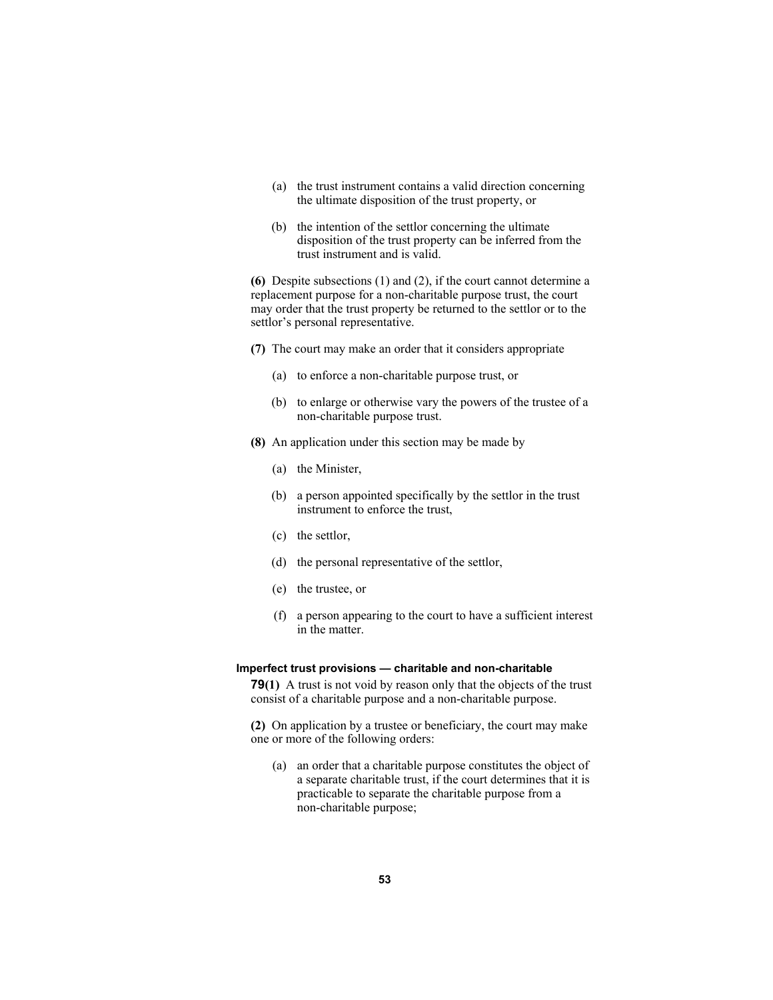- (a) the trust instrument contains a valid direction concerning the ultimate disposition of the trust property, or
- (b) the intention of the settlor concerning the ultimate disposition of the trust property can be inferred from the trust instrument and is valid.

**(6)** Despite subsections (1) and (2), if the court cannot determine a replacement purpose for a non-charitable purpose trust, the court may order that the trust property be returned to the settlor or to the settlor's personal representative.

- **(7)** The court may make an order that it considers appropriate
	- (a) to enforce a non-charitable purpose trust, or
	- (b) to enlarge or otherwise vary the powers of the trustee of a non-charitable purpose trust.
- **(8)** An application under this section may be made by
	- (a) the Minister,
	- (b) a person appointed specifically by the settlor in the trust instrument to enforce the trust,
	- (c) the settlor,
	- (d) the personal representative of the settlor,
	- (e) the trustee, or
	- (f) a person appearing to the court to have a sufficient interest in the matter.

#### **Imperfect trust provisions — charitable and non-charitable**

**79(1)** A trust is not void by reason only that the objects of the trust consist of a charitable purpose and a non-charitable purpose.

**(2)** On application by a trustee or beneficiary, the court may make one or more of the following orders:

 (a) an order that a charitable purpose constitutes the object of a separate charitable trust, if the court determines that it is practicable to separate the charitable purpose from a non-charitable purpose;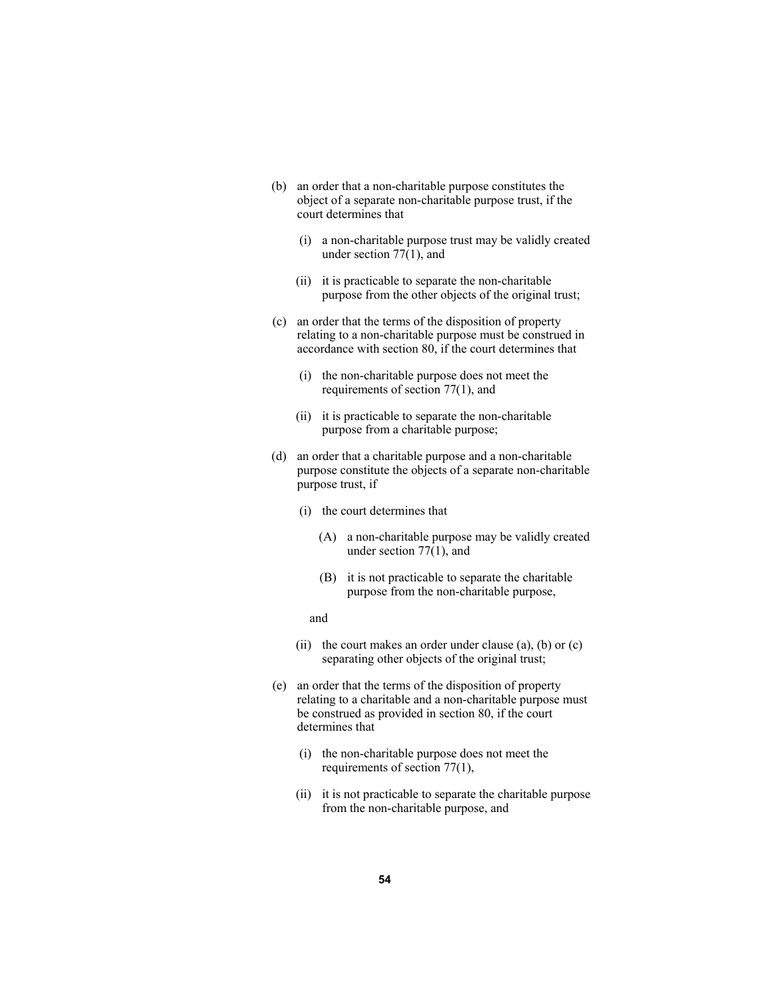- (b) an order that a non-charitable purpose constitutes the object of a separate non-charitable purpose trust, if the court determines that
	- (i) a non-charitable purpose trust may be validly created under section 77(1), and
	- (ii) it is practicable to separate the non-charitable purpose from the other objects of the original trust;
- (c) an order that the terms of the disposition of property relating to a non-charitable purpose must be construed in accordance with section 80, if the court determines that
	- (i) the non-charitable purpose does not meet the requirements of section 77(1), and
	- (ii) it is practicable to separate the non-charitable purpose from a charitable purpose;
- (d) an order that a charitable purpose and a non-charitable purpose constitute the objects of a separate non-charitable purpose trust, if
	- (i) the court determines that
		- (A) a non-charitable purpose may be validly created under section 77(1), and
		- (B) it is not practicable to separate the charitable purpose from the non-charitable purpose,

#### and

- (ii) the court makes an order under clause  $(a)$ ,  $(b)$  or  $(c)$ separating other objects of the original trust;
- (e) an order that the terms of the disposition of property relating to a charitable and a non-charitable purpose must be construed as provided in section 80, if the court determines that
	- (i) the non-charitable purpose does not meet the requirements of section 77(1),
	- (ii) it is not practicable to separate the charitable purpose from the non-charitable purpose, and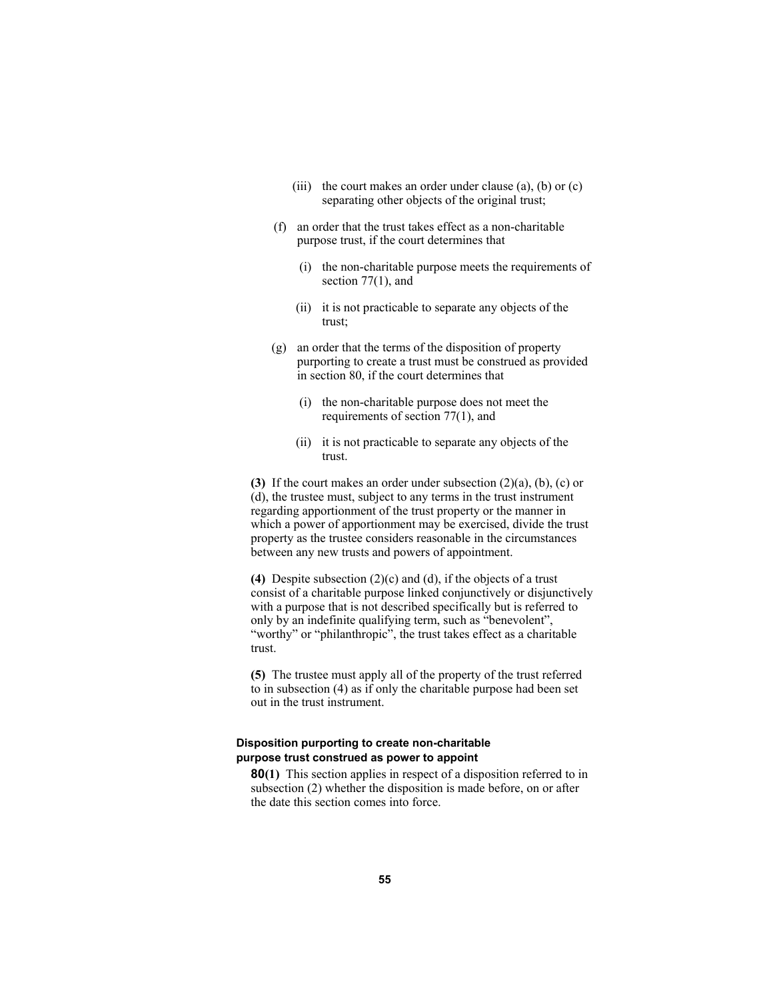- (iii) the court makes an order under clause  $(a)$ ,  $(b)$  or  $(c)$ separating other objects of the original trust;
- (f) an order that the trust takes effect as a non-charitable purpose trust, if the court determines that
	- (i) the non-charitable purpose meets the requirements of section 77(1), and
	- (ii) it is not practicable to separate any objects of the trust;
- (g) an order that the terms of the disposition of property purporting to create a trust must be construed as provided in section 80, if the court determines that
	- (i) the non-charitable purpose does not meet the requirements of section 77(1), and
	- (ii) it is not practicable to separate any objects of the trust.

**(3)** If the court makes an order under subsection (2)(a), (b), (c) or (d), the trustee must, subject to any terms in the trust instrument regarding apportionment of the trust property or the manner in which a power of apportionment may be exercised, divide the trust property as the trustee considers reasonable in the circumstances between any new trusts and powers of appointment.

**(4)** Despite subsection (2)(c) and (d), if the objects of a trust consist of a charitable purpose linked conjunctively or disjunctively with a purpose that is not described specifically but is referred to only by an indefinite qualifying term, such as "benevolent", "worthy" or "philanthropic", the trust takes effect as a charitable trust.

**(5)** The trustee must apply all of the property of the trust referred to in subsection (4) as if only the charitable purpose had been set out in the trust instrument.

# **Disposition purporting to create non-charitable purpose trust construed as power to appoint**

**80(1)** This section applies in respect of a disposition referred to in subsection (2) whether the disposition is made before, on or after the date this section comes into force.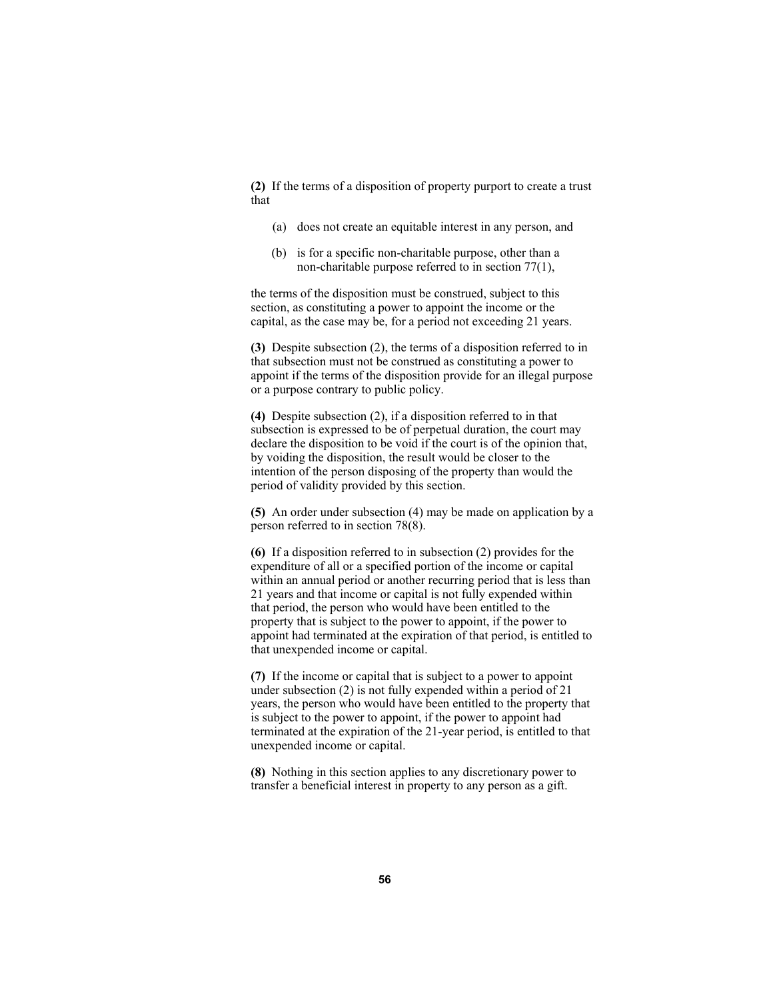**(2)** If the terms of a disposition of property purport to create a trust that

- (a) does not create an equitable interest in any person, and
- (b) is for a specific non-charitable purpose, other than a non-charitable purpose referred to in section 77(1),

the terms of the disposition must be construed, subject to this section, as constituting a power to appoint the income or the capital, as the case may be, for a period not exceeding 21 years.

**(3)** Despite subsection (2), the terms of a disposition referred to in that subsection must not be construed as constituting a power to appoint if the terms of the disposition provide for an illegal purpose or a purpose contrary to public policy.

**(4)** Despite subsection (2), if a disposition referred to in that subsection is expressed to be of perpetual duration, the court may declare the disposition to be void if the court is of the opinion that, by voiding the disposition, the result would be closer to the intention of the person disposing of the property than would the period of validity provided by this section.

**(5)** An order under subsection (4) may be made on application by a person referred to in section 78(8).

**(6)** If a disposition referred to in subsection (2) provides for the expenditure of all or a specified portion of the income or capital within an annual period or another recurring period that is less than 21 years and that income or capital is not fully expended within that period, the person who would have been entitled to the property that is subject to the power to appoint, if the power to appoint had terminated at the expiration of that period, is entitled to that unexpended income or capital.

**(7)** If the income or capital that is subject to a power to appoint under subsection (2) is not fully expended within a period of 21 years, the person who would have been entitled to the property that is subject to the power to appoint, if the power to appoint had terminated at the expiration of the 21-year period, is entitled to that unexpended income or capital.

**(8)** Nothing in this section applies to any discretionary power to transfer a beneficial interest in property to any person as a gift.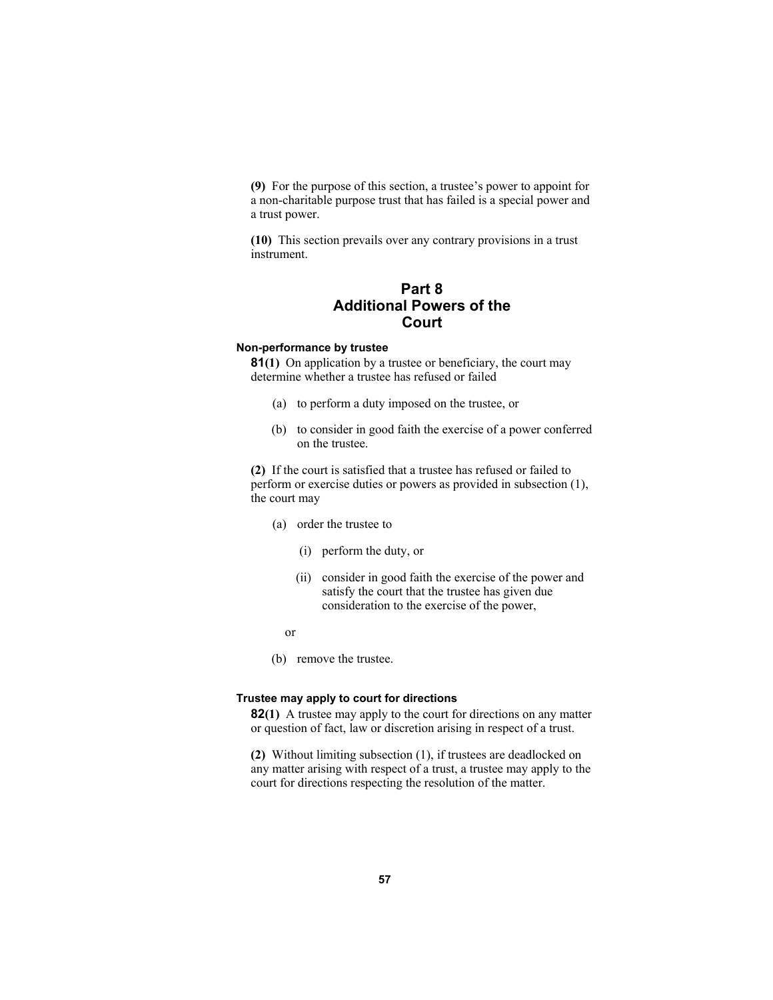**(9)** For the purpose of this section, a trustee's power to appoint for a non-charitable purpose trust that has failed is a special power and a trust power.

**(10)** This section prevails over any contrary provisions in a trust instrument.

# **Part 8 Additional Powers of the Court**

# **Non-performance by trustee**

**81(1)** On application by a trustee or beneficiary, the court may determine whether a trustee has refused or failed

- (a) to perform a duty imposed on the trustee, or
- (b) to consider in good faith the exercise of a power conferred on the trustee.

**(2)** If the court is satisfied that a trustee has refused or failed to perform or exercise duties or powers as provided in subsection (1), the court may

- (a) order the trustee to
	- (i) perform the duty, or
	- (ii) consider in good faith the exercise of the power and satisfy the court that the trustee has given due consideration to the exercise of the power,

or

(b) remove the trustee.

# **Trustee may apply to court for directions**

**82(1)** A trustee may apply to the court for directions on any matter or question of fact, law or discretion arising in respect of a trust.

**(2)** Without limiting subsection (1), if trustees are deadlocked on any matter arising with respect of a trust, a trustee may apply to the court for directions respecting the resolution of the matter.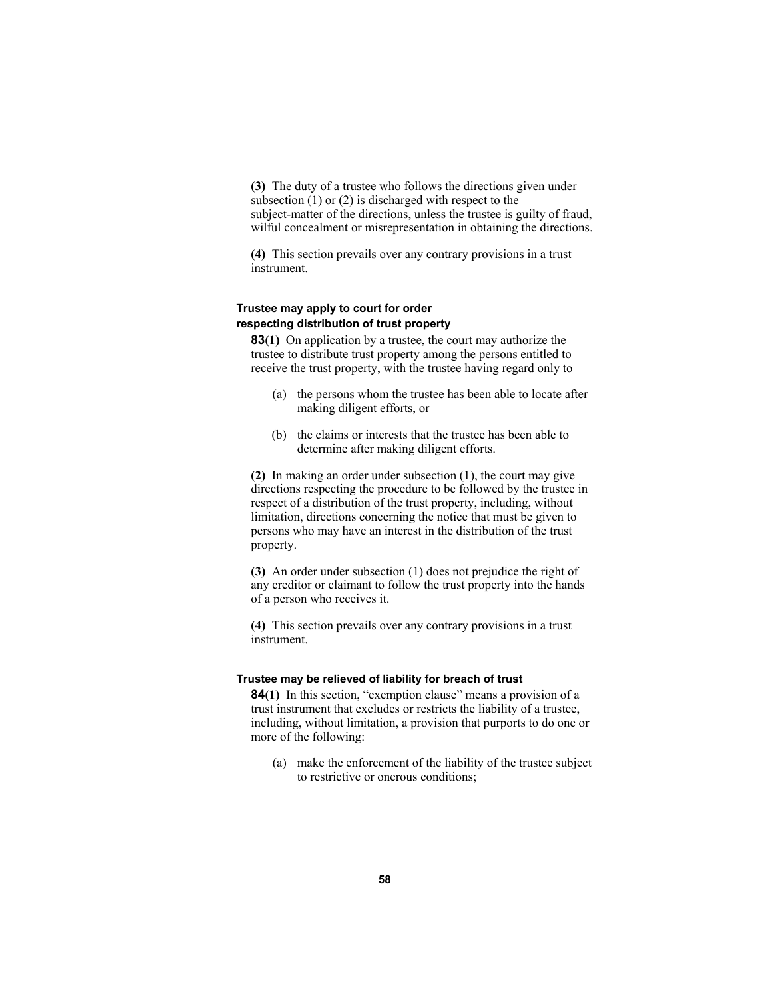**(3)** The duty of a trustee who follows the directions given under subsection (1) or (2) is discharged with respect to the subject-matter of the directions, unless the trustee is guilty of fraud, wilful concealment or misrepresentation in obtaining the directions.

**(4)** This section prevails over any contrary provisions in a trust instrument.

# **Trustee may apply to court for order respecting distribution of trust property**

**83(1)** On application by a trustee, the court may authorize the trustee to distribute trust property among the persons entitled to receive the trust property, with the trustee having regard only to

- (a) the persons whom the trustee has been able to locate after making diligent efforts, or
- (b) the claims or interests that the trustee has been able to determine after making diligent efforts.

**(2)** In making an order under subsection (1), the court may give directions respecting the procedure to be followed by the trustee in respect of a distribution of the trust property, including, without limitation, directions concerning the notice that must be given to persons who may have an interest in the distribution of the trust property.

**(3)** An order under subsection (1) does not prejudice the right of any creditor or claimant to follow the trust property into the hands of a person who receives it.

**(4)** This section prevails over any contrary provisions in a trust instrument.

#### **Trustee may be relieved of liability for breach of trust**

**84(1)** In this section, "exemption clause" means a provision of a trust instrument that excludes or restricts the liability of a trustee, including, without limitation, a provision that purports to do one or more of the following:

 (a) make the enforcement of the liability of the trustee subject to restrictive or onerous conditions;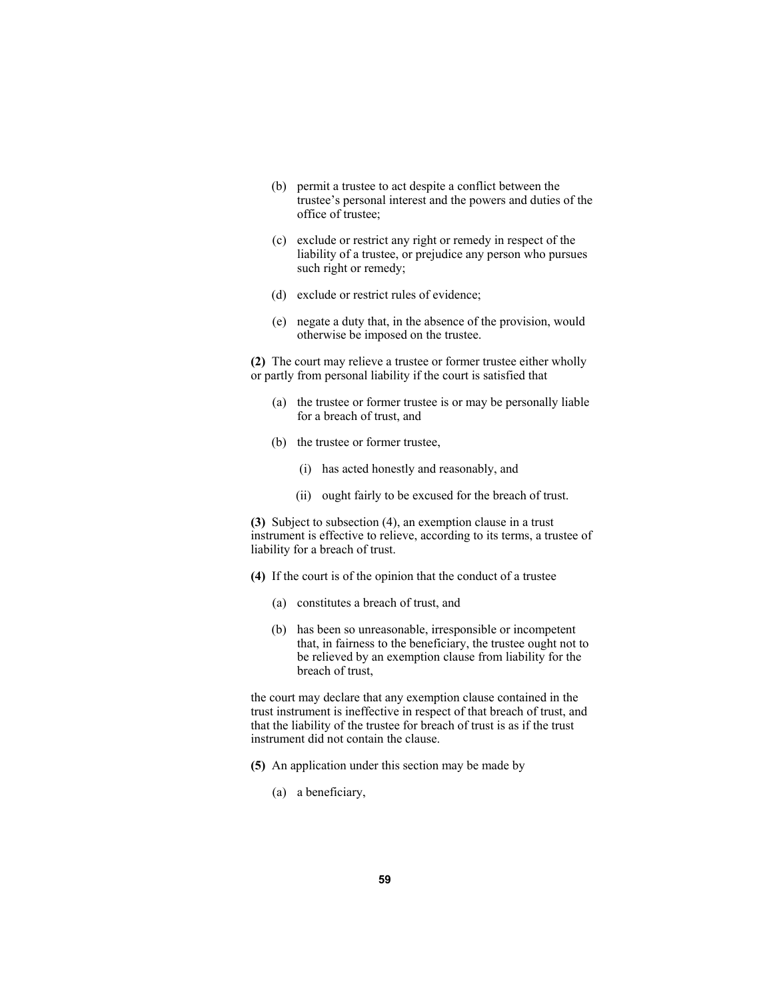- (b) permit a trustee to act despite a conflict between the trustee's personal interest and the powers and duties of the office of trustee;
- (c) exclude or restrict any right or remedy in respect of the liability of a trustee, or prejudice any person who pursues such right or remedy;
- (d) exclude or restrict rules of evidence;
- (e) negate a duty that, in the absence of the provision, would otherwise be imposed on the trustee.

**(2)** The court may relieve a trustee or former trustee either wholly or partly from personal liability if the court is satisfied that

- (a) the trustee or former trustee is or may be personally liable for a breach of trust, and
- (b) the trustee or former trustee,
	- (i) has acted honestly and reasonably, and
	- (ii) ought fairly to be excused for the breach of trust.

**(3)** Subject to subsection (4), an exemption clause in a trust instrument is effective to relieve, according to its terms, a trustee of liability for a breach of trust.

- **(4)** If the court is of the opinion that the conduct of a trustee
	- (a) constitutes a breach of trust, and
	- (b) has been so unreasonable, irresponsible or incompetent that, in fairness to the beneficiary, the trustee ought not to be relieved by an exemption clause from liability for the breach of trust,

the court may declare that any exemption clause contained in the trust instrument is ineffective in respect of that breach of trust, and that the liability of the trustee for breach of trust is as if the trust instrument did not contain the clause.

- **(5)** An application under this section may be made by
	- (a) a beneficiary,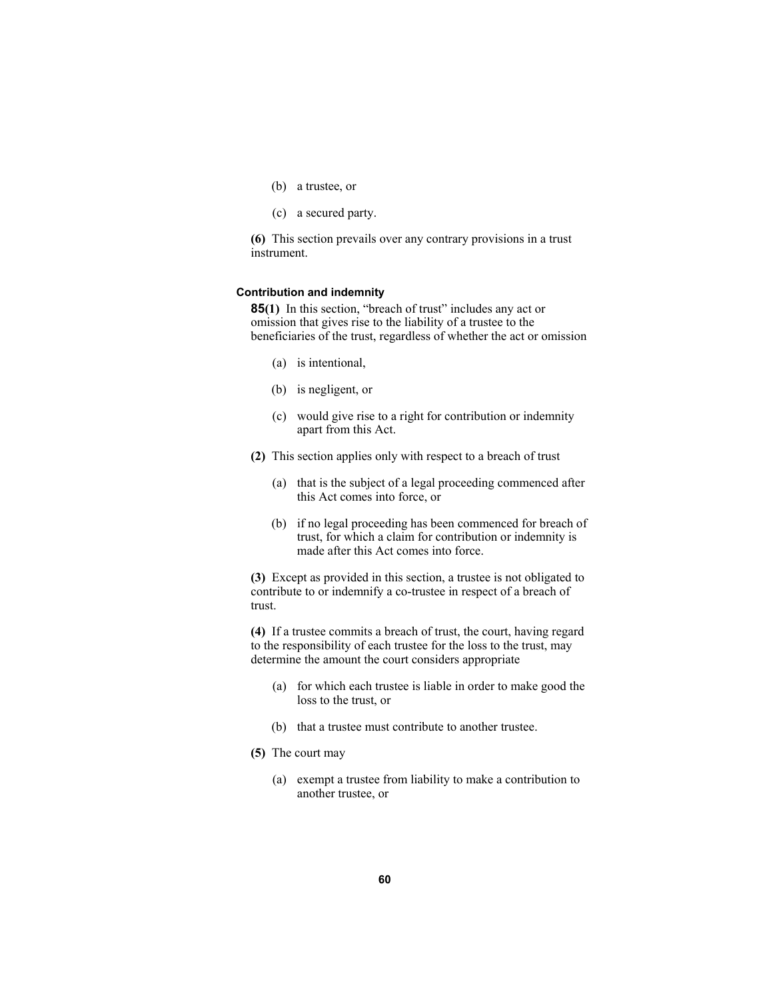- (b) a trustee, or
- (c) a secured party.

**(6)** This section prevails over any contrary provisions in a trust instrument.

#### **Contribution and indemnity**

**85(1)** In this section, "breach of trust" includes any act or omission that gives rise to the liability of a trustee to the beneficiaries of the trust, regardless of whether the act or omission

- (a) is intentional,
- (b) is negligent, or
- (c) would give rise to a right for contribution or indemnity apart from this Act.
- **(2)** This section applies only with respect to a breach of trust
	- (a) that is the subject of a legal proceeding commenced after this Act comes into force, or
	- (b) if no legal proceeding has been commenced for breach of trust, for which a claim for contribution or indemnity is made after this Act comes into force.

**(3)** Except as provided in this section, a trustee is not obligated to contribute to or indemnify a co-trustee in respect of a breach of trust.

**(4)** If a trustee commits a breach of trust, the court, having regard to the responsibility of each trustee for the loss to the trust, may determine the amount the court considers appropriate

- (a) for which each trustee is liable in order to make good the loss to the trust, or
- (b) that a trustee must contribute to another trustee.
- **(5)** The court may
	- (a) exempt a trustee from liability to make a contribution to another trustee, or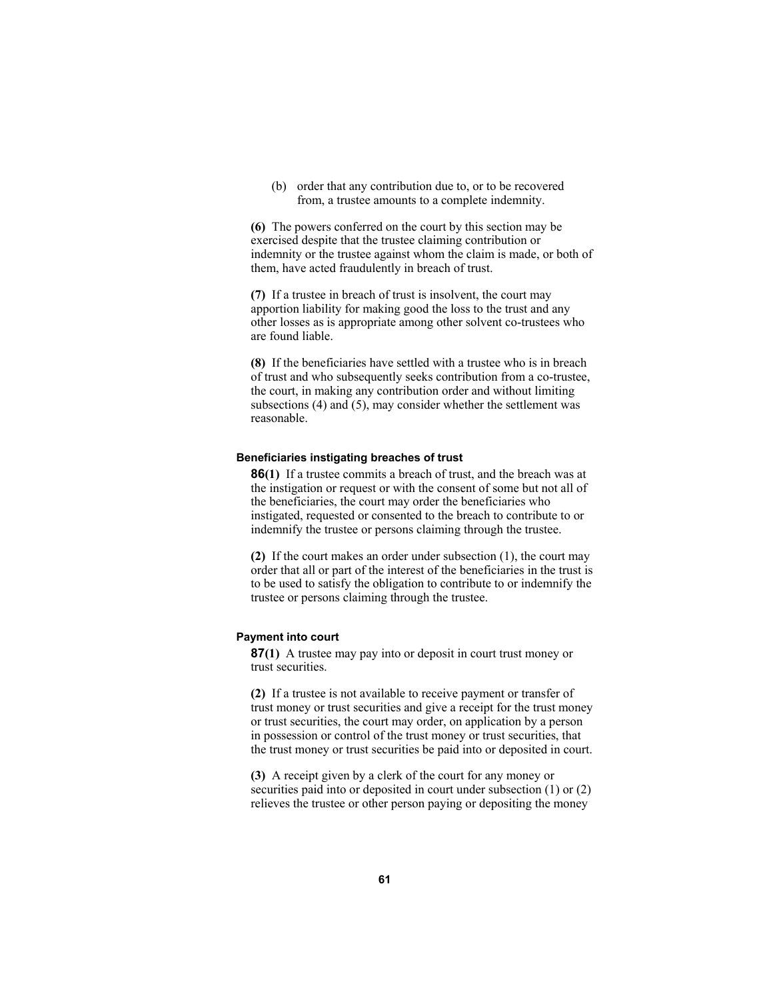(b) order that any contribution due to, or to be recovered from, a trustee amounts to a complete indemnity.

**(6)** The powers conferred on the court by this section may be exercised despite that the trustee claiming contribution or indemnity or the trustee against whom the claim is made, or both of them, have acted fraudulently in breach of trust.

**(7)** If a trustee in breach of trust is insolvent, the court may apportion liability for making good the loss to the trust and any other losses as is appropriate among other solvent co-trustees who are found liable.

**(8)** If the beneficiaries have settled with a trustee who is in breach of trust and who subsequently seeks contribution from a co-trustee, the court, in making any contribution order and without limiting subsections (4) and (5), may consider whether the settlement was reasonable.

# **Beneficiaries instigating breaches of trust**

**86(1)** If a trustee commits a breach of trust, and the breach was at the instigation or request or with the consent of some but not all of the beneficiaries, the court may order the beneficiaries who instigated, requested or consented to the breach to contribute to or indemnify the trustee or persons claiming through the trustee.

**(2)** If the court makes an order under subsection (1), the court may order that all or part of the interest of the beneficiaries in the trust is to be used to satisfy the obligation to contribute to or indemnify the trustee or persons claiming through the trustee.

# **Payment into court**

**87(1)** A trustee may pay into or deposit in court trust money or trust securities.

**(2)** If a trustee is not available to receive payment or transfer of trust money or trust securities and give a receipt for the trust money or trust securities, the court may order, on application by a person in possession or control of the trust money or trust securities, that the trust money or trust securities be paid into or deposited in court.

**(3)** A receipt given by a clerk of the court for any money or securities paid into or deposited in court under subsection (1) or (2) relieves the trustee or other person paying or depositing the money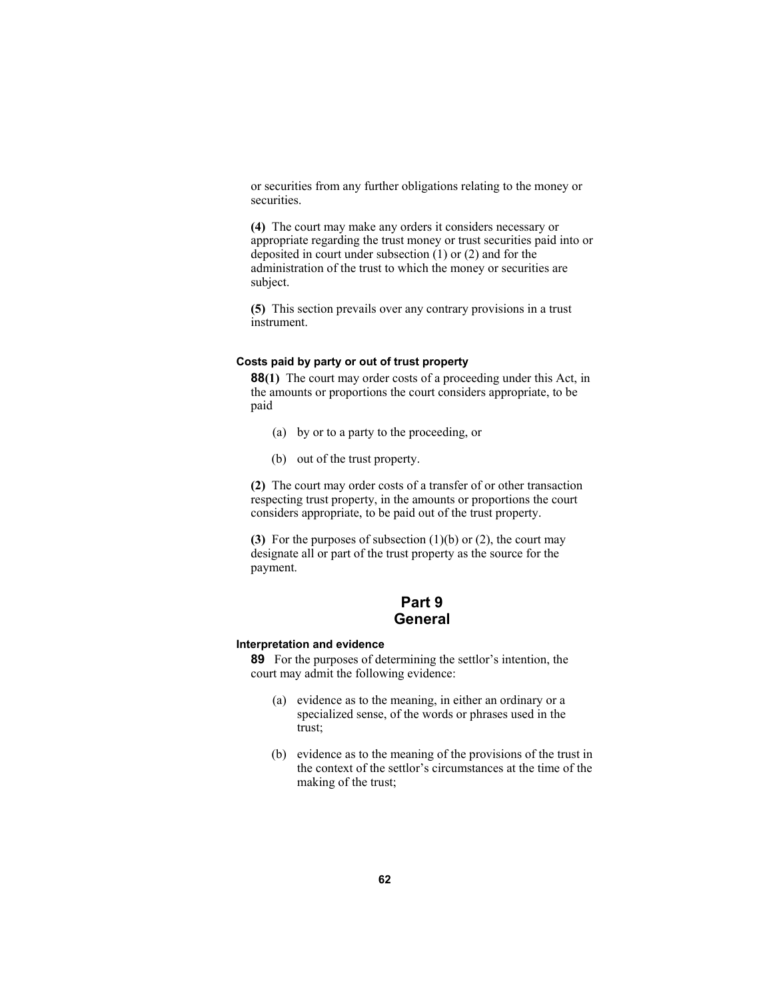or securities from any further obligations relating to the money or securities.

**(4)** The court may make any orders it considers necessary or appropriate regarding the trust money or trust securities paid into or deposited in court under subsection (1) or (2) and for the administration of the trust to which the money or securities are subject.

**(5)** This section prevails over any contrary provisions in a trust instrument.

# **Costs paid by party or out of trust property**

**88(1)** The court may order costs of a proceeding under this Act, in the amounts or proportions the court considers appropriate, to be paid

- (a) by or to a party to the proceeding, or
- (b) out of the trust property.

**(2)** The court may order costs of a transfer of or other transaction respecting trust property, in the amounts or proportions the court considers appropriate, to be paid out of the trust property.

**(3)** For the purposes of subsection (1)(b) or (2), the court may designate all or part of the trust property as the source for the payment.

# **Part 9 General**

# **Interpretation and evidence**

**89** For the purposes of determining the settlor's intention, the court may admit the following evidence:

- (a) evidence as to the meaning, in either an ordinary or a specialized sense, of the words or phrases used in the trust;
- (b) evidence as to the meaning of the provisions of the trust in the context of the settlor's circumstances at the time of the making of the trust;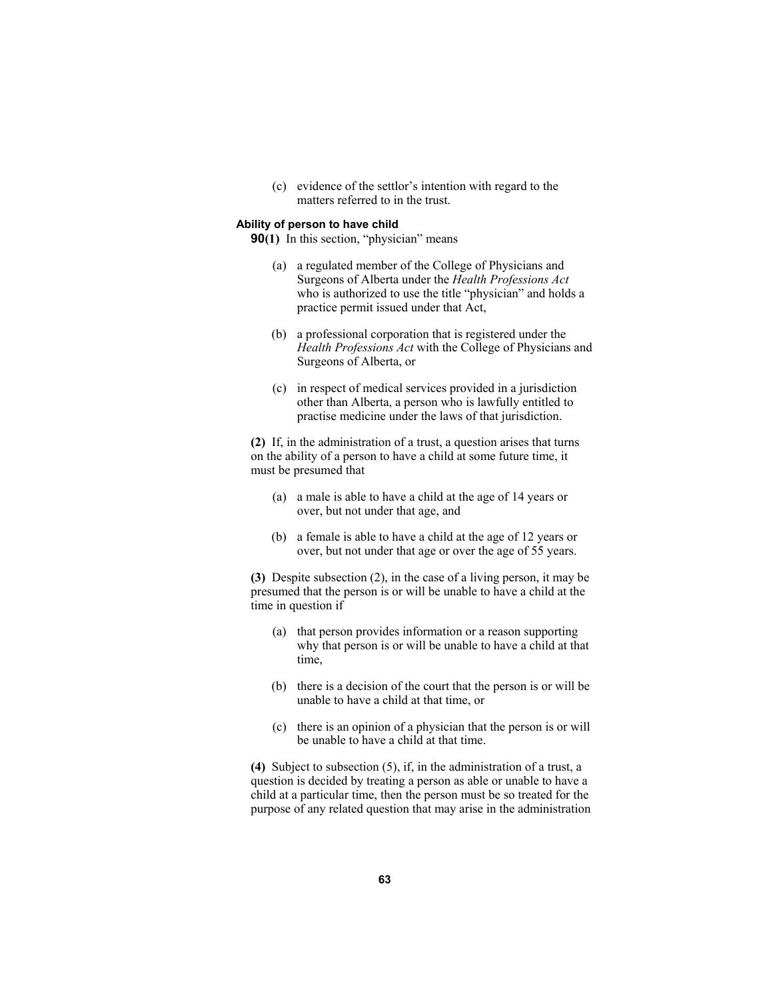(c) evidence of the settlor's intention with regard to the matters referred to in the trust.

#### **Ability of person to have child**

**90(1)** In this section, "physician" means

- (a) a regulated member of the College of Physicians and Surgeons of Alberta under the *Health Professions Act* who is authorized to use the title "physician" and holds a practice permit issued under that Act,
- (b) a professional corporation that is registered under the *Health Professions Act* with the College of Physicians and Surgeons of Alberta, or
- (c) in respect of medical services provided in a jurisdiction other than Alberta, a person who is lawfully entitled to practise medicine under the laws of that jurisdiction.

**(2)** If, in the administration of a trust, a question arises that turns on the ability of a person to have a child at some future time, it must be presumed that

- (a) a male is able to have a child at the age of 14 years or over, but not under that age, and
- (b) a female is able to have a child at the age of 12 years or over, but not under that age or over the age of 55 years.

**(3)** Despite subsection (2), in the case of a living person, it may be presumed that the person is or will be unable to have a child at the time in question if

- (a) that person provides information or a reason supporting why that person is or will be unable to have a child at that time,
- (b) there is a decision of the court that the person is or will be unable to have a child at that time, or
- (c) there is an opinion of a physician that the person is or will be unable to have a child at that time.

**(4)** Subject to subsection (5), if, in the administration of a trust, a question is decided by treating a person as able or unable to have a child at a particular time, then the person must be so treated for the purpose of any related question that may arise in the administration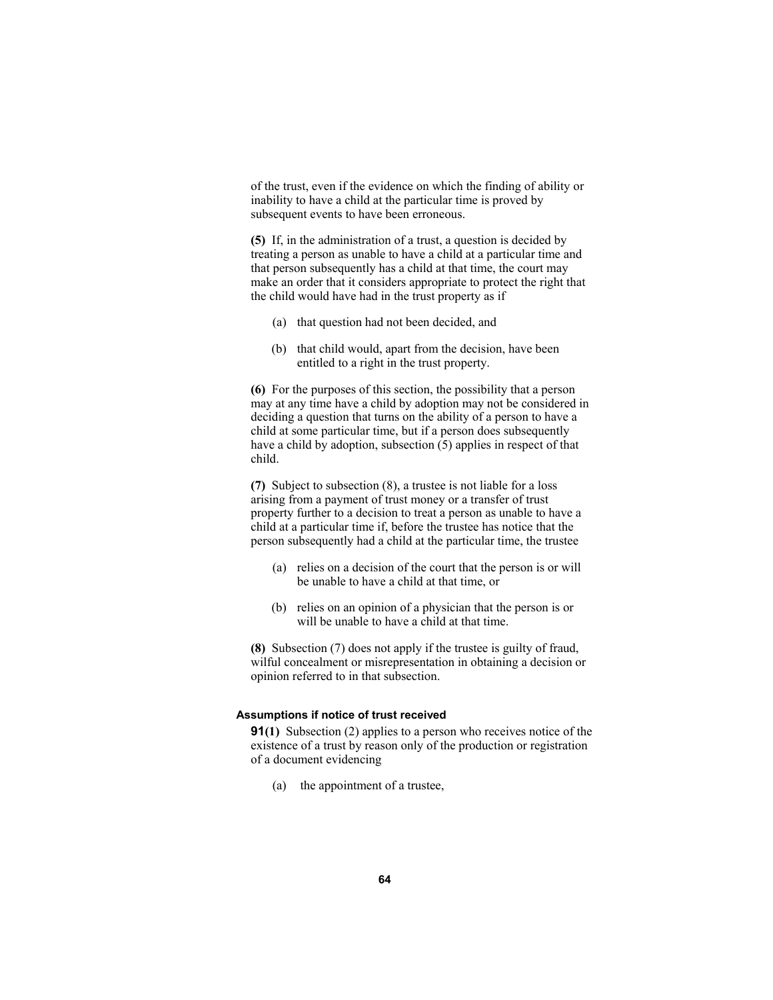of the trust, even if the evidence on which the finding of ability or inability to have a child at the particular time is proved by subsequent events to have been erroneous.

**(5)** If, in the administration of a trust, a question is decided by treating a person as unable to have a child at a particular time and that person subsequently has a child at that time, the court may make an order that it considers appropriate to protect the right that the child would have had in the trust property as if

- (a) that question had not been decided, and
- (b) that child would, apart from the decision, have been entitled to a right in the trust property.

**(6)** For the purposes of this section, the possibility that a person may at any time have a child by adoption may not be considered in deciding a question that turns on the ability of a person to have a child at some particular time, but if a person does subsequently have a child by adoption, subsection (5) applies in respect of that child.

**(7)** Subject to subsection (8), a trustee is not liable for a loss arising from a payment of trust money or a transfer of trust property further to a decision to treat a person as unable to have a child at a particular time if, before the trustee has notice that the person subsequently had a child at the particular time, the trustee

- (a) relies on a decision of the court that the person is or will be unable to have a child at that time, or
- (b) relies on an opinion of a physician that the person is or will be unable to have a child at that time.

**(8)** Subsection (7) does not apply if the trustee is guilty of fraud, wilful concealment or misrepresentation in obtaining a decision or opinion referred to in that subsection.

### **Assumptions if notice of trust received**

**91(1)** Subsection (2) applies to a person who receives notice of the existence of a trust by reason only of the production or registration of a document evidencing

(a) the appointment of a trustee,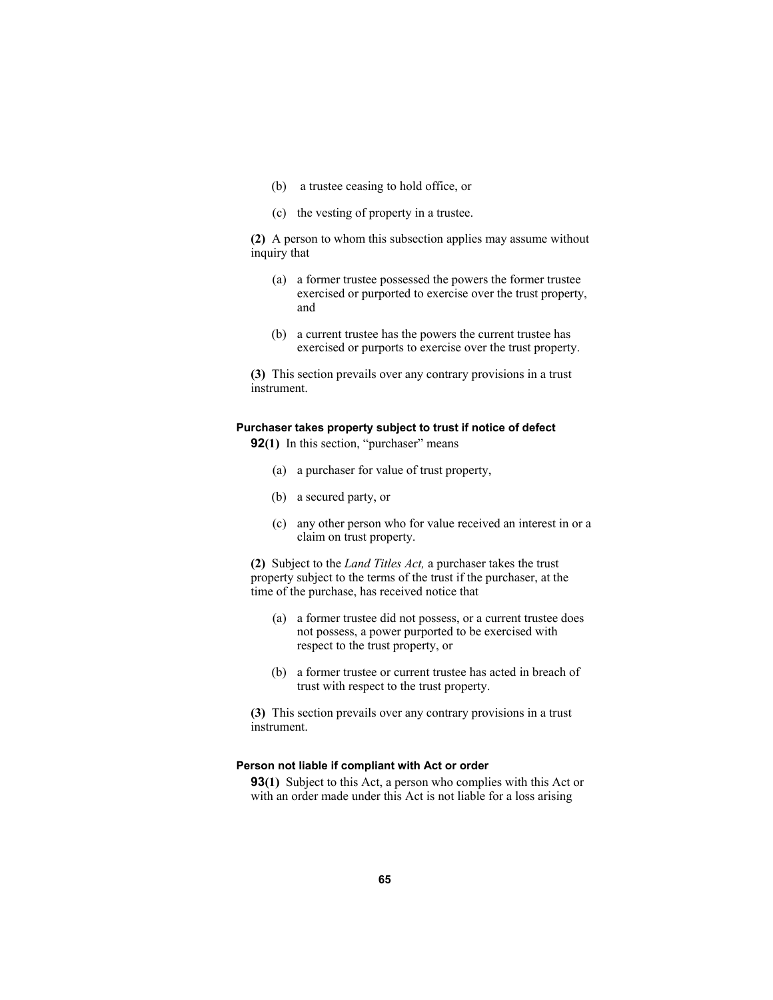- (b) a trustee ceasing to hold office, or
- (c) the vesting of property in a trustee.

**(2)** A person to whom this subsection applies may assume without inquiry that

- (a) a former trustee possessed the powers the former trustee exercised or purported to exercise over the trust property, and
- (b) a current trustee has the powers the current trustee has exercised or purports to exercise over the trust property.

**(3)** This section prevails over any contrary provisions in a trust instrument.

#### **Purchaser takes property subject to trust if notice of defect**

**92(1)** In this section, "purchaser" means

- (a) a purchaser for value of trust property,
- (b) a secured party, or
- (c) any other person who for value received an interest in or a claim on trust property.

**(2)** Subject to the *Land Titles Act,* a purchaser takes the trust property subject to the terms of the trust if the purchaser, at the time of the purchase, has received notice that

- (a) a former trustee did not possess, or a current trustee does not possess, a power purported to be exercised with respect to the trust property, or
- (b) a former trustee or current trustee has acted in breach of trust with respect to the trust property.

**(3)** This section prevails over any contrary provisions in a trust instrument.

### **Person not liable if compliant with Act or order**

**93(1)** Subject to this Act, a person who complies with this Act or with an order made under this Act is not liable for a loss arising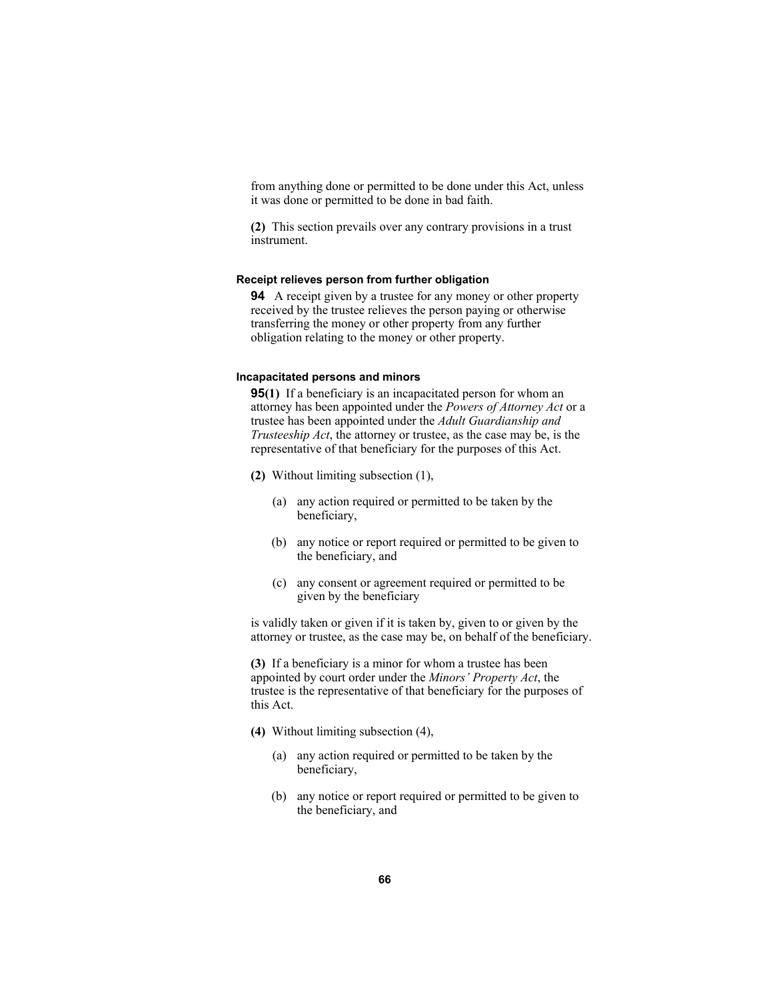from anything done or permitted to be done under this Act, unless it was done or permitted to be done in bad faith.

**(2)** This section prevails over any contrary provisions in a trust instrument.

#### **Receipt relieves person from further obligation**

**94** A receipt given by a trustee for any money or other property received by the trustee relieves the person paying or otherwise transferring the money or other property from any further obligation relating to the money or other property.

#### **Incapacitated persons and minors**

**95(1)** If a beneficiary is an incapacitated person for whom an attorney has been appointed under the *Powers of Attorney Act* or a trustee has been appointed under the *Adult Guardianship and Trusteeship Act*, the attorney or trustee, as the case may be, is the representative of that beneficiary for the purposes of this Act.

- **(2)** Without limiting subsection (1),
	- (a) any action required or permitted to be taken by the beneficiary,
	- (b) any notice or report required or permitted to be given to the beneficiary, and
	- (c) any consent or agreement required or permitted to be given by the beneficiary

is validly taken or given if it is taken by, given to or given by the attorney or trustee, as the case may be, on behalf of the beneficiary.

**(3)** If a beneficiary is a minor for whom a trustee has been appointed by court order under the *Minors' Property Act*, the trustee is the representative of that beneficiary for the purposes of this Act.

- **(4)** Without limiting subsection (4),
	- (a) any action required or permitted to be taken by the beneficiary,
	- (b) any notice or report required or permitted to be given to the beneficiary, and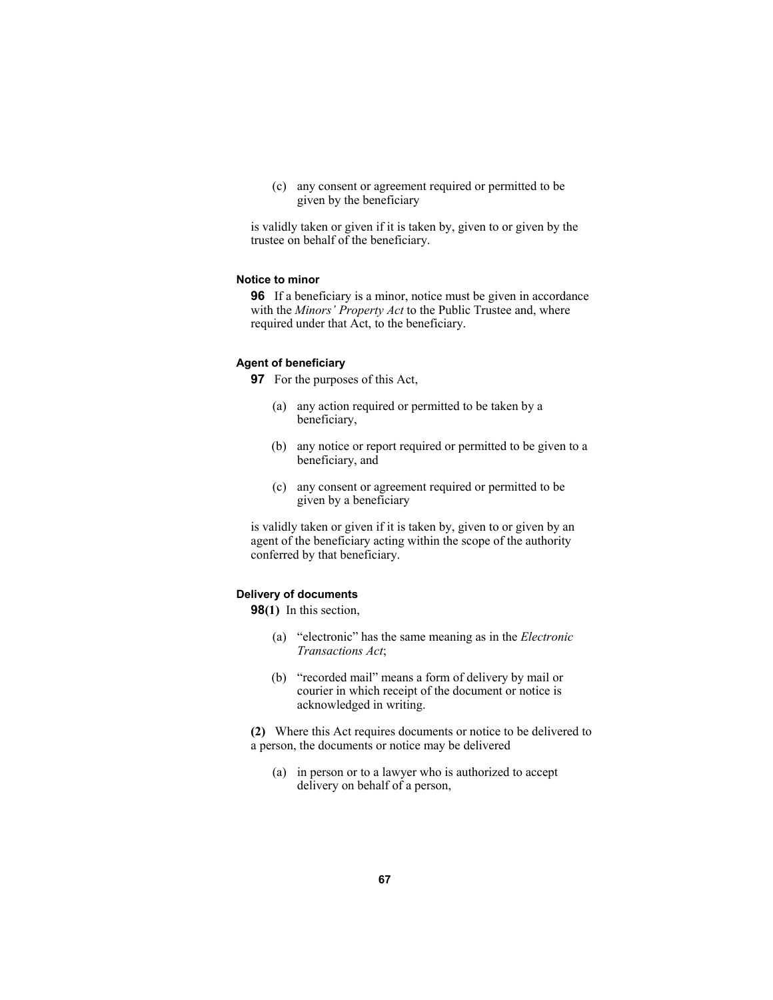(c) any consent or agreement required or permitted to be given by the beneficiary

is validly taken or given if it is taken by, given to or given by the trustee on behalf of the beneficiary.

### **Notice to minor**

**96** If a beneficiary is a minor, notice must be given in accordance with the *Minors' Property Act* to the Public Trustee and, where required under that Act, to the beneficiary.

#### **Agent of beneficiary**

**97** For the purposes of this Act,

- (a) any action required or permitted to be taken by a beneficiary,
- (b) any notice or report required or permitted to be given to a beneficiary, and
- (c) any consent or agreement required or permitted to be given by a beneficiary

is validly taken or given if it is taken by, given to or given by an agent of the beneficiary acting within the scope of the authority conferred by that beneficiary.

# **Delivery of documents**

**98(1)** In this section,

- (a) "electronic" has the same meaning as in the *Electronic Transactions Act*;
- (b) "recorded mail" means a form of delivery by mail or courier in which receipt of the document or notice is acknowledged in writing.

**(2)** Where this Act requires documents or notice to be delivered to a person, the documents or notice may be delivered

 (a) in person or to a lawyer who is authorized to accept delivery on behalf of a person,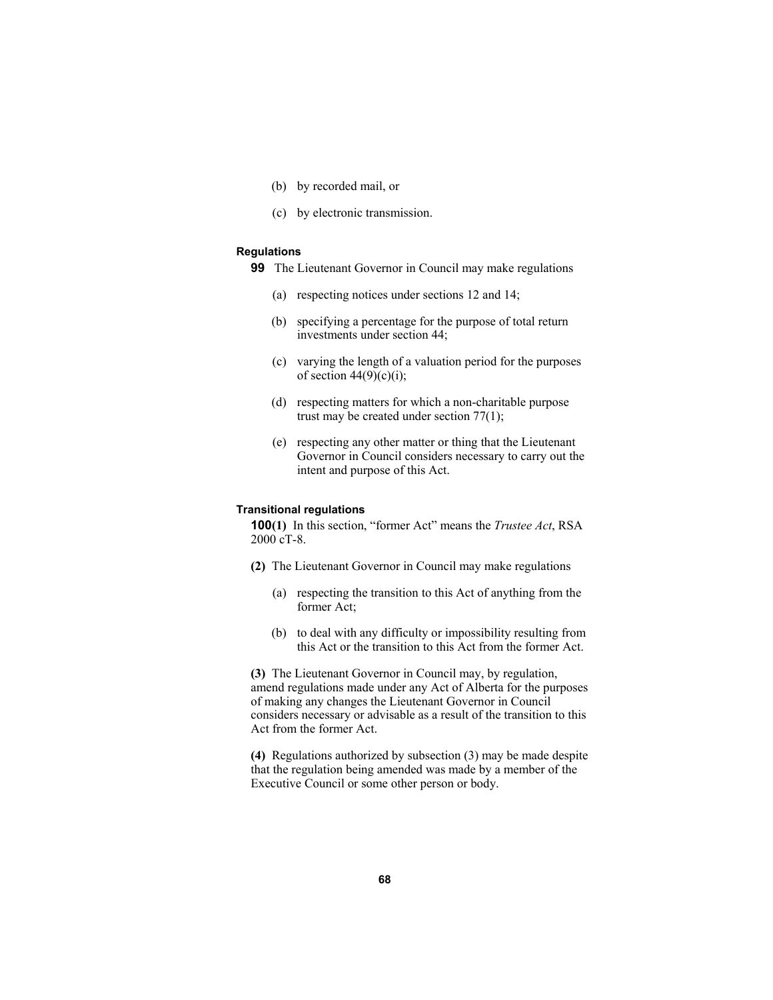- (b) by recorded mail, or
- (c) by electronic transmission.

# **Regulations**

- **99** The Lieutenant Governor in Council may make regulations
	- (a) respecting notices under sections 12 and 14;
	- (b) specifying a percentage for the purpose of total return investments under section 44;
	- (c) varying the length of a valuation period for the purposes of section  $44(9)(c)(i)$ ;
	- (d) respecting matters for which a non-charitable purpose trust may be created under section 77(1);
	- (e) respecting any other matter or thing that the Lieutenant Governor in Council considers necessary to carry out the intent and purpose of this Act.

#### **Transitional regulations**

**100(1)** In this section, "former Act" means the *Trustee Act*, RSA 2000 cT-8.

- **(2)** The Lieutenant Governor in Council may make regulations
	- (a) respecting the transition to this Act of anything from the former Act;
	- (b) to deal with any difficulty or impossibility resulting from this Act or the transition to this Act from the former Act.

**(3)** The Lieutenant Governor in Council may, by regulation, amend regulations made under any Act of Alberta for the purposes of making any changes the Lieutenant Governor in Council considers necessary or advisable as a result of the transition to this Act from the former Act.

**(4)** Regulations authorized by subsection (3) may be made despite that the regulation being amended was made by a member of the Executive Council or some other person or body.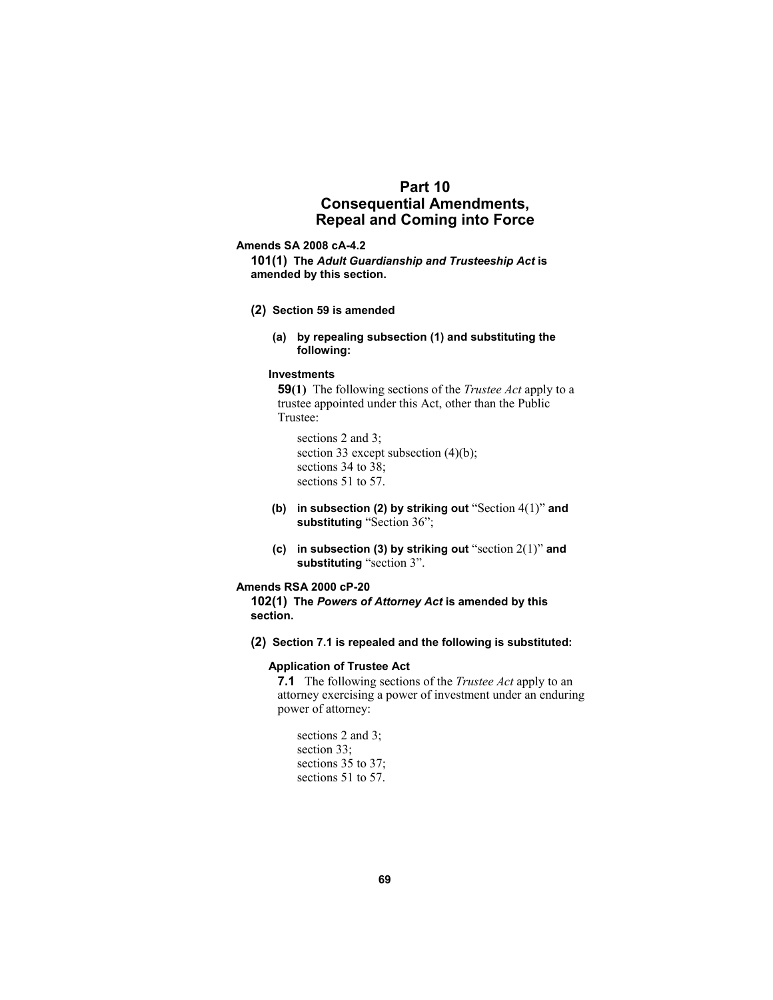# **Part 10 Consequential Amendments, Repeal and Coming into Force**

#### **Amends SA 2008 cA-4.2**

**101(1) The** *Adult Guardianship and Trusteeship Act* **is amended by this section.** 

- **(2) Section 59 is amended** 
	- **(a) by repealing subsection (1) and substituting the following:**

### **Investments**

**59(1)** The following sections of the *Trustee Act* apply to a trustee appointed under this Act, other than the Public Trustee:

 sections 2 and 3; section 33 except subsection (4)(b); sections 34 to 38; sections 51 to 57.

- **(b) in subsection (2) by striking out** "Section 4(1)" **and substituting** "Section 36";
- **(c) in subsection (3) by striking out** "section 2(1)" **and substituting** "section 3".

## **Amends RSA 2000 cP-20**

**102(1) The** *Powers of Attorney Act* **is amended by this section.** 

**(2) Section 7.1 is repealed and the following is substituted:** 

# **Application of Trustee Act**

**7.1** The following sections of the *Trustee Act* apply to an attorney exercising a power of investment under an enduring power of attorney:

 sections 2 and 3; section 33; sections 35 to 37; sections 51 to 57.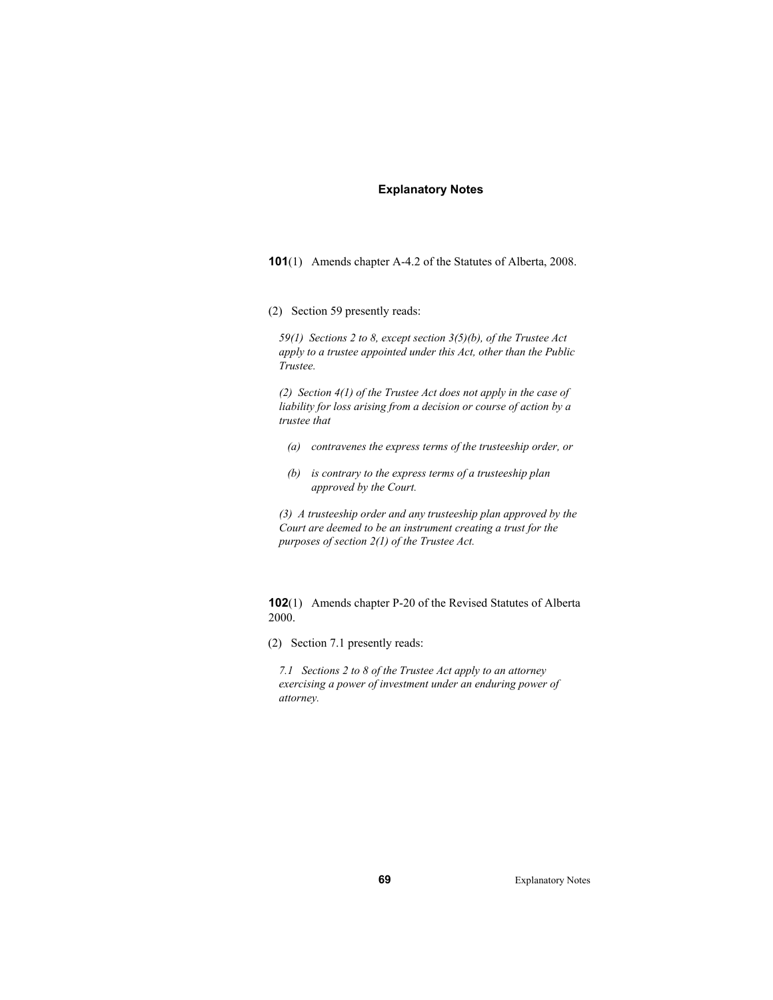#### **Explanatory Notes**

**101**(1) Amends chapter A-4.2 of the Statutes of Alberta, 2008.

(2) Section 59 presently reads:

*59(1) Sections 2 to 8, except section 3(5)(b), of the Trustee Act apply to a trustee appointed under this Act, other than the Public Trustee.* 

*(2) Section 4(1) of the Trustee Act does not apply in the case of liability for loss arising from a decision or course of action by a trustee that* 

- *(a) contravenes the express terms of the trusteeship order, or*
- *(b) is contrary to the express terms of a trusteeship plan approved by the Court.*

*(3) A trusteeship order and any trusteeship plan approved by the Court are deemed to be an instrument creating a trust for the purposes of section 2(1) of the Trustee Act.* 

**102**(1) Amends chapter P-20 of the Revised Statutes of Alberta 2000.

(2) Section 7.1 presently reads:

*7.1 Sections 2 to 8 of the Trustee Act apply to an attorney exercising a power of investment under an enduring power of attorney.* 

**69** Explanatory Notes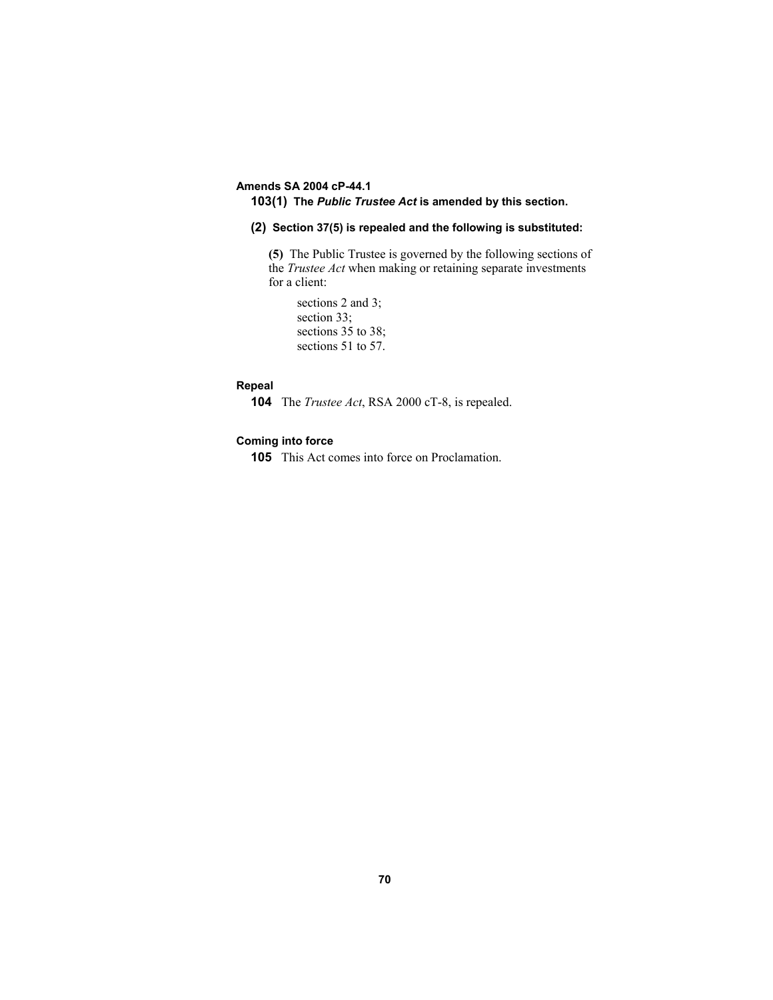# **Amends SA 2004 cP-44.1**

# **103(1) The** *Public Trustee Act* **is amended by this section.**

### **(2) Section 37(5) is repealed and the following is substituted:**

**(5)** The Public Trustee is governed by the following sections of the *Trustee Act* when making or retaining separate investments for a client:

 sections 2 and 3; section 33; sections 35 to 38; sections 51 to 57.

## **Repeal**

**104** The *Trustee Act*, RSA 2000 cT-8, is repealed.

### **Coming into force**

**105** This Act comes into force on Proclamation.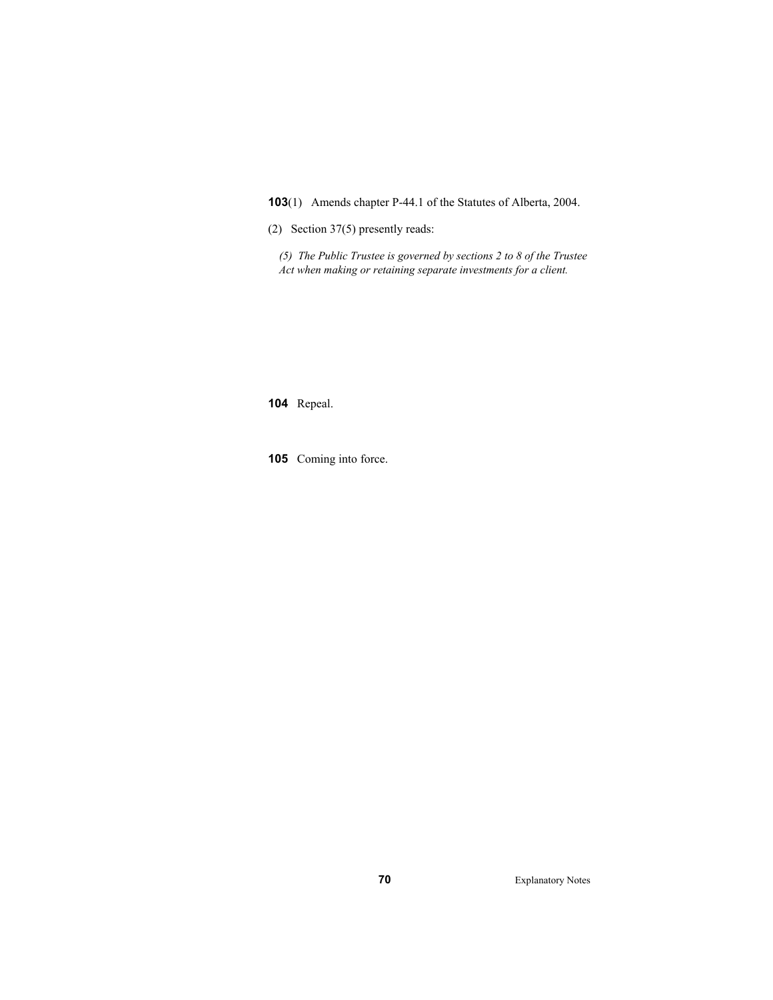**103**(1) Amends chapter P-44.1 of the Statutes of Alberta, 2004.

(2) Section 37(5) presently reads:

*(5) The Public Trustee is governed by sections 2 to 8 of the Trustee Act when making or retaining separate investments for a client.* 

**104** Repeal.

**105** Coming into force.

**70** Explanatory Notes